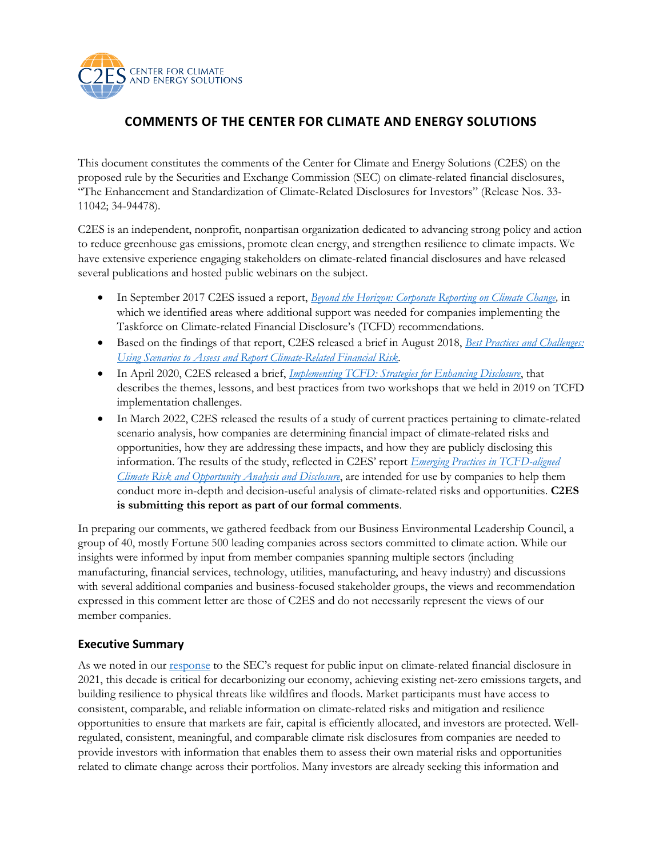

# **COMMENTS OF THE CENTER FOR CLIMATE AND ENERGY SOLUTIONS**

This document constitutes the comments of the Center for Climate and Energy Solutions (C2ES) on the proposed rule by the Securities and Exchange Commission (SEC) on climate-related financial disclosures, "The Enhancement and Standardization of Climate-Related Disclosures for Investors" (Release Nos. 33- 11042; 34-94478).

C2ES is an independent, nonprofit, nonpartisan organization dedicated to advancing strong policy and action to reduce greenhouse gas emissions, promote clean energy, and strengthen resilience to climate impacts. We have extensive experience engaging stakeholders on climate-related financial disclosures and have released several publications and hosted public webinars on the subject.

- In September 2017 C2ES issued a report, *[Beyond the Horizon: Corporate Reporting on Climate Change,](https://www.c2es.org/document/beyond-the-horizon-corporate-reporting-on-climate-change/)* in which we identified areas where additional support was needed for companies implementing the Taskforce on Climate-related Financial Disclosure's (TCFD) recommendations.
- Based on the findings of that report, C2ES released a brief in August 2018, *[Best Practices and Challenges:](https://www.c2es.org/document/using-scenarios-to-assess-and-report-climate-related-financial-risk/)  [Using Scenarios to Assess and Report Climate-Related Financial Risk.](https://www.c2es.org/document/using-scenarios-to-assess-and-report-climate-related-financial-risk/)*
- In April 2020, C2ES released a brief, *[Implementing TCFD: Strategies for Enhancing Disclosure](https://www.c2es.org/document/implementing-tcfd-strategies-for-enhancing-disclosure/)*, that describes the themes, lessons, and best practices from two workshops that we held in 2019 on TCFD implementation challenges.
- In March 2022, C2ES released the results of a study of current practices pertaining to climate-related scenario analysis, how companies are determining financial impact of climate-related risks and opportunities, how they are addressing these impacts, and how they are publicly disclosing this information. The results of the study, reflected in C2ES' report *[Emerging Practices in TCFD-aligned](https://www.c2es.org/document/emerging-practices-in-tcfd-aligned-climate-risk-and-opportunity-analysis-and-disclosure/)  [Climate Risk and Opportunity Analysis and Disclosure](https://www.c2es.org/document/emerging-practices-in-tcfd-aligned-climate-risk-and-opportunity-analysis-and-disclosure/)*, are intended for use by companies to help them conduct more in-depth and decision-useful analysis of climate-related risks and opportunities. **C2ES is submitting this report as part of our formal comments**.

In preparing our comments, we gathered feedback from our Business Environmental Leadership Council, a group of 40, mostly Fortune 500 leading companies across sectors committed to climate action. While our insights were informed by input from member companies spanning multiple sectors (including manufacturing, financial services, technology, utilities, manufacturing, and heavy industry) and discussions with several additional companies and business-focused stakeholder groups, the views and recommendation expressed in this comment letter are those of C2ES and do not necessarily represent the views of our member companies.

# **Executive Summary**

As we noted in our [response](https://www.c2es.org/document/c2es-comments-on-secs-climate-change-disclosures) to the SEC's request for public input on climate-related financial disclosure in 2021, this decade is critical for decarbonizing our economy, achieving existing net-zero emissions targets, and building resilience to physical threats like wildfires and floods. Market participants must have access to consistent, comparable, and reliable information on climate-related risks and mitigation and resilience opportunities to ensure that markets are fair, capital is efficiently allocated, and investors are protected. Wellregulated, consistent, meaningful, and comparable climate risk disclosures from companies are needed to provide investors with information that enables them to assess their own material risks and opportunities related to climate change across their portfolios. Many investors are already seeking this information and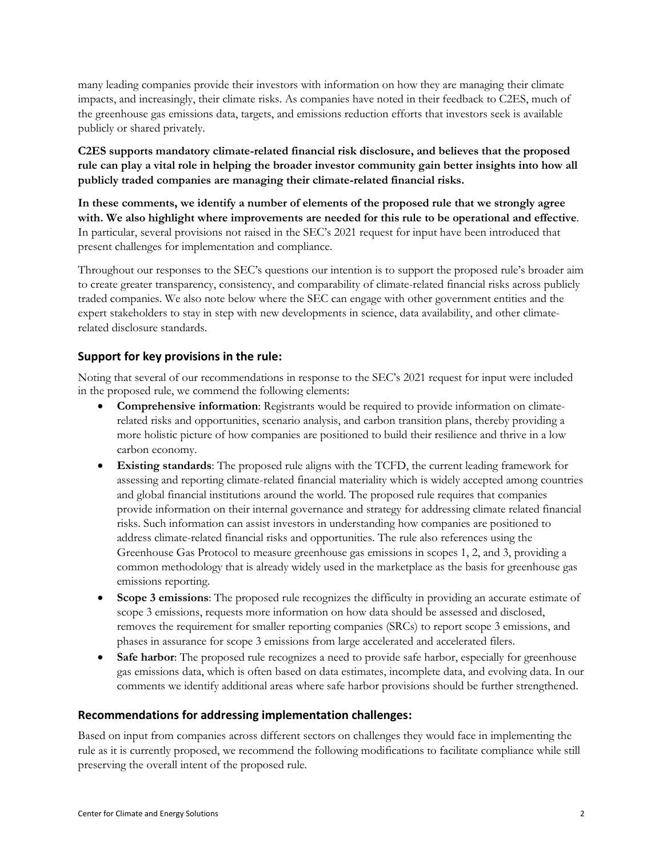many leading companies provide their investors with information on how they are managing their climate impacts, and increasingly, their climate risks. As companies have noted in their feedback to C2ES, much of the greenhouse gas emissions data, targets, and emissions reduction efforts that investors seek is available publicly or shared privately.

**C2ES supports mandatory climate-related financial risk disclosure, and believes that the proposed rule can play a vital role in helping the broader investor community gain better insights into how all publicly traded companies are managing their climate-related financial risks.**

**In these comments, we identify a number of elements of the proposed rule that we strongly agree with. We also highlight where improvements are needed for this rule to be operational and effective**. In particular, several provisions not raised in the SEC's 2021 request for input have been introduced that present challenges for implementation and compliance.

Throughout our responses to the SEC's questions our intention is to support the proposed rule's broader aim to create greater transparency, consistency, and comparability of climate-related financial risks across publicly traded companies. We also note below where the SEC can engage with other government entities and the expert stakeholders to stay in step with new developments in science, data availability, and other climaterelated disclosure standards.

# **Support for key provisions in the rule:**

Noting that several of our recommendations in response to the SEC's 2021 request for input were included in the proposed rule, we commend the following elements:

- **Comprehensive information**: Registrants would be required to provide information on climaterelated risks and opportunities, scenario analysis, and carbon transition plans, thereby providing a more holistic picture of how companies are positioned to build their resilience and thrive in a low carbon economy.
- **Existing standards**: The proposed rule aligns with the TCFD, the current leading framework for assessing and reporting climate-related financial materiality which is widely accepted among countries and global financial institutions around the world. The proposed rule requires that companies provide information on their internal governance and strategy for addressing climate related financial risks. Such information can assist investors in understanding how companies are positioned to address climate-related financial risks and opportunities. The rule also references using the Greenhouse Gas Protocol to measure greenhouse gas emissions in scopes 1, 2, and 3, providing a common methodology that is already widely used in the marketplace as the basis for greenhouse gas emissions reporting.
- **Scope 3 emissions**: The proposed rule recognizes the difficulty in providing an accurate estimate of scope 3 emissions, requests more information on how data should be assessed and disclosed, removes the requirement for smaller reporting companies (SRCs) to report scope 3 emissions, and phases in assurance for scope 3 emissions from large accelerated and accelerated filers.
- **Safe harbor**: The proposed rule recognizes a need to provide safe harbor, especially for greenhouse gas emissions data, which is often based on data estimates, incomplete data, and evolving data. In our comments we identify additional areas where safe harbor provisions should be further strengthened.

#### **Recommendations for addressing implementation challenges:**

Based on input from companies across different sectors on challenges they would face in implementing the rule as it is currently proposed, we recommend the following modifications to facilitate compliance while still preserving the overall intent of the proposed rule.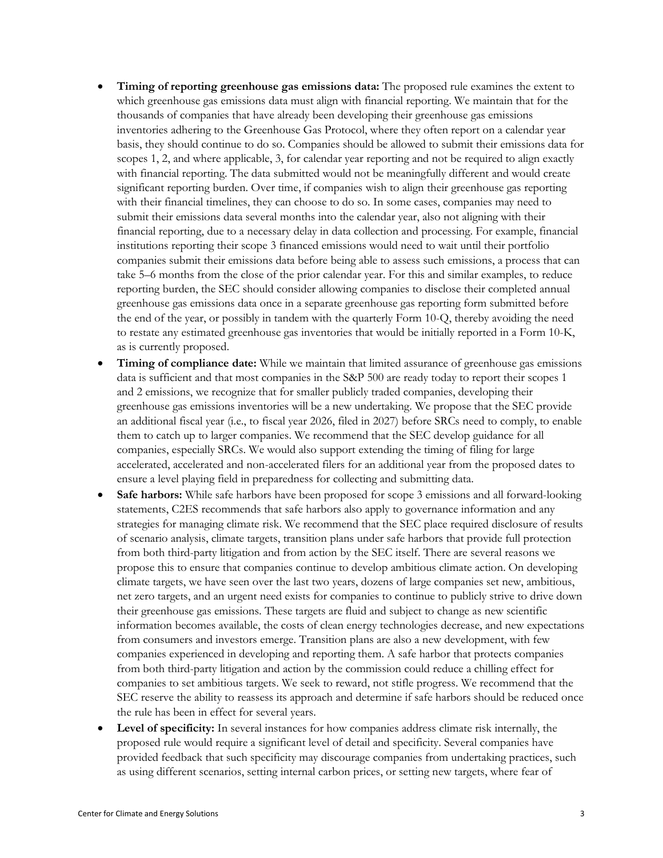- **Timing of reporting greenhouse gas emissions data:** The proposed rule examines the extent to which greenhouse gas emissions data must align with financial reporting. We maintain that for the thousands of companies that have already been developing their greenhouse gas emissions inventories adhering to the Greenhouse Gas Protocol, where they often report on a calendar year basis, they should continue to do so. Companies should be allowed to submit their emissions data for scopes 1, 2, and where applicable, 3, for calendar year reporting and not be required to align exactly with financial reporting. The data submitted would not be meaningfully different and would create significant reporting burden. Over time, if companies wish to align their greenhouse gas reporting with their financial timelines, they can choose to do so. In some cases, companies may need to submit their emissions data several months into the calendar year, also not aligning with their financial reporting, due to a necessary delay in data collection and processing. For example, financial institutions reporting their scope 3 financed emissions would need to wait until their portfolio companies submit their emissions data before being able to assess such emissions, a process that can take 5–6 months from the close of the prior calendar year. For this and similar examples, to reduce reporting burden, the SEC should consider allowing companies to disclose their completed annual greenhouse gas emissions data once in a separate greenhouse gas reporting form submitted before the end of the year, or possibly in tandem with the quarterly Form 10-Q, thereby avoiding the need to restate any estimated greenhouse gas inventories that would be initially reported in a Form 10-K, as is currently proposed.
- **Timing of compliance date:** While we maintain that limited assurance of greenhouse gas emissions data is sufficient and that most companies in the S&P 500 are ready today to report their scopes 1 and 2 emissions, we recognize that for smaller publicly traded companies, developing their greenhouse gas emissions inventories will be a new undertaking. We propose that the SEC provide an additional fiscal year (i.e., to fiscal year 2026, filed in 2027) before SRCs need to comply, to enable them to catch up to larger companies. We recommend that the SEC develop guidance for all companies, especially SRCs. We would also support extending the timing of filing for large accelerated, accelerated and non-accelerated filers for an additional year from the proposed dates to ensure a level playing field in preparedness for collecting and submitting data.
- **Safe harbors:** While safe harbors have been proposed for scope 3 emissions and all forward-looking statements, C2ES recommends that safe harbors also apply to governance information and any strategies for managing climate risk. We recommend that the SEC place required disclosure of results of scenario analysis, climate targets, transition plans under safe harbors that provide full protection from both third-party litigation and from action by the SEC itself. There are several reasons we propose this to ensure that companies continue to develop ambitious climate action. On developing climate targets, we have seen over the last two years, dozens of large companies set new, ambitious, net zero targets, and an urgent need exists for companies to continue to publicly strive to drive down their greenhouse gas emissions. These targets are fluid and subject to change as new scientific information becomes available, the costs of clean energy technologies decrease, and new expectations from consumers and investors emerge. Transition plans are also a new development, with few companies experienced in developing and reporting them. A safe harbor that protects companies from both third-party litigation and action by the commission could reduce a chilling effect for companies to set ambitious targets. We seek to reward, not stifle progress. We recommend that the SEC reserve the ability to reassess its approach and determine if safe harbors should be reduced once the rule has been in effect for several years.
- **Level of specificity:** In several instances for how companies address climate risk internally, the proposed rule would require a significant level of detail and specificity. Several companies have provided feedback that such specificity may discourage companies from undertaking practices, such as using different scenarios, setting internal carbon prices, or setting new targets, where fear of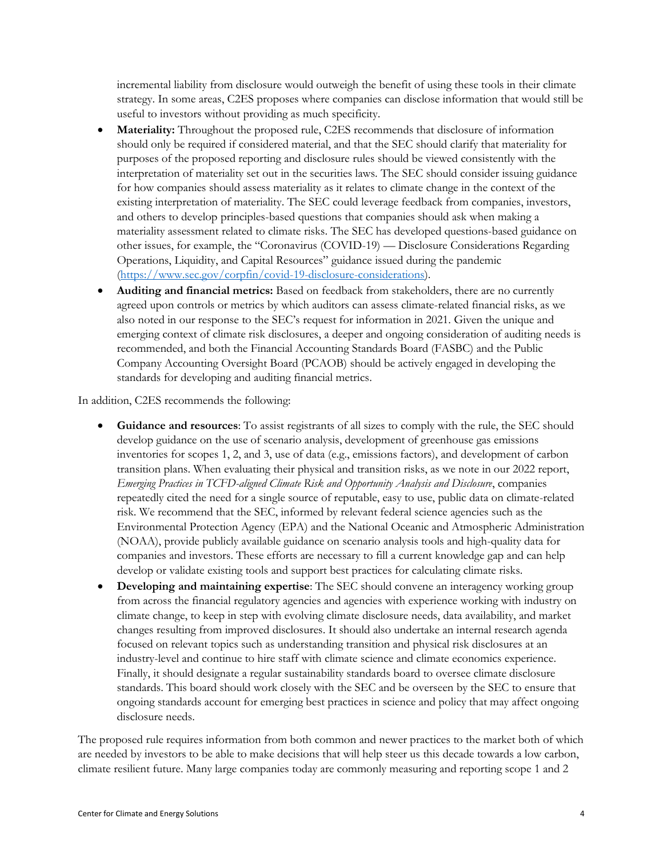incremental liability from disclosure would outweigh the benefit of using these tools in their climate strategy. In some areas, C2ES proposes where companies can disclose information that would still be useful to investors without providing as much specificity.

- **Materiality:** Throughout the proposed rule, C2ES recommends that disclosure of information should only be required if considered material, and that the SEC should clarify that materiality for purposes of the proposed reporting and disclosure rules should be viewed consistently with the interpretation of materiality set out in the securities laws. The SEC should consider issuing guidance for how companies should assess materiality as it relates to climate change in the context of the existing interpretation of materiality. The SEC could leverage feedback from companies, investors, and others to develop principles-based questions that companies should ask when making a materiality assessment related to climate risks. The SEC has developed questions-based guidance on other issues, for example, the "Coronavirus (COVID-19) — Disclosure Considerations Regarding Operations, Liquidity, and Capital Resources" guidance issued during the pandemic [\(https://www.sec.gov/corpfin/covid-19-disclosure-considerations\)](https://www.sec.gov/corpfin/covid-19-disclosure-considerations).
- **Auditing and financial metrics:** Based on feedback from stakeholders, there are no currently agreed upon controls or metrics by which auditors can assess climate-related financial risks, as we also noted in our response to the SEC's request for information in 2021. Given the unique and emerging context of climate risk disclosures, a deeper and ongoing consideration of auditing needs is recommended, and both the Financial Accounting Standards Board (FASBC) and the Public Company Accounting Oversight Board (PCAOB) should be actively engaged in developing the standards for developing and auditing financial metrics.

In addition, C2ES recommends the following:

- **Guidance and resources**: To assist registrants of all sizes to comply with the rule, the SEC should develop guidance on the use of scenario analysis, development of greenhouse gas emissions inventories for scopes 1, 2, and 3, use of data (e.g., emissions factors), and development of carbon transition plans. When evaluating their physical and transition risks, as we note in our 2022 report, *Emerging Practices in TCFD-aligned Climate Risk and Opportunity Analysis and Disclosure*, companies repeatedly cited the need for a single source of reputable, easy to use, public data on climate-related risk. We recommend that the SEC, informed by relevant federal science agencies such as the Environmental Protection Agency (EPA) and the National Oceanic and Atmospheric Administration (NOAA), provide publicly available guidance on scenario analysis tools and high-quality data for companies and investors. These efforts are necessary to fill a current knowledge gap and can help develop or validate existing tools and support best practices for calculating climate risks.
- **Developing and maintaining expertise**: The SEC should convene an interagency working group from across the financial regulatory agencies and agencies with experience working with industry on climate change, to keep in step with evolving climate disclosure needs, data availability, and market changes resulting from improved disclosures. It should also undertake an internal research agenda focused on relevant topics such as understanding transition and physical risk disclosures at an industry-level and continue to hire staff with climate science and climate economics experience. Finally, it should designate a regular sustainability standards board to oversee climate disclosure standards. This board should work closely with the SEC and be overseen by the SEC to ensure that ongoing standards account for emerging best practices in science and policy that may affect ongoing disclosure needs.

The proposed rule requires information from both common and newer practices to the market both of which are needed by investors to be able to make decisions that will help steer us this decade towards a low carbon, climate resilient future. Many large companies today are commonly measuring and reporting scope 1 and 2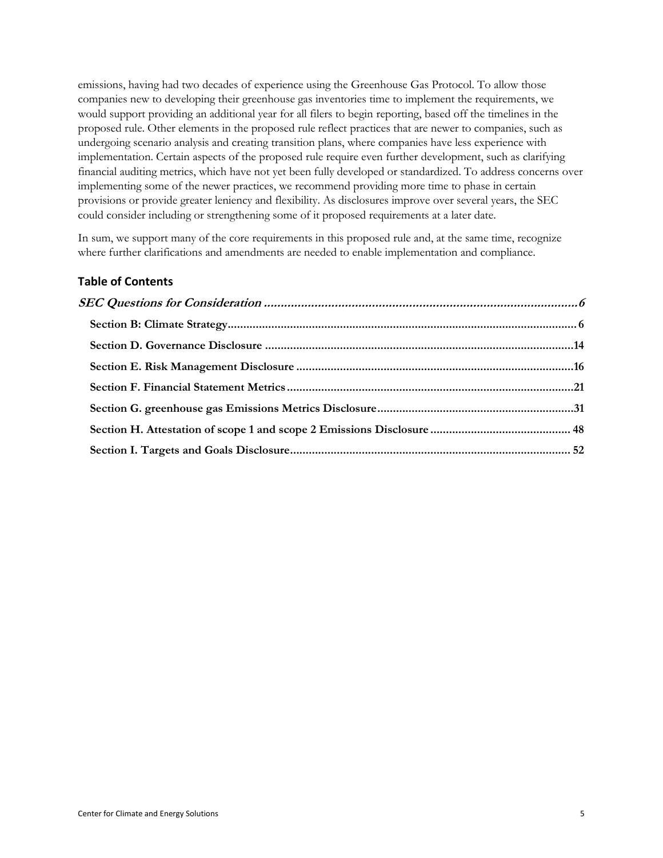emissions, having had two decades of experience using the Greenhouse Gas Protocol. To allow those companies new to developing their greenhouse gas inventories time to implement the requirements, we would support providing an additional year for all filers to begin reporting, based off the timelines in the proposed rule. Other elements in the proposed rule reflect practices that are newer to companies, such as undergoing scenario analysis and creating transition plans, where companies have less experience with implementation. Certain aspects of the proposed rule require even further development, such as clarifying financial auditing metrics, which have not yet been fully developed or standardized. To address concerns over implementing some of the newer practices, we recommend providing more time to phase in certain provisions or provide greater leniency and flexibility. As disclosures improve over several years, the SEC could consider including or strengthening some of it proposed requirements at a later date.

In sum, we support many of the core requirements in this proposed rule and, at the same time, recognize where further clarifications and amendments are needed to enable implementation and compliance.

# **Table of Contents**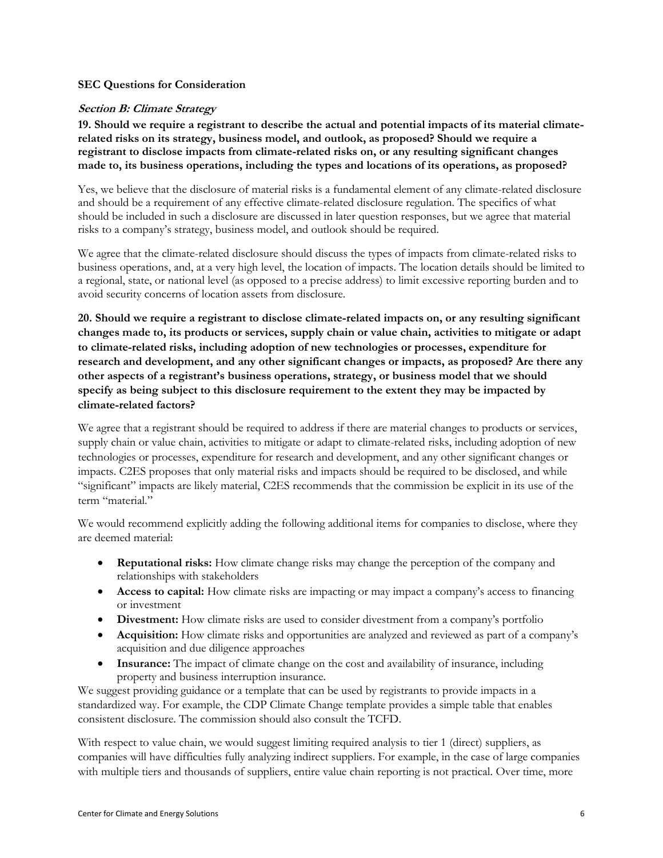#### <span id="page-5-0"></span>**SEC Questions for Consideration**

#### <span id="page-5-1"></span>**Section B: Climate Strategy**

**19. Should we require a registrant to describe the actual and potential impacts of its material climaterelated risks on its strategy, business model, and outlook, as proposed? Should we require a registrant to disclose impacts from climate-related risks on, or any resulting significant changes made to, its business operations, including the types and locations of its operations, as proposed?** 

Yes, we believe that the disclosure of material risks is a fundamental element of any climate-related disclosure and should be a requirement of any effective climate-related disclosure regulation. The specifics of what should be included in such a disclosure are discussed in later question responses, but we agree that material risks to a company's strategy, business model, and outlook should be required.

We agree that the climate-related disclosure should discuss the types of impacts from climate-related risks to business operations, and, at a very high level, the location of impacts. The location details should be limited to a regional, state, or national level (as opposed to a precise address) to limit excessive reporting burden and to avoid security concerns of location assets from disclosure.

**20. Should we require a registrant to disclose climate-related impacts on, or any resulting significant changes made to, its products or services, supply chain or value chain, activities to mitigate or adapt to climate-related risks, including adoption of new technologies or processes, expenditure for research and development, and any other significant changes or impacts, as proposed? Are there any other aspects of a registrant's business operations, strategy, or business model that we should specify as being subject to this disclosure requirement to the extent they may be impacted by climate-related factors?**

We agree that a registrant should be required to address if there are material changes to products or services, supply chain or value chain, activities to mitigate or adapt to climate-related risks, including adoption of new technologies or processes, expenditure for research and development, and any other significant changes or impacts. C2ES proposes that only material risks and impacts should be required to be disclosed, and while "significant" impacts are likely material, C2ES recommends that the commission be explicit in its use of the term "material."

We would recommend explicitly adding the following additional items for companies to disclose, where they are deemed material:

- **Reputational risks:** How climate change risks may change the perception of the company and relationships with stakeholders
- **Access to capital:** How climate risks are impacting or may impact a company's access to financing or investment
- **Divestment:** How climate risks are used to consider divestment from a company's portfolio
- **Acquisition:** How climate risks and opportunities are analyzed and reviewed as part of a company's acquisition and due diligence approaches
- **Insurance:** The impact of climate change on the cost and availability of insurance, including property and business interruption insurance.

We suggest providing guidance or a template that can be used by registrants to provide impacts in a standardized way. For example, the CDP Climate Change template provides a simple table that enables consistent disclosure. The commission should also consult the TCFD.

With respect to value chain, we would suggest limiting required analysis to tier 1 (direct) suppliers, as companies will have difficulties fully analyzing indirect suppliers. For example, in the case of large companies with multiple tiers and thousands of suppliers, entire value chain reporting is not practical. Over time, more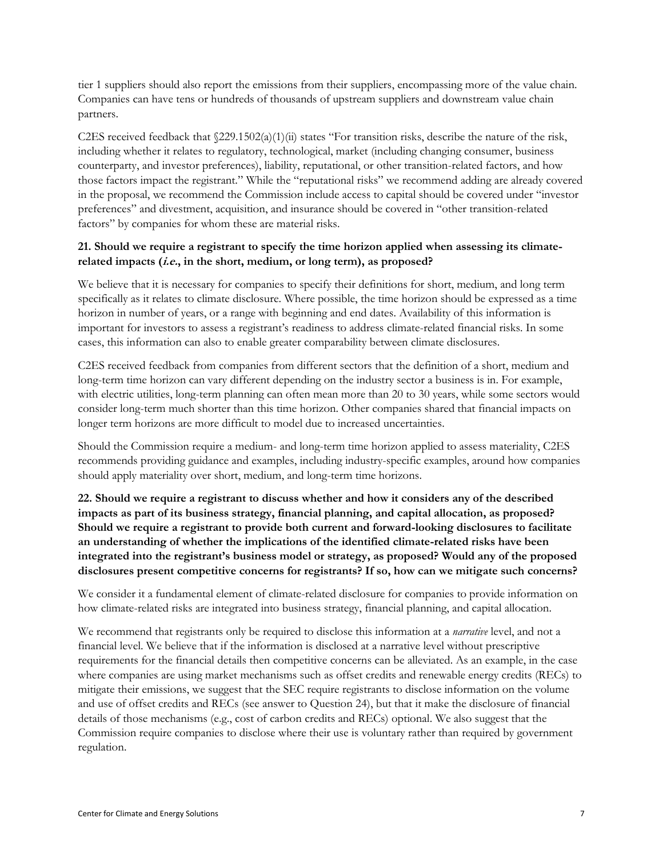tier 1 suppliers should also report the emissions from their suppliers, encompassing more of the value chain. Companies can have tens or hundreds of thousands of upstream suppliers and downstream value chain partners.

C2ES received feedback that  $\frac{229.1502(a)(1)(ii)}{2}$  states "For transition risks, describe the nature of the risk, including whether it relates to regulatory, technological, market (including changing consumer, business counterparty, and investor preferences), liability, reputational, or other transition-related factors, and how those factors impact the registrant." While the "reputational risks" we recommend adding are already covered in the proposal, we recommend the Commission include access to capital should be covered under "investor preferences" and divestment, acquisition, and insurance should be covered in "other transition-related factors" by companies for whom these are material risks.

#### **21. Should we require a registrant to specify the time horizon applied when assessing its climaterelated impacts (i.e., in the short, medium, or long term), as proposed?**

We believe that it is necessary for companies to specify their definitions for short, medium, and long term specifically as it relates to climate disclosure. Where possible, the time horizon should be expressed as a time horizon in number of years, or a range with beginning and end dates. Availability of this information is important for investors to assess a registrant's readiness to address climate-related financial risks. In some cases, this information can also to enable greater comparability between climate disclosures.

C2ES received feedback from companies from different sectors that the definition of a short, medium and long-term time horizon can vary different depending on the industry sector a business is in. For example, with electric utilities, long-term planning can often mean more than 20 to 30 years, while some sectors would consider long-term much shorter than this time horizon. Other companies shared that financial impacts on longer term horizons are more difficult to model due to increased uncertainties.

Should the Commission require a medium- and long-term time horizon applied to assess materiality, C2ES recommends providing guidance and examples, including industry-specific examples, around how companies should apply materiality over short, medium, and long-term time horizons.

**22. Should we require a registrant to discuss whether and how it considers any of the described impacts as part of its business strategy, financial planning, and capital allocation, as proposed? Should we require a registrant to provide both current and forward-looking disclosures to facilitate an understanding of whether the implications of the identified climate-related risks have been integrated into the registrant's business model or strategy, as proposed? Would any of the proposed disclosures present competitive concerns for registrants? If so, how can we mitigate such concerns?** 

We consider it a fundamental element of climate-related disclosure for companies to provide information on how climate-related risks are integrated into business strategy, financial planning, and capital allocation.

We recommend that registrants only be required to disclose this information at a *narrative* level, and not a financial level. We believe that if the information is disclosed at a narrative level without prescriptive requirements for the financial details then competitive concerns can be alleviated. As an example, in the case where companies are using market mechanisms such as offset credits and renewable energy credits (RECs) to mitigate their emissions, we suggest that the SEC require registrants to disclose information on the volume and use of offset credits and RECs (see answer to Question 24), but that it make the disclosure of financial details of those mechanisms (e.g., cost of carbon credits and RECs) optional. We also suggest that the Commission require companies to disclose where their use is voluntary rather than required by government regulation.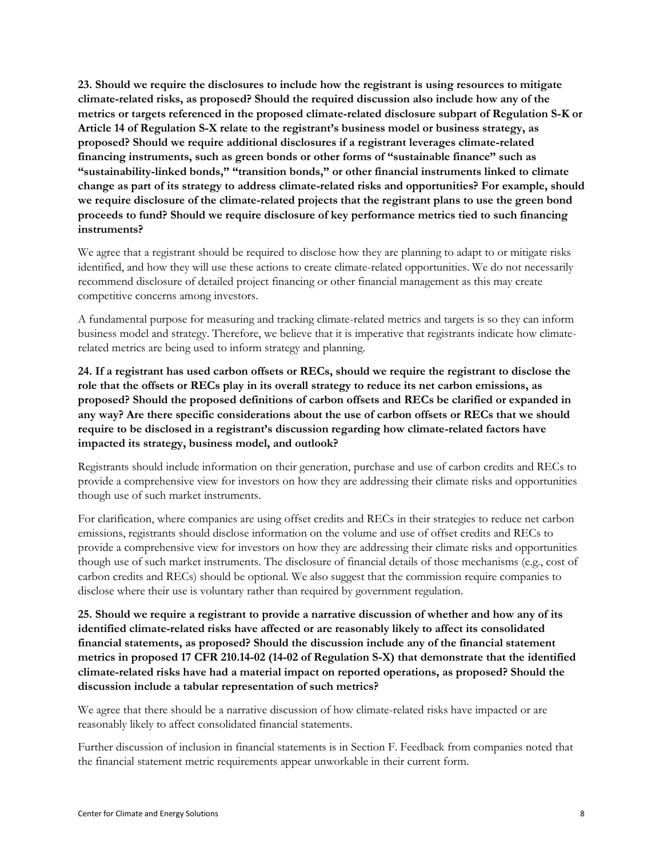**23. Should we require the disclosures to include how the registrant is using resources to mitigate climate-related risks, as proposed? Should the required discussion also include how any of the metrics or targets referenced in the proposed climate-related disclosure subpart of Regulation S-K or Article 14 of Regulation S-X relate to the registrant's business model or business strategy, as proposed? Should we require additional disclosures if a registrant leverages climate-related financing instruments, such as green bonds or other forms of "sustainable finance" such as "sustainability-linked bonds," "transition bonds," or other financial instruments linked to climate change as part of its strategy to address climate-related risks and opportunities? For example, should we require disclosure of the climate-related projects that the registrant plans to use the green bond proceeds to fund? Should we require disclosure of key performance metrics tied to such financing instruments?** 

We agree that a registrant should be required to disclose how they are planning to adapt to or mitigate risks identified, and how they will use these actions to create climate-related opportunities. We do not necessarily recommend disclosure of detailed project financing or other financial management as this may create competitive concerns among investors.

A fundamental purpose for measuring and tracking climate-related metrics and targets is so they can inform business model and strategy. Therefore, we believe that it is imperative that registrants indicate how climaterelated metrics are being used to inform strategy and planning.

**24. If a registrant has used carbon offsets or RECs, should we require the registrant to disclose the role that the offsets or RECs play in its overall strategy to reduce its net carbon emissions, as proposed? Should the proposed definitions of carbon offsets and RECs be clarified or expanded in any way? Are there specific considerations about the use of carbon offsets or RECs that we should require to be disclosed in a registrant's discussion regarding how climate-related factors have impacted its strategy, business model, and outlook?** 

Registrants should include information on their generation, purchase and use of carbon credits and RECs to provide a comprehensive view for investors on how they are addressing their climate risks and opportunities though use of such market instruments.

For clarification, where companies are using offset credits and RECs in their strategies to reduce net carbon emissions, registrants should disclose information on the volume and use of offset credits and RECs to provide a comprehensive view for investors on how they are addressing their climate risks and opportunities though use of such market instruments. The disclosure of financial details of those mechanisms (e.g., cost of carbon credits and RECs) should be optional. We also suggest that the commission require companies to disclose where their use is voluntary rather than required by government regulation.

**25. Should we require a registrant to provide a narrative discussion of whether and how any of its identified climate-related risks have affected or are reasonably likely to affect its consolidated financial statements, as proposed? Should the discussion include any of the financial statement metrics in proposed 17 CFR 210.14-02 (14-02 of Regulation S-X) that demonstrate that the identified climate-related risks have had a material impact on reported operations, as proposed? Should the discussion include a tabular representation of such metrics?** 

We agree that there should be a narrative discussion of how climate-related risks have impacted or are reasonably likely to affect consolidated financial statements.

Further discussion of inclusion in financial statements is in Section F. Feedback from companies noted that the financial statement metric requirements appear unworkable in their current form.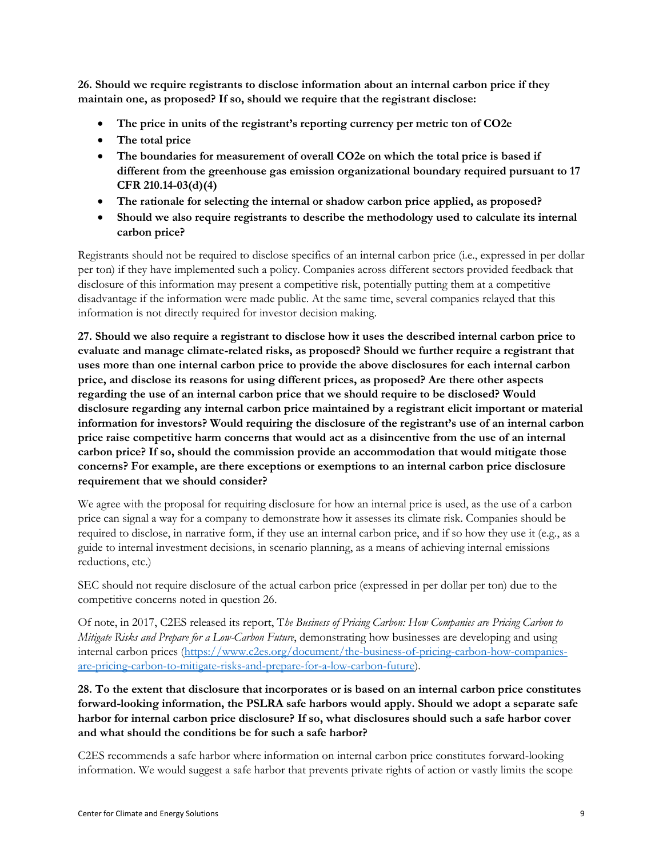**26. Should we require registrants to disclose information about an internal carbon price if they maintain one, as proposed? If so, should we require that the registrant disclose:** 

- **The price in units of the registrant's reporting currency per metric ton of CO2e**
- **The total price**
- **The boundaries for measurement of overall CO2e on which the total price is based if different from the greenhouse gas emission organizational boundary required pursuant to 17 CFR 210.14-03(d)(4)**
- **The rationale for selecting the internal or shadow carbon price applied, as proposed?**
- **Should we also require registrants to describe the methodology used to calculate its internal carbon price?**

Registrants should not be required to disclose specifics of an internal carbon price (i.e., expressed in per dollar per ton) if they have implemented such a policy. Companies across different sectors provided feedback that disclosure of this information may present a competitive risk, potentially putting them at a competitive disadvantage if the information were made public. At the same time, several companies relayed that this information is not directly required for investor decision making.

**27. Should we also require a registrant to disclose how it uses the described internal carbon price to evaluate and manage climate-related risks, as proposed? Should we further require a registrant that uses more than one internal carbon price to provide the above disclosures for each internal carbon price, and disclose its reasons for using different prices, as proposed? Are there other aspects regarding the use of an internal carbon price that we should require to be disclosed? Would disclosure regarding any internal carbon price maintained by a registrant elicit important or material information for investors? Would requiring the disclosure of the registrant's use of an internal carbon price raise competitive harm concerns that would act as a disincentive from the use of an internal carbon price? If so, should the commission provide an accommodation that would mitigate those concerns? For example, are there exceptions or exemptions to an internal carbon price disclosure requirement that we should consider?** 

We agree with the proposal for requiring disclosure for how an internal price is used, as the use of a carbon price can signal a way for a company to demonstrate how it assesses its climate risk. Companies should be required to disclose, in narrative form, if they use an internal carbon price, and if so how they use it (e.g., as a guide to internal investment decisions, in scenario planning, as a means of achieving internal emissions reductions, etc.)

SEC should not require disclosure of the actual carbon price (expressed in per dollar per ton) due to the competitive concerns noted in question 26.

Of note, in 2017, C2ES released its report, T*he Business of Pricing Carbon: How Companies are Pricing Carbon to Mitigate Risks and Prepare for a Low-Carbon Future*, demonstrating how businesses are developing and using internal carbon prices [\(https://www.c2es.org/document/the-business-of-pricing-carbon-how-companies](https://www.c2es.org/document/the-business-of-pricing-carbon-how-companies-are-pricing-carbon-to-mitigate-risks-and-prepare-for-a-low-carbon-future/)[are-pricing-carbon-to-mitigate-risks-and-prepare-for-a-low-carbon-future\)](https://www.c2es.org/document/the-business-of-pricing-carbon-how-companies-are-pricing-carbon-to-mitigate-risks-and-prepare-for-a-low-carbon-future/).

**28. To the extent that disclosure that incorporates or is based on an internal carbon price constitutes forward-looking information, the PSLRA safe harbors would apply. Should we adopt a separate safe harbor for internal carbon price disclosure? If so, what disclosures should such a safe harbor cover and what should the conditions be for such a safe harbor?** 

C2ES recommends a safe harbor where information on internal carbon price constitutes forward-looking information. We would suggest a safe harbor that prevents private rights of action or vastly limits the scope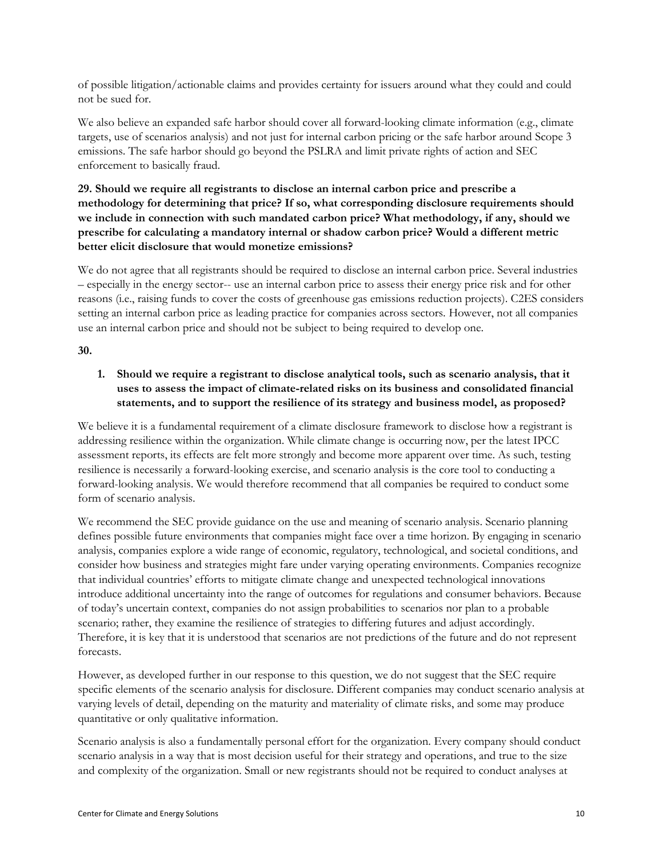of possible litigation/actionable claims and provides certainty for issuers around what they could and could not be sued for.

We also believe an expanded safe harbor should cover all forward-looking climate information (e.g., climate targets, use of scenarios analysis) and not just for internal carbon pricing or the safe harbor around Scope 3 emissions. The safe harbor should go beyond the PSLRA and limit private rights of action and SEC enforcement to basically fraud.

### **29. Should we require all registrants to disclose an internal carbon price and prescribe a methodology for determining that price? If so, what corresponding disclosure requirements should we include in connection with such mandated carbon price? What methodology, if any, should we prescribe for calculating a mandatory internal or shadow carbon price? Would a different metric better elicit disclosure that would monetize emissions?**

We do not agree that all registrants should be required to disclose an internal carbon price. Several industries – especially in the energy sector-- use an internal carbon price to assess their energy price risk and for other reasons (i.e., raising funds to cover the costs of greenhouse gas emissions reduction projects). C2ES considers setting an internal carbon price as leading practice for companies across sectors. However, not all companies use an internal carbon price and should not be subject to being required to develop one.

#### **30.**

# **1. Should we require a registrant to disclose analytical tools, such as scenario analysis, that it uses to assess the impact of climate-related risks on its business and consolidated financial statements, and to support the resilience of its strategy and business model, as proposed?**

We believe it is a fundamental requirement of a climate disclosure framework to disclose how a registrant is addressing resilience within the organization. While climate change is occurring now, per the latest IPCC assessment reports, its effects are felt more strongly and become more apparent over time. As such, testing resilience is necessarily a forward-looking exercise, and scenario analysis is the core tool to conducting a forward-looking analysis. We would therefore recommend that all companies be required to conduct some form of scenario analysis.

We recommend the SEC provide guidance on the use and meaning of scenario analysis. Scenario planning defines possible future environments that companies might face over a time horizon. By engaging in scenario analysis, companies explore a wide range of economic, regulatory, technological, and societal conditions, and consider how business and strategies might fare under varying operating environments. Companies recognize that individual countries' efforts to mitigate climate change and unexpected technological innovations introduce additional uncertainty into the range of outcomes for regulations and consumer behaviors. Because of today's uncertain context, companies do not assign probabilities to scenarios nor plan to a probable scenario; rather, they examine the resilience of strategies to differing futures and adjust accordingly. Therefore, it is key that it is understood that scenarios are not predictions of the future and do not represent forecasts.

However, as developed further in our response to this question, we do not suggest that the SEC require specific elements of the scenario analysis for disclosure. Different companies may conduct scenario analysis at varying levels of detail, depending on the maturity and materiality of climate risks, and some may produce quantitative or only qualitative information.

Scenario analysis is also a fundamentally personal effort for the organization. Every company should conduct scenario analysis in a way that is most decision useful for their strategy and operations, and true to the size and complexity of the organization. Small or new registrants should not be required to conduct analyses at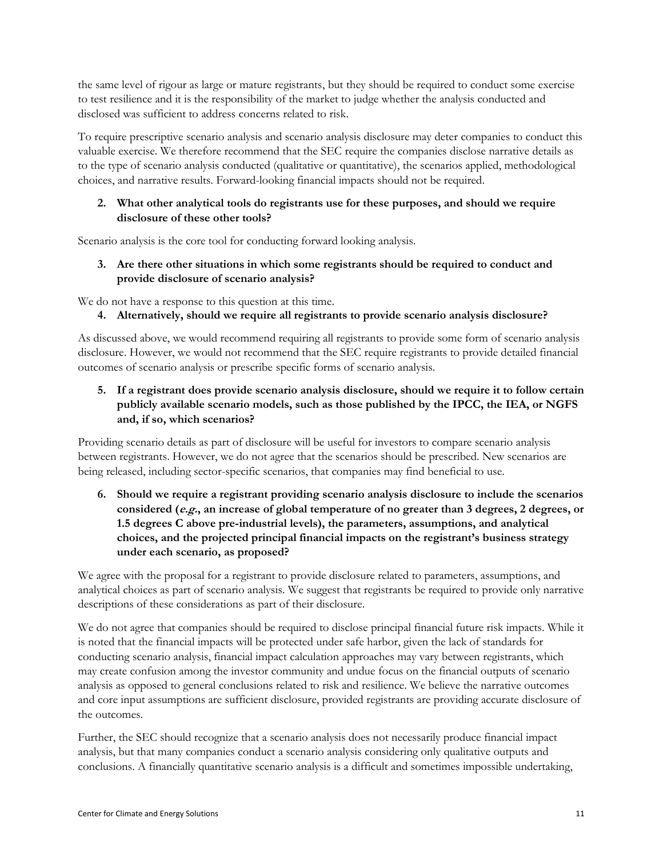the same level of rigour as large or mature registrants, but they should be required to conduct some exercise to test resilience and it is the responsibility of the market to judge whether the analysis conducted and disclosed was sufficient to address concerns related to risk.

To require prescriptive scenario analysis and scenario analysis disclosure may deter companies to conduct this valuable exercise. We therefore recommend that the SEC require the companies disclose narrative details as to the type of scenario analysis conducted (qualitative or quantitative), the scenarios applied, methodological choices, and narrative results. Forward-looking financial impacts should not be required.

#### **2. What other analytical tools do registrants use for these purposes, and should we require disclosure of these other tools?**

Scenario analysis is the core tool for conducting forward looking analysis.

**3. Are there other situations in which some registrants should be required to conduct and provide disclosure of scenario analysis?** 

We do not have a response to this question at this time.

**4. Alternatively, should we require all registrants to provide scenario analysis disclosure?** 

As discussed above, we would recommend requiring all registrants to provide some form of scenario analysis disclosure. However, we would not recommend that the SEC require registrants to provide detailed financial outcomes of scenario analysis or prescribe specific forms of scenario analysis.

**5. If a registrant does provide scenario analysis disclosure, should we require it to follow certain publicly available scenario models, such as those published by the IPCC, the IEA, or NGFS and, if so, which scenarios?** 

Providing scenario details as part of disclosure will be useful for investors to compare scenario analysis between registrants. However, we do not agree that the scenarios should be prescribed. New scenarios are being released, including sector-specific scenarios, that companies may find beneficial to use.

**6. Should we require a registrant providing scenario analysis disclosure to include the scenarios considered (e.g., an increase of global temperature of no greater than 3 degrees, 2 degrees, or 1.5 degrees C above pre-industrial levels), the parameters, assumptions, and analytical choices, and the projected principal financial impacts on the registrant's business strategy under each scenario, as proposed?** 

We agree with the proposal for a registrant to provide disclosure related to parameters, assumptions, and analytical choices as part of scenario analysis. We suggest that registrants be required to provide only narrative descriptions of these considerations as part of their disclosure.

We do not agree that companies should be required to disclose principal financial future risk impacts. While it is noted that the financial impacts will be protected under safe harbor, given the lack of standards for conducting scenario analysis, financial impact calculation approaches may vary between registrants, which may create confusion among the investor community and undue focus on the financial outputs of scenario analysis as opposed to general conclusions related to risk and resilience. We believe the narrative outcomes and core input assumptions are sufficient disclosure, provided registrants are providing accurate disclosure of the outcomes.

Further, the SEC should recognize that a scenario analysis does not necessarily produce financial impact analysis, but that many companies conduct a scenario analysis considering only qualitative outputs and conclusions. A financially quantitative scenario analysis is a difficult and sometimes impossible undertaking,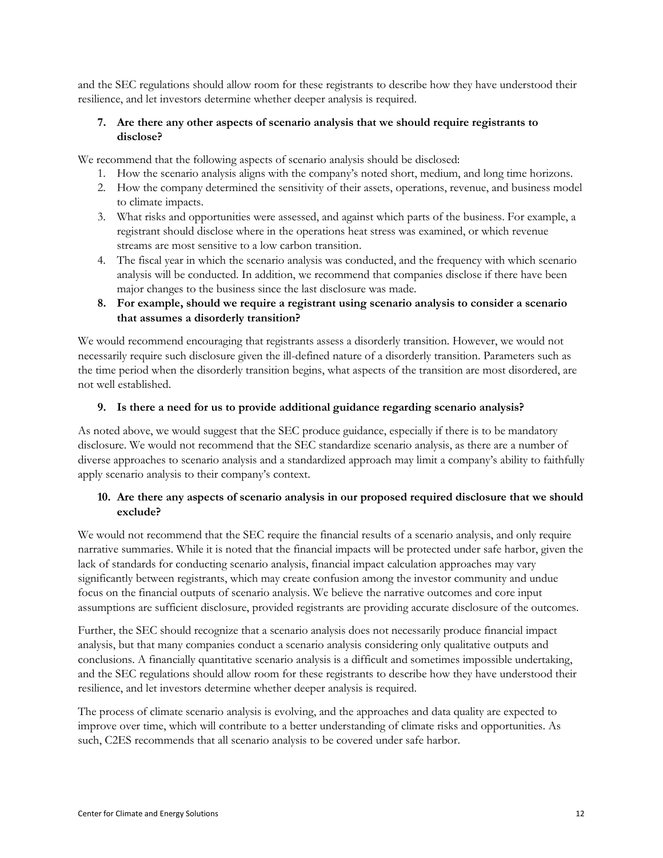and the SEC regulations should allow room for these registrants to describe how they have understood their resilience, and let investors determine whether deeper analysis is required.

#### **7. Are there any other aspects of scenario analysis that we should require registrants to disclose?**

We recommend that the following aspects of scenario analysis should be disclosed:

- 1. How the scenario analysis aligns with the company's noted short, medium, and long time horizons.
- 2. How the company determined the sensitivity of their assets, operations, revenue, and business model to climate impacts.
- 3. What risks and opportunities were assessed, and against which parts of the business. For example, a registrant should disclose where in the operations heat stress was examined, or which revenue streams are most sensitive to a low carbon transition.
- 4. The fiscal year in which the scenario analysis was conducted, and the frequency with which scenario analysis will be conducted. In addition, we recommend that companies disclose if there have been major changes to the business since the last disclosure was made.

#### **8. For example, should we require a registrant using scenario analysis to consider a scenario that assumes a disorderly transition?**

We would recommend encouraging that registrants assess a disorderly transition. However, we would not necessarily require such disclosure given the ill-defined nature of a disorderly transition. Parameters such as the time period when the disorderly transition begins, what aspects of the transition are most disordered, are not well established.

#### **9. Is there a need for us to provide additional guidance regarding scenario analysis?**

As noted above, we would suggest that the SEC produce guidance, especially if there is to be mandatory disclosure. We would not recommend that the SEC standardize scenario analysis, as there are a number of diverse approaches to scenario analysis and a standardized approach may limit a company's ability to faithfully apply scenario analysis to their company's context.

#### **10. Are there any aspects of scenario analysis in our proposed required disclosure that we should exclude?**

We would not recommend that the SEC require the financial results of a scenario analysis, and only require narrative summaries. While it is noted that the financial impacts will be protected under safe harbor, given the lack of standards for conducting scenario analysis, financial impact calculation approaches may vary significantly between registrants, which may create confusion among the investor community and undue focus on the financial outputs of scenario analysis. We believe the narrative outcomes and core input assumptions are sufficient disclosure, provided registrants are providing accurate disclosure of the outcomes.

Further, the SEC should recognize that a scenario analysis does not necessarily produce financial impact analysis, but that many companies conduct a scenario analysis considering only qualitative outputs and conclusions. A financially quantitative scenario analysis is a difficult and sometimes impossible undertaking, and the SEC regulations should allow room for these registrants to describe how they have understood their resilience, and let investors determine whether deeper analysis is required.

The process of climate scenario analysis is evolving, and the approaches and data quality are expected to improve over time, which will contribute to a better understanding of climate risks and opportunities. As such, C2ES recommends that all scenario analysis to be covered under safe harbor.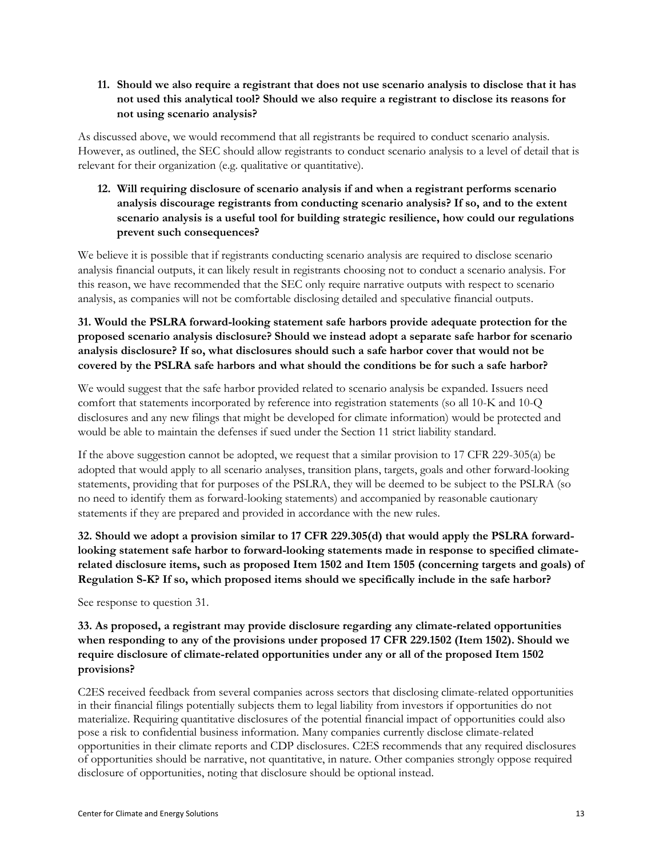#### **11. Should we also require a registrant that does not use scenario analysis to disclose that it has not used this analytical tool? Should we also require a registrant to disclose its reasons for not using scenario analysis?**

As discussed above, we would recommend that all registrants be required to conduct scenario analysis. However, as outlined, the SEC should allow registrants to conduct scenario analysis to a level of detail that is relevant for their organization (e.g. qualitative or quantitative).

### **12. Will requiring disclosure of scenario analysis if and when a registrant performs scenario analysis discourage registrants from conducting scenario analysis? If so, and to the extent scenario analysis is a useful tool for building strategic resilience, how could our regulations prevent such consequences?**

We believe it is possible that if registrants conducting scenario analysis are required to disclose scenario analysis financial outputs, it can likely result in registrants choosing not to conduct a scenario analysis. For this reason, we have recommended that the SEC only require narrative outputs with respect to scenario analysis, as companies will not be comfortable disclosing detailed and speculative financial outputs.

**31. Would the PSLRA forward-looking statement safe harbors provide adequate protection for the proposed scenario analysis disclosure? Should we instead adopt a separate safe harbor for scenario analysis disclosure? If so, what disclosures should such a safe harbor cover that would not be covered by the PSLRA safe harbors and what should the conditions be for such a safe harbor?** 

We would suggest that the safe harbor provided related to scenario analysis be expanded. Issuers need comfort that statements incorporated by reference into registration statements (so all 10-K and 10-Q disclosures and any new filings that might be developed for climate information) would be protected and would be able to maintain the defenses if sued under the Section 11 strict liability standard.

If the above suggestion cannot be adopted, we request that a similar provision to 17 CFR 229-305(a) be adopted that would apply to all scenario analyses, transition plans, targets, goals and other forward-looking statements, providing that for purposes of the PSLRA, they will be deemed to be subject to the PSLRA (so no need to identify them as forward-looking statements) and accompanied by reasonable cautionary statements if they are prepared and provided in accordance with the new rules.

**32. Should we adopt a provision similar to 17 CFR 229.305(d) that would apply the PSLRA forwardlooking statement safe harbor to forward-looking statements made in response to specified climaterelated disclosure items, such as proposed Item 1502 and Item 1505 (concerning targets and goals) of Regulation S-K? If so, which proposed items should we specifically include in the safe harbor?** 

See response to question 31.

### **33. As proposed, a registrant may provide disclosure regarding any climate-related opportunities when responding to any of the provisions under proposed 17 CFR 229.1502 (Item 1502). Should we require disclosure of climate-related opportunities under any or all of the proposed Item 1502 provisions?**

C2ES received feedback from several companies across sectors that disclosing climate-related opportunities in their financial filings potentially subjects them to legal liability from investors if opportunities do not materialize. Requiring quantitative disclosures of the potential financial impact of opportunities could also pose a risk to confidential business information. Many companies currently disclose climate-related opportunities in their climate reports and CDP disclosures. C2ES recommends that any required disclosures of opportunities should be narrative, not quantitative, in nature. Other companies strongly oppose required disclosure of opportunities, noting that disclosure should be optional instead.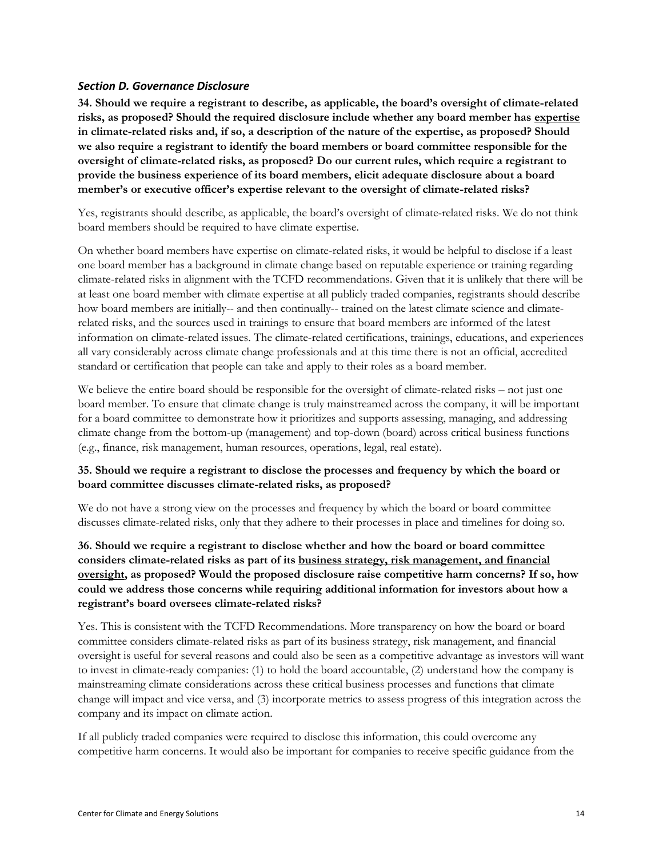#### <span id="page-13-0"></span>*Section D. Governance Disclosure*

**34. Should we require a registrant to describe, as applicable, the board's oversight of climate-related risks, as proposed? Should the required disclosure include whether any board member has expertise in climate-related risks and, if so, a description of the nature of the expertise, as proposed? Should we also require a registrant to identify the board members or board committee responsible for the oversight of climate-related risks, as proposed? Do our current rules, which require a registrant to provide the business experience of its board members, elicit adequate disclosure about a board member's or executive officer's expertise relevant to the oversight of climate-related risks?** 

Yes, registrants should describe, as applicable, the board's oversight of climate-related risks. We do not think board members should be required to have climate expertise.

On whether board members have expertise on climate-related risks, it would be helpful to disclose if a least one board member has a background in climate change based on reputable experience or training regarding climate-related risks in alignment with the TCFD recommendations. Given that it is unlikely that there will be at least one board member with climate expertise at all publicly traded companies, registrants should describe how board members are initially-- and then continually-- trained on the latest climate science and climaterelated risks, and the sources used in trainings to ensure that board members are informed of the latest information on climate-related issues. The climate-related certifications, trainings, educations, and experiences all vary considerably across climate change professionals and at this time there is not an official, accredited standard or certification that people can take and apply to their roles as a board member.

We believe the entire board should be responsible for the oversight of climate-related risks – not just one board member. To ensure that climate change is truly mainstreamed across the company, it will be important for a board committee to demonstrate how it prioritizes and supports assessing, managing, and addressing climate change from the bottom-up (management) and top-down (board) across critical business functions (e.g., finance, risk management, human resources, operations, legal, real estate).

#### **35. Should we require a registrant to disclose the processes and frequency by which the board or board committee discusses climate-related risks, as proposed?**

We do not have a strong view on the processes and frequency by which the board or board committee discusses climate-related risks, only that they adhere to their processes in place and timelines for doing so.

**36. Should we require a registrant to disclose whether and how the board or board committee considers climate-related risks as part of its business strategy, risk management, and financial oversight, as proposed? Would the proposed disclosure raise competitive harm concerns? If so, how could we address those concerns while requiring additional information for investors about how a registrant's board oversees climate-related risks?** 

Yes. This is consistent with the TCFD Recommendations. More transparency on how the board or board committee considers climate-related risks as part of its business strategy, risk management, and financial oversight is useful for several reasons and could also be seen as a competitive advantage as investors will want to invest in climate-ready companies: (1) to hold the board accountable, (2) understand how the company is mainstreaming climate considerations across these critical business processes and functions that climate change will impact and vice versa, and (3) incorporate metrics to assess progress of this integration across the company and its impact on climate action.

If all publicly traded companies were required to disclose this information, this could overcome any competitive harm concerns. It would also be important for companies to receive specific guidance from the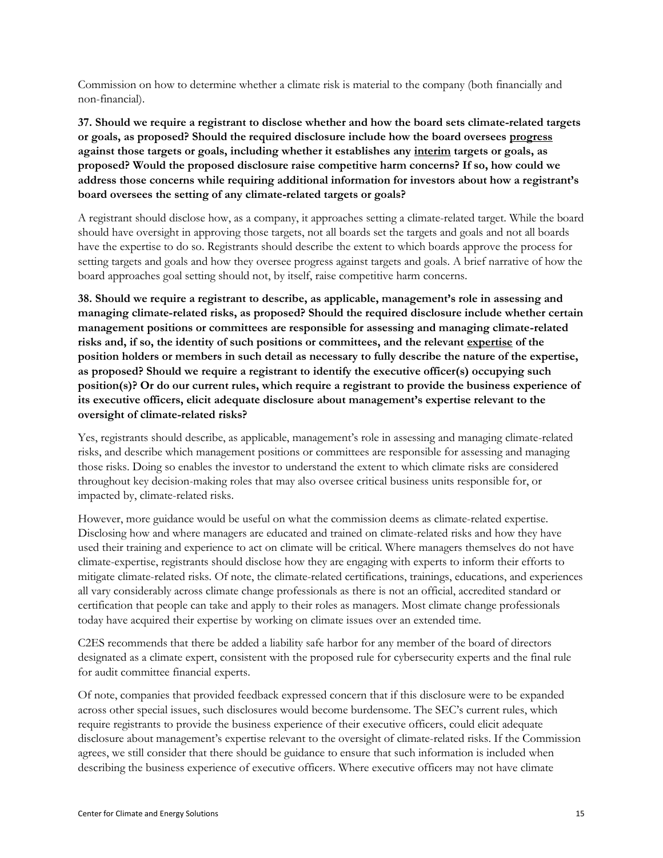Commission on how to determine whether a climate risk is material to the company (both financially and non-financial).

**37. Should we require a registrant to disclose whether and how the board sets climate-related targets or goals, as proposed? Should the required disclosure include how the board oversees progress against those targets or goals, including whether it establishes any interim targets or goals, as proposed? Would the proposed disclosure raise competitive harm concerns? If so, how could we address those concerns while requiring additional information for investors about how a registrant's board oversees the setting of any climate-related targets or goals?** 

A registrant should disclose how, as a company, it approaches setting a climate-related target. While the board should have oversight in approving those targets, not all boards set the targets and goals and not all boards have the expertise to do so. Registrants should describe the extent to which boards approve the process for setting targets and goals and how they oversee progress against targets and goals. A brief narrative of how the board approaches goal setting should not, by itself, raise competitive harm concerns.

**38. Should we require a registrant to describe, as applicable, management's role in assessing and managing climate-related risks, as proposed? Should the required disclosure include whether certain management positions or committees are responsible for assessing and managing climate-related risks and, if so, the identity of such positions or committees, and the relevant expertise of the position holders or members in such detail as necessary to fully describe the nature of the expertise, as proposed? Should we require a registrant to identify the executive officer(s) occupying such position(s)? Or do our current rules, which require a registrant to provide the business experience of its executive officers, elicit adequate disclosure about management's expertise relevant to the oversight of climate-related risks?** 

Yes, registrants should describe, as applicable, management's role in assessing and managing climate-related risks, and describe which management positions or committees are responsible for assessing and managing those risks. Doing so enables the investor to understand the extent to which climate risks are considered throughout key decision-making roles that may also oversee critical business units responsible for, or impacted by, climate-related risks.

However, more guidance would be useful on what the commission deems as climate-related expertise. Disclosing how and where managers are educated and trained on climate-related risks and how they have used their training and experience to act on climate will be critical. Where managers themselves do not have climate-expertise, registrants should disclose how they are engaging with experts to inform their efforts to mitigate climate-related risks. Of note, the climate-related certifications, trainings, educations, and experiences all vary considerably across climate change professionals as there is not an official, accredited standard or certification that people can take and apply to their roles as managers. Most climate change professionals today have acquired their expertise by working on climate issues over an extended time.

C2ES recommends that there be added a liability safe harbor for any member of the board of directors designated as a climate expert, consistent with the proposed rule for cybersecurity experts and the final rule for audit committee financial experts.

Of note, companies that provided feedback expressed concern that if this disclosure were to be expanded across other special issues, such disclosures would become burdensome. The SEC's current rules, which require registrants to provide the business experience of their executive officers, could elicit adequate disclosure about management's expertise relevant to the oversight of climate-related risks. If the Commission agrees, we still consider that there should be guidance to ensure that such information is included when describing the business experience of executive officers. Where executive officers may not have climate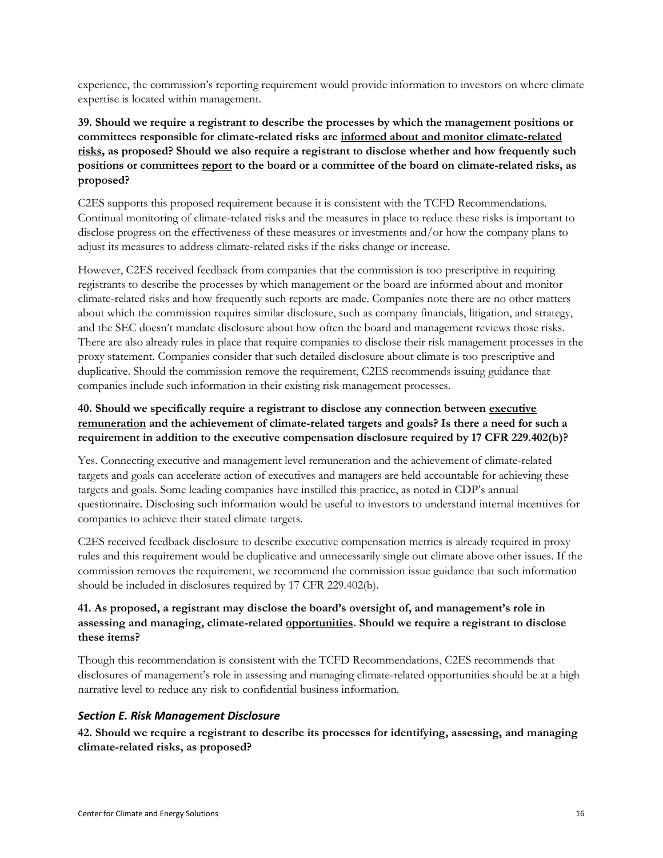experience, the commission's reporting requirement would provide information to investors on where climate expertise is located within management.

**39. Should we require a registrant to describe the processes by which the management positions or committees responsible for climate-related risks are informed about and monitor climate-related risks, as proposed? Should we also require a registrant to disclose whether and how frequently such positions or committees report to the board or a committee of the board on climate-related risks, as proposed?** 

C2ES supports this proposed requirement because it is consistent with the TCFD Recommendations. Continual monitoring of climate-related risks and the measures in place to reduce these risks is important to disclose progress on the effectiveness of these measures or investments and/or how the company plans to adjust its measures to address climate-related risks if the risks change or increase.

However, C2ES received feedback from companies that the commission is too prescriptive in requiring registrants to describe the processes by which management or the board are informed about and monitor climate-related risks and how frequently such reports are made. Companies note there are no other matters about which the commission requires similar disclosure, such as company financials, litigation, and strategy, and the SEC doesn't mandate disclosure about how often the board and management reviews those risks. There are also already rules in place that require companies to disclose their risk management processes in the proxy statement. Companies consider that such detailed disclosure about climate is too prescriptive and duplicative. Should the commission remove the requirement, C2ES recommends issuing guidance that companies include such information in their existing risk management processes.

### **40. Should we specifically require a registrant to disclose any connection between executive remuneration and the achievement of climate-related targets and goals? Is there a need for such a requirement in addition to the executive compensation disclosure required by 17 CFR 229.402(b)?**

Yes. Connecting executive and management level remuneration and the achievement of climate-related targets and goals can accelerate action of executives and managers are held accountable for achieving these targets and goals. Some leading companies have instilled this practice, as noted in CDP's annual questionnaire. Disclosing such information would be useful to investors to understand internal incentives for companies to achieve their stated climate targets.

C2ES received feedback disclosure to describe executive compensation metrics is already required in proxy rules and this requirement would be duplicative and unnecessarily single out climate above other issues. If the commission removes the requirement, we recommend the commission issue guidance that such information should be included in disclosures required by 17 CFR 229.402(b).

# **41. As proposed, a registrant may disclose the board's oversight of, and management's role in assessing and managing, climate-related opportunities. Should we require a registrant to disclose these items?**

Though this recommendation is consistent with the TCFD Recommendations, C2ES recommends that disclosures of management's role in assessing and managing climate-related opportunities should be at a high narrative level to reduce any risk to confidential business information.

#### <span id="page-15-0"></span>*Section E. Risk Management Disclosure*

**42. Should we require a registrant to describe its processes for identifying, assessing, and managing climate-related risks, as proposed?**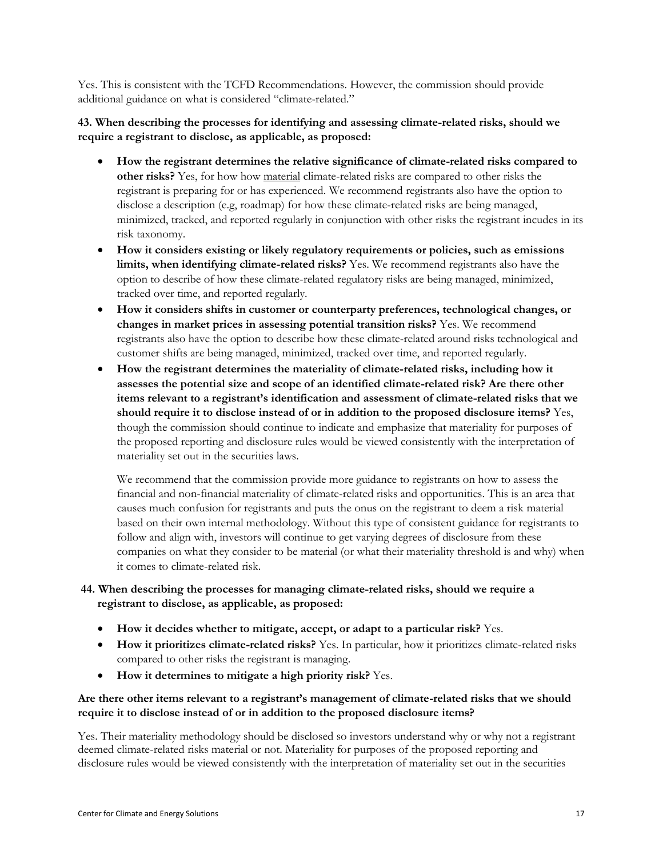Yes. This is consistent with the TCFD Recommendations. However, the commission should provide additional guidance on what is considered "climate-related."

#### **43. When describing the processes for identifying and assessing climate-related risks, should we require a registrant to disclose, as applicable, as proposed:**

- **How the registrant determines the relative significance of climate-related risks compared to other risks?** Yes, for how how material climate-related risks are compared to other risks the registrant is preparing for or has experienced. We recommend registrants also have the option to disclose a description (e.g, roadmap) for how these climate-related risks are being managed, minimized, tracked, and reported regularly in conjunction with other risks the registrant incudes in its risk taxonomy.
- **How it considers existing or likely regulatory requirements or policies, such as emissions limits, when identifying climate-related risks?** Yes. We recommend registrants also have the option to describe of how these climate-related regulatory risks are being managed, minimized, tracked over time, and reported regularly.
- **How it considers shifts in customer or counterparty preferences, technological changes, or changes in market prices in assessing potential transition risks?** Yes. We recommend registrants also have the option to describe how these climate-related around risks technological and customer shifts are being managed, minimized, tracked over time, and reported regularly.
- **How the registrant determines the materiality of climate-related risks, including how it assesses the potential size and scope of an identified climate-related risk? Are there other items relevant to a registrant's identification and assessment of climate-related risks that we should require it to disclose instead of or in addition to the proposed disclosure items?** Yes, though the commission should continue to indicate and emphasize that materiality for purposes of the proposed reporting and disclosure rules would be viewed consistently with the interpretation of materiality set out in the securities laws.

We recommend that the commission provide more guidance to registrants on how to assess the financial and non-financial materiality of climate-related risks and opportunities. This is an area that causes much confusion for registrants and puts the onus on the registrant to deem a risk material based on their own internal methodology. Without this type of consistent guidance for registrants to follow and align with, investors will continue to get varying degrees of disclosure from these companies on what they consider to be material (or what their materiality threshold is and why) when it comes to climate-related risk.

#### **44. When describing the processes for managing climate-related risks, should we require a registrant to disclose, as applicable, as proposed:**

- **How it decides whether to mitigate, accept, or adapt to a particular risk?** Yes.
- **How it prioritizes climate-related risks?** Yes. In particular, how it prioritizes climate-related risks compared to other risks the registrant is managing.
- **How it determines to mitigate a high priority risk?** Yes.

# **Are there other items relevant to a registrant's management of climate-related risks that we should require it to disclose instead of or in addition to the proposed disclosure items?**

Yes. Their materiality methodology should be disclosed so investors understand why or why not a registrant deemed climate-related risks material or not. Materiality for purposes of the proposed reporting and disclosure rules would be viewed consistently with the interpretation of materiality set out in the securities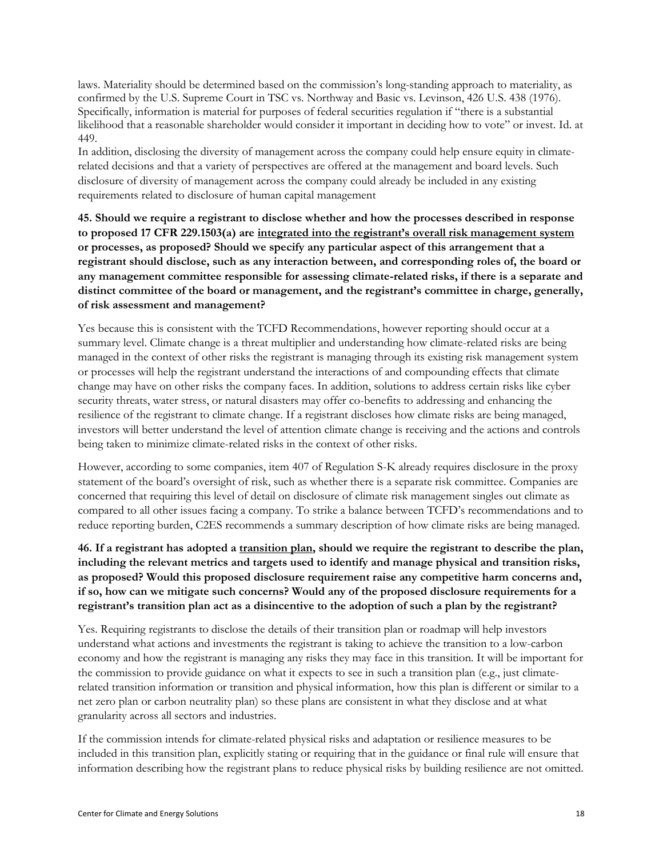laws. Materiality should be determined based on the commission's long-standing approach to materiality, as confirmed by the U.S. Supreme Court in TSC vs. Northway and Basic vs. Levinson, 426 U.S. 438 (1976). Specifically, information is material for purposes of federal securities regulation if "there is a substantial likelihood that a reasonable shareholder would consider it important in deciding how to vote" or invest. Id. at 449.

In addition, disclosing the diversity of management across the company could help ensure equity in climaterelated decisions and that a variety of perspectives are offered at the management and board levels. Such disclosure of diversity of management across the company could already be included in any existing requirements related to disclosure of human capital management

**45. Should we require a registrant to disclose whether and how the processes described in response to proposed 17 CFR 229.1503(a) are integrated into the registrant's overall risk management system or processes, as proposed? Should we specify any particular aspect of this arrangement that a registrant should disclose, such as any interaction between, and corresponding roles of, the board or any management committee responsible for assessing climate-related risks, if there is a separate and distinct committee of the board or management, and the registrant's committee in charge, generally, of risk assessment and management?** 

Yes because this is consistent with the TCFD Recommendations, however reporting should occur at a summary level. Climate change is a threat multiplier and understanding how climate-related risks are being managed in the context of other risks the registrant is managing through its existing risk management system or processes will help the registrant understand the interactions of and compounding effects that climate change may have on other risks the company faces. In addition, solutions to address certain risks like cyber security threats, water stress, or natural disasters may offer co-benefits to addressing and enhancing the resilience of the registrant to climate change. If a registrant discloses how climate risks are being managed, investors will better understand the level of attention climate change is receiving and the actions and controls being taken to minimize climate-related risks in the context of other risks.

However, according to some companies, item 407 of Regulation S-K already requires disclosure in the proxy statement of the board's oversight of risk, such as whether there is a separate risk committee. Companies are concerned that requiring this level of detail on disclosure of climate risk management singles out climate as compared to all other issues facing a company. To strike a balance between TCFD's recommendations and to reduce reporting burden, C2ES recommends a summary description of how climate risks are being managed.

**46. If a registrant has adopted a transition plan, should we require the registrant to describe the plan, including the relevant metrics and targets used to identify and manage physical and transition risks, as proposed? Would this proposed disclosure requirement raise any competitive harm concerns and, if so, how can we mitigate such concerns? Would any of the proposed disclosure requirements for a registrant's transition plan act as a disincentive to the adoption of such a plan by the registrant?** 

Yes. Requiring registrants to disclose the details of their transition plan or roadmap will help investors understand what actions and investments the registrant is taking to achieve the transition to a low-carbon economy and how the registrant is managing any risks they may face in this transition. It will be important for the commission to provide guidance on what it expects to see in such a transition plan (e.g., just climaterelated transition information or transition and physical information, how this plan is different or similar to a net zero plan or carbon neutrality plan) so these plans are consistent in what they disclose and at what granularity across all sectors and industries.

If the commission intends for climate-related physical risks and adaptation or resilience measures to be included in this transition plan, explicitly stating or requiring that in the guidance or final rule will ensure that information describing how the registrant plans to reduce physical risks by building resilience are not omitted.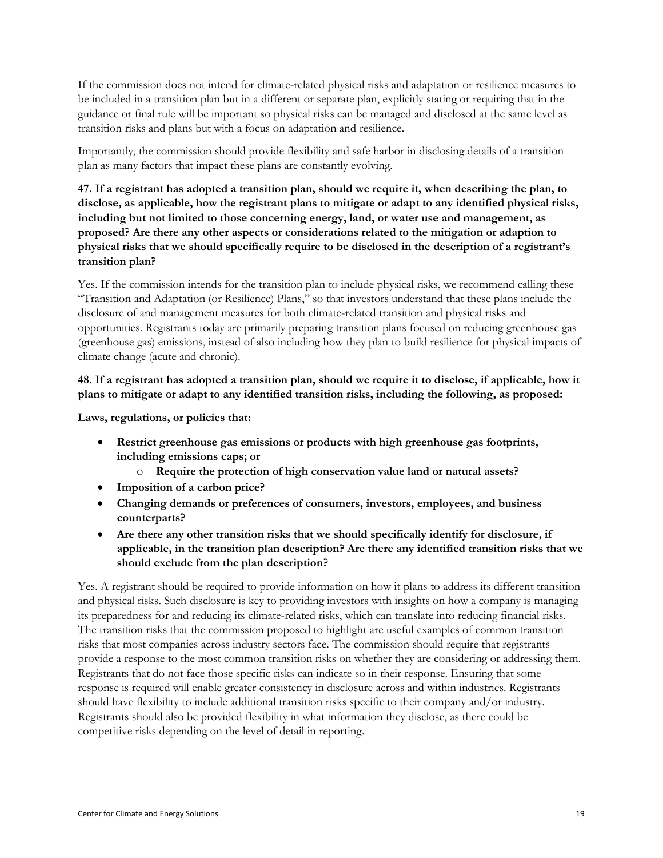If the commission does not intend for climate-related physical risks and adaptation or resilience measures to be included in a transition plan but in a different or separate plan, explicitly stating or requiring that in the guidance or final rule will be important so physical risks can be managed and disclosed at the same level as transition risks and plans but with a focus on adaptation and resilience.

Importantly, the commission should provide flexibility and safe harbor in disclosing details of a transition plan as many factors that impact these plans are constantly evolving.

**47. If a registrant has adopted a transition plan, should we require it, when describing the plan, to disclose, as applicable, how the registrant plans to mitigate or adapt to any identified physical risks, including but not limited to those concerning energy, land, or water use and management, as proposed? Are there any other aspects or considerations related to the mitigation or adaption to physical risks that we should specifically require to be disclosed in the description of a registrant's transition plan?** 

Yes. If the commission intends for the transition plan to include physical risks, we recommend calling these "Transition and Adaptation (or Resilience) Plans," so that investors understand that these plans include the disclosure of and management measures for both climate-related transition and physical risks and opportunities. Registrants today are primarily preparing transition plans focused on reducing greenhouse gas (greenhouse gas) emissions, instead of also including how they plan to build resilience for physical impacts of climate change (acute and chronic).

### **48. If a registrant has adopted a transition plan, should we require it to disclose, if applicable, how it plans to mitigate or adapt to any identified transition risks, including the following, as proposed:**

**Laws, regulations, or policies that:**

- **Restrict greenhouse gas emissions or products with high greenhouse gas footprints, including emissions caps; or**
	- o **Require the protection of high conservation value land or natural assets?**
- **Imposition of a carbon price?**
- **Changing demands or preferences of consumers, investors, employees, and business counterparts?**
- **Are there any other transition risks that we should specifically identify for disclosure, if applicable, in the transition plan description? Are there any identified transition risks that we should exclude from the plan description?**

Yes. A registrant should be required to provide information on how it plans to address its different transition and physical risks. Such disclosure is key to providing investors with insights on how a company is managing its preparedness for and reducing its climate-related risks, which can translate into reducing financial risks. The transition risks that the commission proposed to highlight are useful examples of common transition risks that most companies across industry sectors face. The commission should require that registrants provide a response to the most common transition risks on whether they are considering or addressing them. Registrants that do not face those specific risks can indicate so in their response. Ensuring that some response is required will enable greater consistency in disclosure across and within industries. Registrants should have flexibility to include additional transition risks specific to their company and/or industry. Registrants should also be provided flexibility in what information they disclose, as there could be competitive risks depending on the level of detail in reporting.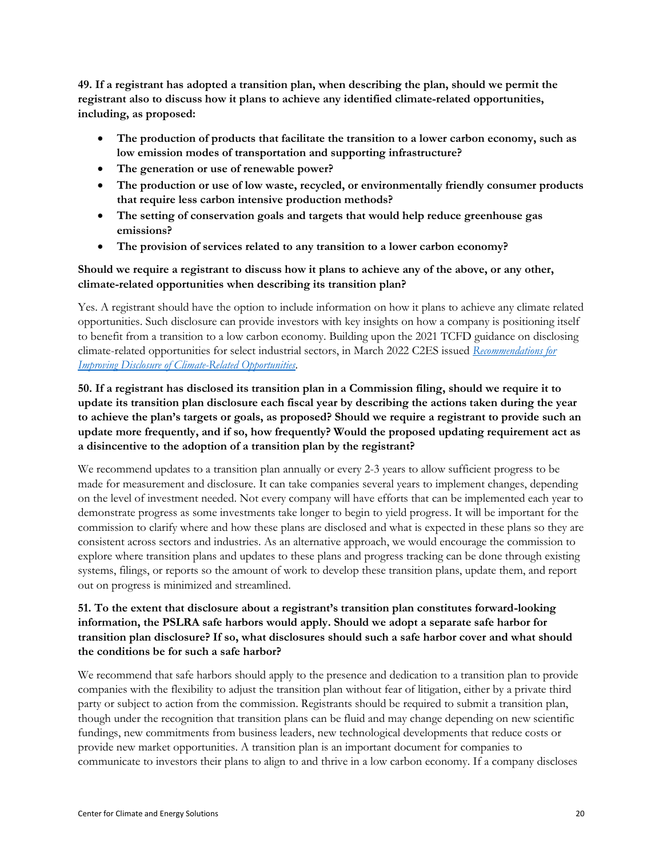**49. If a registrant has adopted a transition plan, when describing the plan, should we permit the registrant also to discuss how it plans to achieve any identified climate-related opportunities, including, as proposed:**

- **The production of products that facilitate the transition to a lower carbon economy, such as low emission modes of transportation and supporting infrastructure?**
- **The generation or use of renewable power?**
- **The production or use of low waste, recycled, or environmentally friendly consumer products that require less carbon intensive production methods?**
- **The setting of conservation goals and targets that would help reduce greenhouse gas emissions?**
- **The provision of services related to any transition to a lower carbon economy?**

### **Should we require a registrant to discuss how it plans to achieve any of the above, or any other, climate-related opportunities when describing its transition plan?**

Yes. A registrant should have the option to include information on how it plans to achieve any climate related opportunities. Such disclosure can provide investors with key insights on how a company is positioning itself to benefit from a transition to a low carbon economy. Building upon the 2021 TCFD guidance on disclosing climate-related opportunities for select industrial sectors, in March 2022 C2ES issued *[Recommendations for](https://www.c2es.org/document/recommendations-for-improving-disclosure-of-climate-related-opportunities/)  [Improving Disclosure of Climate-Related Opportunities](https://www.c2es.org/document/recommendations-for-improving-disclosure-of-climate-related-opportunities/)*.

# **50. If a registrant has disclosed its transition plan in a Commission filing, should we require it to update its transition plan disclosure each fiscal year by describing the actions taken during the year to achieve the plan's targets or goals, as proposed? Should we require a registrant to provide such an update more frequently, and if so, how frequently? Would the proposed updating requirement act as a disincentive to the adoption of a transition plan by the registrant?**

We recommend updates to a transition plan annually or every 2-3 years to allow sufficient progress to be made for measurement and disclosure. It can take companies several years to implement changes, depending on the level of investment needed. Not every company will have efforts that can be implemented each year to demonstrate progress as some investments take longer to begin to yield progress. It will be important for the commission to clarify where and how these plans are disclosed and what is expected in these plans so they are consistent across sectors and industries. As an alternative approach, we would encourage the commission to explore where transition plans and updates to these plans and progress tracking can be done through existing systems, filings, or reports so the amount of work to develop these transition plans, update them, and report out on progress is minimized and streamlined.

# **51. To the extent that disclosure about a registrant's transition plan constitutes forward-looking information, the PSLRA safe harbors would apply. Should we adopt a separate safe harbor for transition plan disclosure? If so, what disclosures should such a safe harbor cover and what should the conditions be for such a safe harbor?**

We recommend that safe harbors should apply to the presence and dedication to a transition plan to provide companies with the flexibility to adjust the transition plan without fear of litigation, either by a private third party or subject to action from the commission. Registrants should be required to submit a transition plan, though under the recognition that transition plans can be fluid and may change depending on new scientific fundings, new commitments from business leaders, new technological developments that reduce costs or provide new market opportunities. A transition plan is an important document for companies to communicate to investors their plans to align to and thrive in a low carbon economy. If a company discloses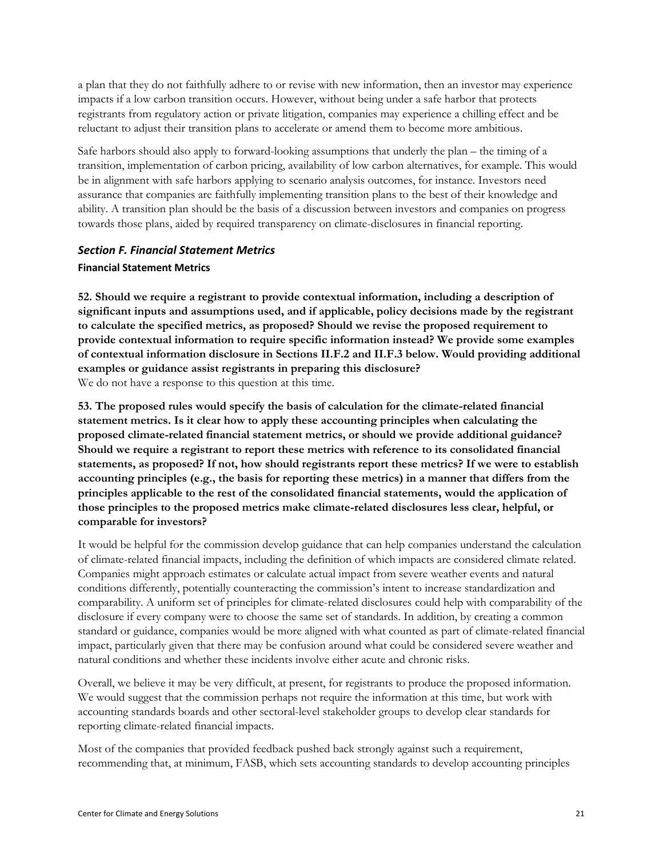a plan that they do not faithfully adhere to or revise with new information, then an investor may experience impacts if a low carbon transition occurs. However, without being under a safe harbor that protects registrants from regulatory action or private litigation, companies may experience a chilling effect and be reluctant to adjust their transition plans to accelerate or amend them to become more ambitious.

Safe harbors should also apply to forward-looking assumptions that underly the plan – the timing of a transition, implementation of carbon pricing, availability of low carbon alternatives, for example. This would be in alignment with safe harbors applying to scenario analysis outcomes, for instance. Investors need assurance that companies are faithfully implementing transition plans to the best of their knowledge and ability. A transition plan should be the basis of a discussion between investors and companies on progress towards those plans, aided by required transparency on climate-disclosures in financial reporting.

# <span id="page-20-0"></span>*Section F. Financial Statement Metrics* **Financial Statement Metrics**

**52. Should we require a registrant to provide contextual information, including a description of significant inputs and assumptions used, and if applicable, policy decisions made by the registrant to calculate the specified metrics, as proposed? Should we revise the proposed requirement to provide contextual information to require specific information instead? We provide some examples of contextual information disclosure in Sections II.F.2 and II.F.3 below. Would providing additional examples or guidance assist registrants in preparing this disclosure?**  We do not have a response to this question at this time.

**53. The proposed rules would specify the basis of calculation for the climate-related financial statement metrics. Is it clear how to apply these accounting principles when calculating the proposed climate-related financial statement metrics, or should we provide additional guidance? Should we require a registrant to report these metrics with reference to its consolidated financial statements, as proposed? If not, how should registrants report these metrics? If we were to establish accounting principles (e.g., the basis for reporting these metrics) in a manner that differs from the principles applicable to the rest of the consolidated financial statements, would the application of those principles to the proposed metrics make climate-related disclosures less clear, helpful, or comparable for investors?** 

It would be helpful for the commission develop guidance that can help companies understand the calculation of climate-related financial impacts, including the definition of which impacts are considered climate related. Companies might approach estimates or calculate actual impact from severe weather events and natural conditions differently, potentially counteracting the commission's intent to increase standardization and comparability. A uniform set of principles for climate-related disclosures could help with comparability of the disclosure if every company were to choose the same set of standards. In addition, by creating a common standard or guidance, companies would be more aligned with what counted as part of climate-related financial impact, particularly given that there may be confusion around what could be considered severe weather and natural conditions and whether these incidents involve either acute and chronic risks.

Overall, we believe it may be very difficult, at present, for registrants to produce the proposed information. We would suggest that the commission perhaps not require the information at this time, but work with accounting standards boards and other sectoral-level stakeholder groups to develop clear standards for reporting climate-related financial impacts.

Most of the companies that provided feedback pushed back strongly against such a requirement, recommending that, at minimum, FASB, which sets accounting standards to develop accounting principles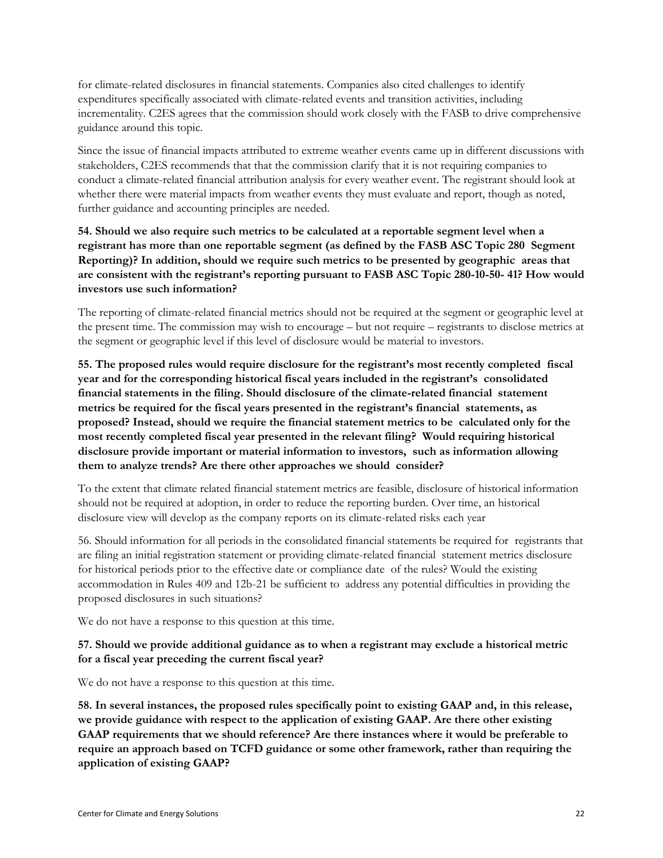for climate-related disclosures in financial statements. Companies also cited challenges to identify expenditures specifically associated with climate-related events and transition activities, including incrementality. C2ES agrees that the commission should work closely with the FASB to drive comprehensive guidance around this topic.

Since the issue of financial impacts attributed to extreme weather events came up in different discussions with stakeholders, C2ES recommends that that the commission clarify that it is not requiring companies to conduct a climate-related financial attribution analysis for every weather event. The registrant should look at whether there were material impacts from weather events they must evaluate and report, though as noted, further guidance and accounting principles are needed.

**54. Should we also require such metrics to be calculated at a reportable segment level when a registrant has more than one reportable segment (as defined by the FASB ASC Topic 280 Segment Reporting)? In addition, should we require such metrics to be presented by geographic areas that are consistent with the registrant's reporting pursuant to FASB ASC Topic 280-10-50- 41? How would investors use such information?** 

The reporting of climate-related financial metrics should not be required at the segment or geographic level at the present time. The commission may wish to encourage – but not require – registrants to disclose metrics at the segment or geographic level if this level of disclosure would be material to investors.

**55. The proposed rules would require disclosure for the registrant's most recently completed fiscal year and for the corresponding historical fiscal years included in the registrant's consolidated financial statements in the filing. Should disclosure of the climate-related financial statement metrics be required for the fiscal years presented in the registrant's financial statements, as proposed? Instead, should we require the financial statement metrics to be calculated only for the most recently completed fiscal year presented in the relevant filing? Would requiring historical disclosure provide important or material information to investors, such as information allowing them to analyze trends? Are there other approaches we should consider?** 

To the extent that climate related financial statement metrics are feasible, disclosure of historical information should not be required at adoption, in order to reduce the reporting burden. Over time, an historical disclosure view will develop as the company reports on its climate-related risks each year

56. Should information for all periods in the consolidated financial statements be required for registrants that are filing an initial registration statement or providing climate-related financial statement metrics disclosure for historical periods prior to the effective date or compliance date of the rules? Would the existing accommodation in Rules 409 and 12b-21 be sufficient to address any potential difficulties in providing the proposed disclosures in such situations?

We do not have a response to this question at this time.

#### **57. Should we provide additional guidance as to when a registrant may exclude a historical metric for a fiscal year preceding the current fiscal year?**

We do not have a response to this question at this time.

**58. In several instances, the proposed rules specifically point to existing GAAP and, in this release, we provide guidance with respect to the application of existing GAAP. Are there other existing GAAP requirements that we should reference? Are there instances where it would be preferable to require an approach based on TCFD guidance or some other framework, rather than requiring the application of existing GAAP?**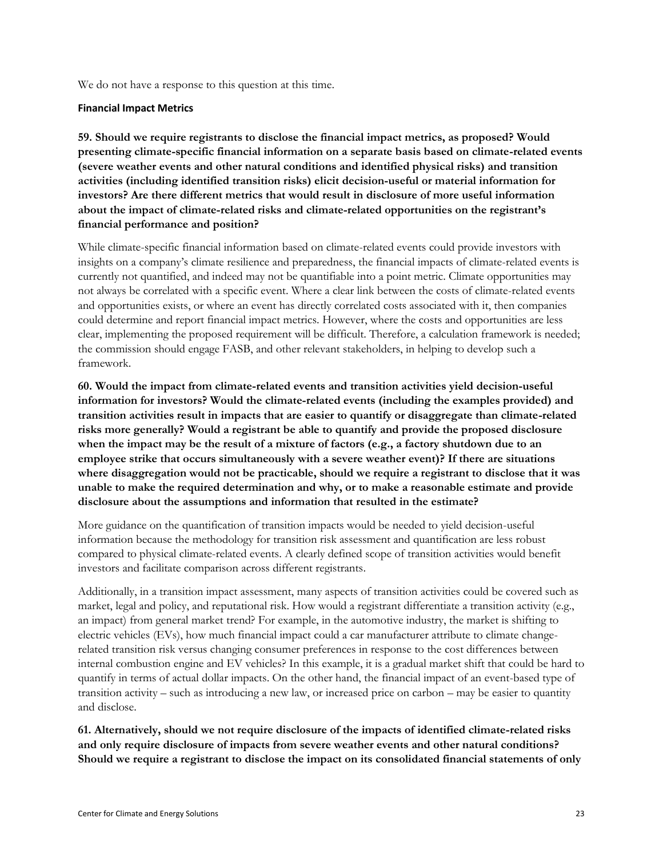We do not have a response to this question at this time.

#### **Financial Impact Metrics**

**59. Should we require registrants to disclose the financial impact metrics, as proposed? Would presenting climate-specific financial information on a separate basis based on climate-related events (severe weather events and other natural conditions and identified physical risks) and transition activities (including identified transition risks) elicit decision-useful or material information for investors? Are there different metrics that would result in disclosure of more useful information about the impact of climate-related risks and climate-related opportunities on the registrant's financial performance and position?**

While climate-specific financial information based on climate-related events could provide investors with insights on a company's climate resilience and preparedness, the financial impacts of climate-related events is currently not quantified, and indeed may not be quantifiable into a point metric. Climate opportunities may not always be correlated with a specific event. Where a clear link between the costs of climate-related events and opportunities exists, or where an event has directly correlated costs associated with it, then companies could determine and report financial impact metrics. However, where the costs and opportunities are less clear, implementing the proposed requirement will be difficult. Therefore, a calculation framework is needed; the commission should engage FASB, and other relevant stakeholders, in helping to develop such a framework.

**60. Would the impact from climate-related events and transition activities yield decision-useful information for investors? Would the climate-related events (including the examples provided) and transition activities result in impacts that are easier to quantify or disaggregate than climate-related risks more generally? Would a registrant be able to quantify and provide the proposed disclosure when the impact may be the result of a mixture of factors (e.g., a factory shutdown due to an employee strike that occurs simultaneously with a severe weather event)? If there are situations where disaggregation would not be practicable, should we require a registrant to disclose that it was unable to make the required determination and why, or to make a reasonable estimate and provide disclosure about the assumptions and information that resulted in the estimate?** 

More guidance on the quantification of transition impacts would be needed to yield decision-useful information because the methodology for transition risk assessment and quantification are less robust compared to physical climate-related events. A clearly defined scope of transition activities would benefit investors and facilitate comparison across different registrants.

Additionally, in a transition impact assessment, many aspects of transition activities could be covered such as market, legal and policy, and reputational risk. How would a registrant differentiate a transition activity (e.g., an impact) from general market trend? For example, in the automotive industry, the market is shifting to electric vehicles (EVs), how much financial impact could a car manufacturer attribute to climate changerelated transition risk versus changing consumer preferences in response to the cost differences between internal combustion engine and EV vehicles? In this example, it is a gradual market shift that could be hard to quantify in terms of actual dollar impacts. On the other hand, the financial impact of an event-based type of transition activity – such as introducing a new law, or increased price on carbon – may be easier to quantity and disclose.

**61. Alternatively, should we not require disclosure of the impacts of identified climate-related risks and only require disclosure of impacts from severe weather events and other natural conditions? Should we require a registrant to disclose the impact on its consolidated financial statements of only**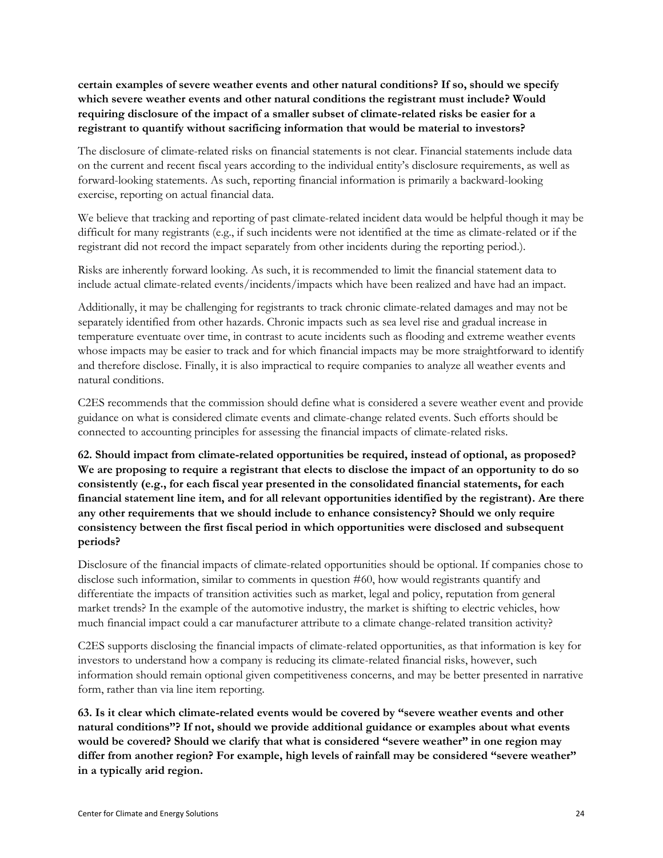**certain examples of severe weather events and other natural conditions? If so, should we specify which severe weather events and other natural conditions the registrant must include? Would requiring disclosure of the impact of a smaller subset of climate-related risks be easier for a registrant to quantify without sacrificing information that would be material to investors?** 

The disclosure of climate-related risks on financial statements is not clear. Financial statements include data on the current and recent fiscal years according to the individual entity's disclosure requirements, as well as forward-looking statements. As such, reporting financial information is primarily a backward-looking exercise, reporting on actual financial data.

We believe that tracking and reporting of past climate-related incident data would be helpful though it may be difficult for many registrants (e.g., if such incidents were not identified at the time as climate-related or if the registrant did not record the impact separately from other incidents during the reporting period.).

Risks are inherently forward looking. As such, it is recommended to limit the financial statement data to include actual climate-related events/incidents/impacts which have been realized and have had an impact.

Additionally, it may be challenging for registrants to track chronic climate-related damages and may not be separately identified from other hazards. Chronic impacts such as sea level rise and gradual increase in temperature eventuate over time, in contrast to acute incidents such as flooding and extreme weather events whose impacts may be easier to track and for which financial impacts may be more straightforward to identify and therefore disclose. Finally, it is also impractical to require companies to analyze all weather events and natural conditions.

C2ES recommends that the commission should define what is considered a severe weather event and provide guidance on what is considered climate events and climate-change related events. Such efforts should be connected to accounting principles for assessing the financial impacts of climate-related risks.

**62. Should impact from climate-related opportunities be required, instead of optional, as proposed? We are proposing to require a registrant that elects to disclose the impact of an opportunity to do so consistently (e.g., for each fiscal year presented in the consolidated financial statements, for each financial statement line item, and for all relevant opportunities identified by the registrant). Are there any other requirements that we should include to enhance consistency? Should we only require consistency between the first fiscal period in which opportunities were disclosed and subsequent periods?** 

Disclosure of the financial impacts of climate-related opportunities should be optional. If companies chose to disclose such information, similar to comments in question #60, how would registrants quantify and differentiate the impacts of transition activities such as market, legal and policy, reputation from general market trends? In the example of the automotive industry, the market is shifting to electric vehicles, how much financial impact could a car manufacturer attribute to a climate change-related transition activity?

C2ES supports disclosing the financial impacts of climate-related opportunities, as that information is key for investors to understand how a company is reducing its climate-related financial risks, however, such information should remain optional given competitiveness concerns, and may be better presented in narrative form, rather than via line item reporting.

**63. Is it clear which climate-related events would be covered by "severe weather events and other natural conditions"? If not, should we provide additional guidance or examples about what events would be covered? Should we clarify that what is considered "severe weather" in one region may differ from another region? For example, high levels of rainfall may be considered "severe weather" in a typically arid region.**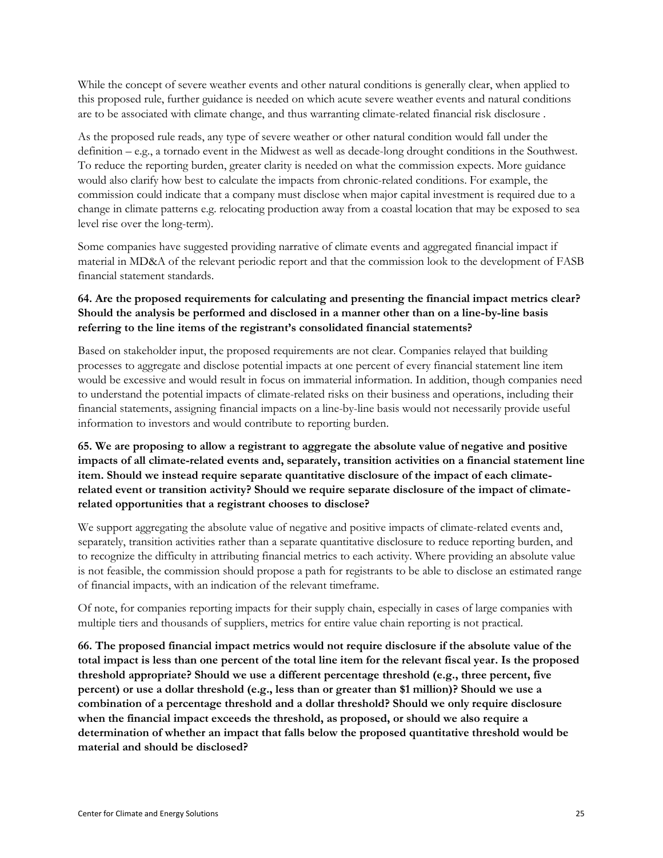While the concept of severe weather events and other natural conditions is generally clear, when applied to this proposed rule, further guidance is needed on which acute severe weather events and natural conditions are to be associated with climate change, and thus warranting climate-related financial risk disclosure .

As the proposed rule reads, any type of severe weather or other natural condition would fall under the definition – e.g., a tornado event in the Midwest as well as decade-long drought conditions in the Southwest. To reduce the reporting burden, greater clarity is needed on what the commission expects. More guidance would also clarify how best to calculate the impacts from chronic-related conditions. For example, the commission could indicate that a company must disclose when major capital investment is required due to a change in climate patterns e.g. relocating production away from a coastal location that may be exposed to sea level rise over the long-term).

Some companies have suggested providing narrative of climate events and aggregated financial impact if material in MD&A of the relevant periodic report and that the commission look to the development of FASB financial statement standards.

# **64. Are the proposed requirements for calculating and presenting the financial impact metrics clear? Should the analysis be performed and disclosed in a manner other than on a line-by-line basis referring to the line items of the registrant's consolidated financial statements?**

Based on stakeholder input, the proposed requirements are not clear. Companies relayed that building processes to aggregate and disclose potential impacts at one percent of every financial statement line item would be excessive and would result in focus on immaterial information. In addition, though companies need to understand the potential impacts of climate-related risks on their business and operations, including their financial statements, assigning financial impacts on a line-by-line basis would not necessarily provide useful information to investors and would contribute to reporting burden.

### **65. We are proposing to allow a registrant to aggregate the absolute value of negative and positive impacts of all climate-related events and, separately, transition activities on a financial statement line item. Should we instead require separate quantitative disclosure of the impact of each climaterelated event or transition activity? Should we require separate disclosure of the impact of climaterelated opportunities that a registrant chooses to disclose?**

We support aggregating the absolute value of negative and positive impacts of climate-related events and, separately, transition activities rather than a separate quantitative disclosure to reduce reporting burden, and to recognize the difficulty in attributing financial metrics to each activity. Where providing an absolute value is not feasible, the commission should propose a path for registrants to be able to disclose an estimated range of financial impacts, with an indication of the relevant timeframe.

Of note, for companies reporting impacts for their supply chain, especially in cases of large companies with multiple tiers and thousands of suppliers, metrics for entire value chain reporting is not practical.

**66. The proposed financial impact metrics would not require disclosure if the absolute value of the total impact is less than one percent of the total line item for the relevant fiscal year. Is the proposed threshold appropriate? Should we use a different percentage threshold (e.g., three percent, five percent) or use a dollar threshold (e.g., less than or greater than \$1 million)? Should we use a combination of a percentage threshold and a dollar threshold? Should we only require disclosure when the financial impact exceeds the threshold, as proposed, or should we also require a determination of whether an impact that falls below the proposed quantitative threshold would be material and should be disclosed?**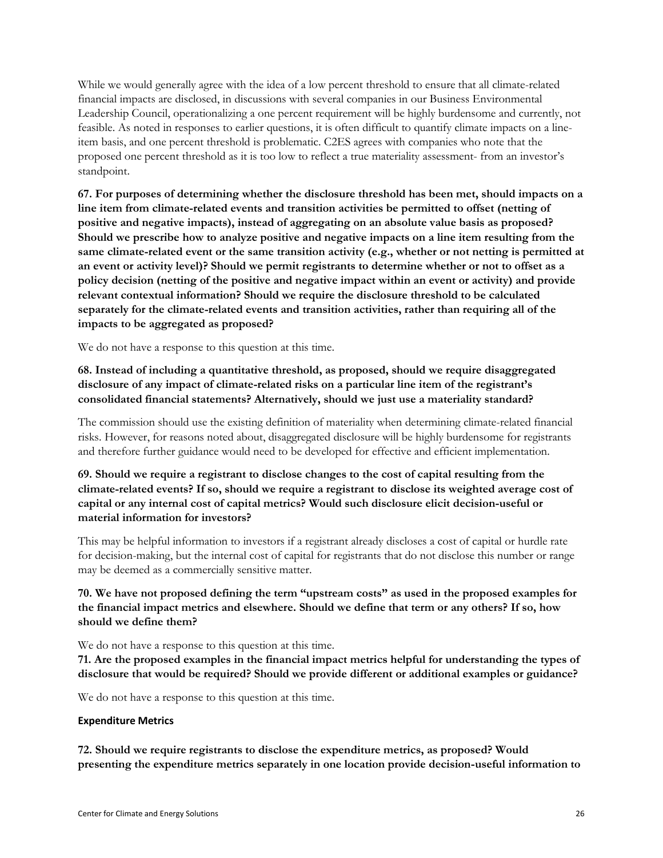While we would generally agree with the idea of a low percent threshold to ensure that all climate-related financial impacts are disclosed, in discussions with several companies in our Business Environmental Leadership Council, operationalizing a one percent requirement will be highly burdensome and currently, not feasible. As noted in responses to earlier questions, it is often difficult to quantify climate impacts on a lineitem basis, and one percent threshold is problematic. C2ES agrees with companies who note that the proposed one percent threshold as it is too low to reflect a true materiality assessment- from an investor's standpoint.

**67. For purposes of determining whether the disclosure threshold has been met, should impacts on a line item from climate-related events and transition activities be permitted to offset (netting of positive and negative impacts), instead of aggregating on an absolute value basis as proposed? Should we prescribe how to analyze positive and negative impacts on a line item resulting from the same climate-related event or the same transition activity (e.g., whether or not netting is permitted at an event or activity level)? Should we permit registrants to determine whether or not to offset as a policy decision (netting of the positive and negative impact within an event or activity) and provide relevant contextual information? Should we require the disclosure threshold to be calculated separately for the climate-related events and transition activities, rather than requiring all of the impacts to be aggregated as proposed?** 

We do not have a response to this question at this time.

# **68. Instead of including a quantitative threshold, as proposed, should we require disaggregated disclosure of any impact of climate-related risks on a particular line item of the registrant's consolidated financial statements? Alternatively, should we just use a materiality standard?**

The commission should use the existing definition of materiality when determining climate-related financial risks. However, for reasons noted about, disaggregated disclosure will be highly burdensome for registrants and therefore further guidance would need to be developed for effective and efficient implementation.

### **69. Should we require a registrant to disclose changes to the cost of capital resulting from the climate-related events? If so, should we require a registrant to disclose its weighted average cost of capital or any internal cost of capital metrics? Would such disclosure elicit decision-useful or material information for investors?**

This may be helpful information to investors if a registrant already discloses a cost of capital or hurdle rate for decision-making, but the internal cost of capital for registrants that do not disclose this number or range may be deemed as a commercially sensitive matter.

### **70. We have not proposed defining the term "upstream costs" as used in the proposed examples for the financial impact metrics and elsewhere. Should we define that term or any others? If so, how should we define them?**

We do not have a response to this question at this time.

**71. Are the proposed examples in the financial impact metrics helpful for understanding the types of disclosure that would be required? Should we provide different or additional examples or guidance?**

We do not have a response to this question at this time.

#### **Expenditure Metrics**

**72. Should we require registrants to disclose the expenditure metrics, as proposed? Would presenting the expenditure metrics separately in one location provide decision-useful information to**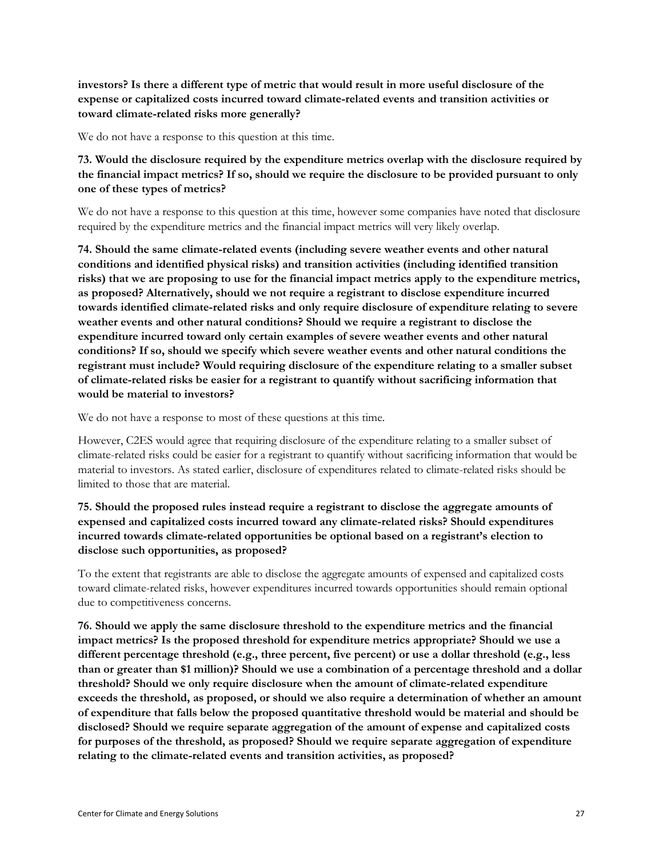**investors? Is there a different type of metric that would result in more useful disclosure of the expense or capitalized costs incurred toward climate-related events and transition activities or toward climate-related risks more generally?** 

We do not have a response to this question at this time.

**73. Would the disclosure required by the expenditure metrics overlap with the disclosure required by the financial impact metrics? If so, should we require the disclosure to be provided pursuant to only one of these types of metrics?** 

We do not have a response to this question at this time, however some companies have noted that disclosure required by the expenditure metrics and the financial impact metrics will very likely overlap.

**74. Should the same climate-related events (including severe weather events and other natural conditions and identified physical risks) and transition activities (including identified transition risks) that we are proposing to use for the financial impact metrics apply to the expenditure metrics, as proposed? Alternatively, should we not require a registrant to disclose expenditure incurred towards identified climate-related risks and only require disclosure of expenditure relating to severe weather events and other natural conditions? Should we require a registrant to disclose the expenditure incurred toward only certain examples of severe weather events and other natural conditions? If so, should we specify which severe weather events and other natural conditions the registrant must include? Would requiring disclosure of the expenditure relating to a smaller subset of climate-related risks be easier for a registrant to quantify without sacrificing information that would be material to investors?** 

We do not have a response to most of these questions at this time.

However, C2ES would agree that requiring disclosure of the expenditure relating to a smaller subset of climate-related risks could be easier for a registrant to quantify without sacrificing information that would be material to investors. As stated earlier, disclosure of expenditures related to climate-related risks should be limited to those that are material.

#### **75. Should the proposed rules instead require a registrant to disclose the aggregate amounts of expensed and capitalized costs incurred toward any climate-related risks? Should expenditures incurred towards climate-related opportunities be optional based on a registrant's election to disclose such opportunities, as proposed?**

To the extent that registrants are able to disclose the aggregate amounts of expensed and capitalized costs toward climate-related risks, however expenditures incurred towards opportunities should remain optional due to competitiveness concerns.

**76. Should we apply the same disclosure threshold to the expenditure metrics and the financial impact metrics? Is the proposed threshold for expenditure metrics appropriate? Should we use a different percentage threshold (e.g., three percent, five percent) or use a dollar threshold (e.g., less than or greater than \$1 million)? Should we use a combination of a percentage threshold and a dollar threshold? Should we only require disclosure when the amount of climate-related expenditure exceeds the threshold, as proposed, or should we also require a determination of whether an amount of expenditure that falls below the proposed quantitative threshold would be material and should be disclosed? Should we require separate aggregation of the amount of expense and capitalized costs for purposes of the threshold, as proposed? Should we require separate aggregation of expenditure relating to the climate-related events and transition activities, as proposed?**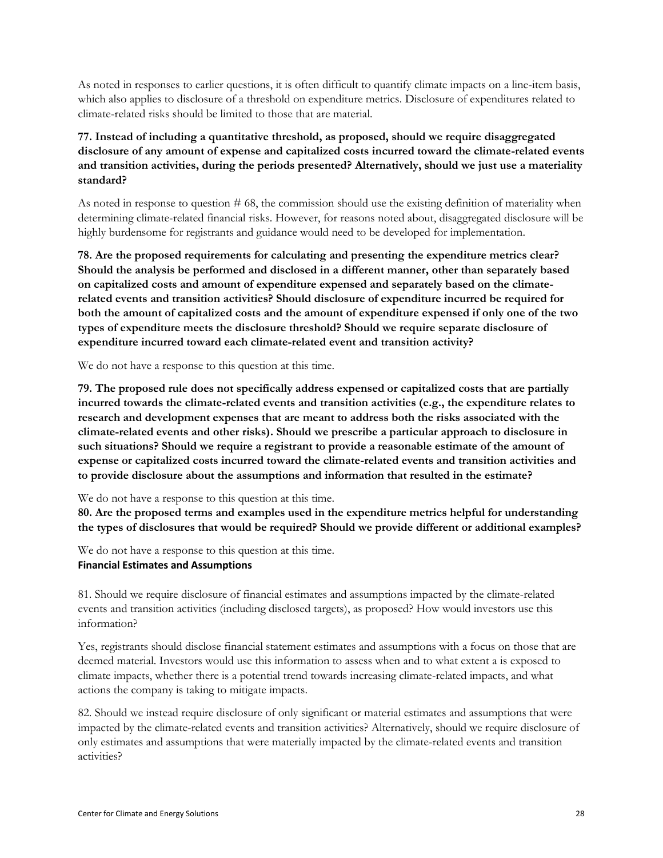As noted in responses to earlier questions, it is often difficult to quantify climate impacts on a line-item basis, which also applies to disclosure of a threshold on expenditure metrics. Disclosure of expenditures related to climate-related risks should be limited to those that are material.

### **77. Instead of including a quantitative threshold, as proposed, should we require disaggregated disclosure of any amount of expense and capitalized costs incurred toward the climate-related events and transition activities, during the periods presented? Alternatively, should we just use a materiality standard?**

As noted in response to question # 68, the commission should use the existing definition of materiality when determining climate-related financial risks. However, for reasons noted about, disaggregated disclosure will be highly burdensome for registrants and guidance would need to be developed for implementation.

**78. Are the proposed requirements for calculating and presenting the expenditure metrics clear? Should the analysis be performed and disclosed in a different manner, other than separately based on capitalized costs and amount of expenditure expensed and separately based on the climaterelated events and transition activities? Should disclosure of expenditure incurred be required for both the amount of capitalized costs and the amount of expenditure expensed if only one of the two types of expenditure meets the disclosure threshold? Should we require separate disclosure of expenditure incurred toward each climate-related event and transition activity?**

We do not have a response to this question at this time.

**79. The proposed rule does not specifically address expensed or capitalized costs that are partially incurred towards the climate-related events and transition activities (e.g., the expenditure relates to research and development expenses that are meant to address both the risks associated with the climate-related events and other risks). Should we prescribe a particular approach to disclosure in such situations? Should we require a registrant to provide a reasonable estimate of the amount of expense or capitalized costs incurred toward the climate-related events and transition activities and to provide disclosure about the assumptions and information that resulted in the estimate?** 

#### We do not have a response to this question at this time.

**80. Are the proposed terms and examples used in the expenditure metrics helpful for understanding the types of disclosures that would be required? Should we provide different or additional examples?**

We do not have a response to this question at this time.

#### **Financial Estimates and Assumptions**

81. Should we require disclosure of financial estimates and assumptions impacted by the climate-related events and transition activities (including disclosed targets), as proposed? How would investors use this information?

Yes, registrants should disclose financial statement estimates and assumptions with a focus on those that are deemed material. Investors would use this information to assess when and to what extent a is exposed to climate impacts, whether there is a potential trend towards increasing climate-related impacts, and what actions the company is taking to mitigate impacts.

82. Should we instead require disclosure of only significant or material estimates and assumptions that were impacted by the climate-related events and transition activities? Alternatively, should we require disclosure of only estimates and assumptions that were materially impacted by the climate-related events and transition activities?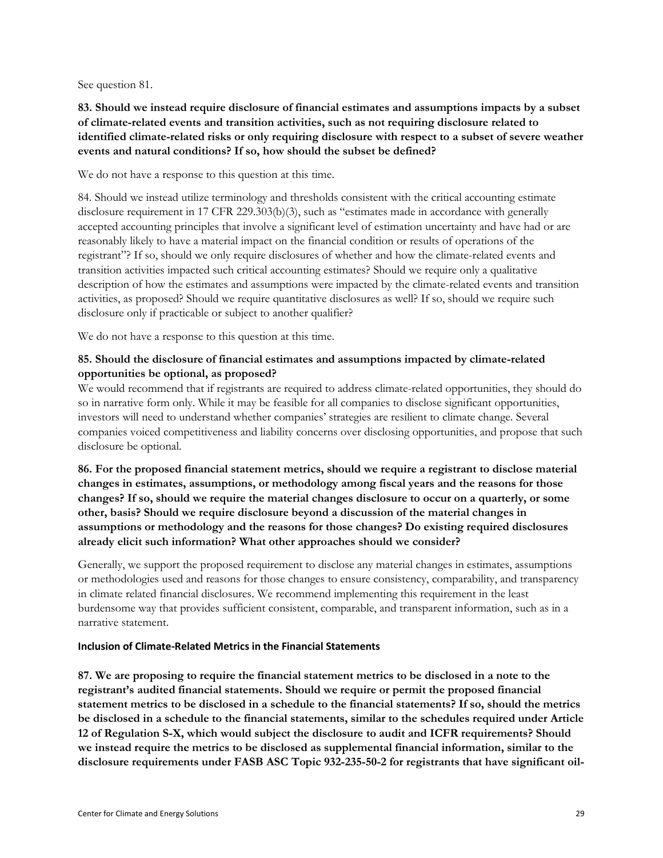See question 81.

### **83. Should we instead require disclosure of financial estimates and assumptions impacts by a subset of climate-related events and transition activities, such as not requiring disclosure related to identified climate-related risks or only requiring disclosure with respect to a subset of severe weather events and natural conditions? If so, how should the subset be defined?**

We do not have a response to this question at this time.

84. Should we instead utilize terminology and thresholds consistent with the critical accounting estimate disclosure requirement in 17 CFR 229.303(b)(3), such as "estimates made in accordance with generally accepted accounting principles that involve a significant level of estimation uncertainty and have had or are reasonably likely to have a material impact on the financial condition or results of operations of the registrant"? If so, should we only require disclosures of whether and how the climate-related events and transition activities impacted such critical accounting estimates? Should we require only a qualitative description of how the estimates and assumptions were impacted by the climate-related events and transition activities, as proposed? Should we require quantitative disclosures as well? If so, should we require such disclosure only if practicable or subject to another qualifier?

We do not have a response to this question at this time.

#### **85. Should the disclosure of financial estimates and assumptions impacted by climate-related opportunities be optional, as proposed?**

We would recommend that if registrants are required to address climate-related opportunities, they should do so in narrative form only. While it may be feasible for all companies to disclose significant opportunities, investors will need to understand whether companies' strategies are resilient to climate change. Several companies voiced competitiveness and liability concerns over disclosing opportunities, and propose that such disclosure be optional.

**86. For the proposed financial statement metrics, should we require a registrant to disclose material changes in estimates, assumptions, or methodology among fiscal years and the reasons for those changes? If so, should we require the material changes disclosure to occur on a quarterly, or some other, basis? Should we require disclosure beyond a discussion of the material changes in assumptions or methodology and the reasons for those changes? Do existing required disclosures already elicit such information? What other approaches should we consider?**

Generally, we support the proposed requirement to disclose any material changes in estimates, assumptions or methodologies used and reasons for those changes to ensure consistency, comparability, and transparency in climate related financial disclosures. We recommend implementing this requirement in the least burdensome way that provides sufficient consistent, comparable, and transparent information, such as in a narrative statement.

#### **Inclusion of Climate-Related Metrics in the Financial Statements**

**87. We are proposing to require the financial statement metrics to be disclosed in a note to the registrant's audited financial statements. Should we require or permit the proposed financial statement metrics to be disclosed in a schedule to the financial statements? If so, should the metrics be disclosed in a schedule to the financial statements, similar to the schedules required under Article 12 of Regulation S-X, which would subject the disclosure to audit and ICFR requirements? Should we instead require the metrics to be disclosed as supplemental financial information, similar to the disclosure requirements under FASB ASC Topic 932-235-50-2 for registrants that have significant oil-**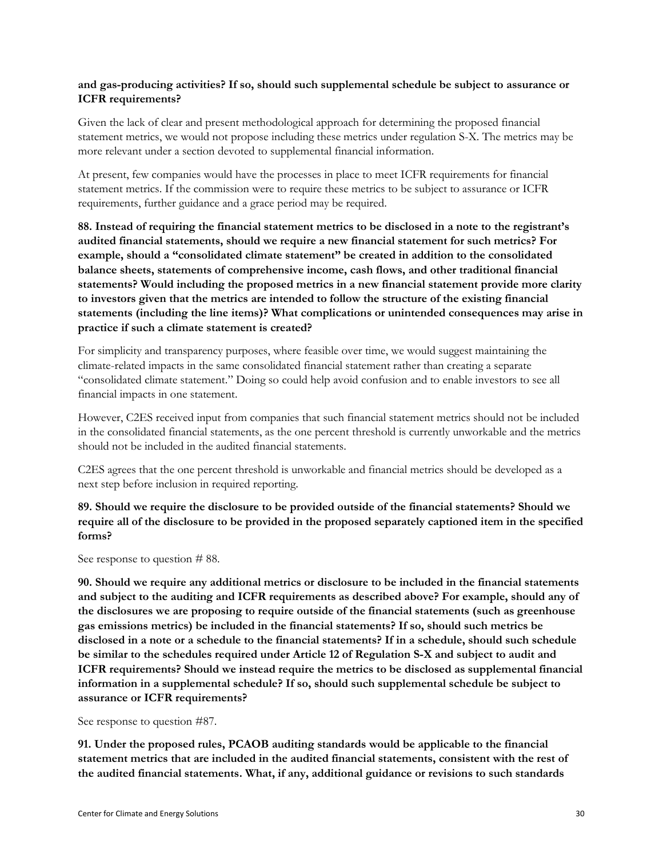#### **and gas-producing activities? If so, should such supplemental schedule be subject to assurance or ICFR requirements?**

Given the lack of clear and present methodological approach for determining the proposed financial statement metrics, we would not propose including these metrics under regulation S-X. The metrics may be more relevant under a section devoted to supplemental financial information.

At present, few companies would have the processes in place to meet ICFR requirements for financial statement metrics. If the commission were to require these metrics to be subject to assurance or ICFR requirements, further guidance and a grace period may be required.

**88. Instead of requiring the financial statement metrics to be disclosed in a note to the registrant's audited financial statements, should we require a new financial statement for such metrics? For example, should a "consolidated climate statement" be created in addition to the consolidated balance sheets, statements of comprehensive income, cash flows, and other traditional financial statements? Would including the proposed metrics in a new financial statement provide more clarity to investors given that the metrics are intended to follow the structure of the existing financial statements (including the line items)? What complications or unintended consequences may arise in practice if such a climate statement is created?** 

For simplicity and transparency purposes, where feasible over time, we would suggest maintaining the climate-related impacts in the same consolidated financial statement rather than creating a separate "consolidated climate statement." Doing so could help avoid confusion and to enable investors to see all financial impacts in one statement.

However, C2ES received input from companies that such financial statement metrics should not be included in the consolidated financial statements, as the one percent threshold is currently unworkable and the metrics should not be included in the audited financial statements.

C2ES agrees that the one percent threshold is unworkable and financial metrics should be developed as a next step before inclusion in required reporting.

### **89. Should we require the disclosure to be provided outside of the financial statements? Should we require all of the disclosure to be provided in the proposed separately captioned item in the specified forms?**

See response to question # 88.

**90. Should we require any additional metrics or disclosure to be included in the financial statements and subject to the auditing and ICFR requirements as described above? For example, should any of the disclosures we are proposing to require outside of the financial statements (such as greenhouse gas emissions metrics) be included in the financial statements? If so, should such metrics be disclosed in a note or a schedule to the financial statements? If in a schedule, should such schedule be similar to the schedules required under Article 12 of Regulation S-X and subject to audit and ICFR requirements? Should we instead require the metrics to be disclosed as supplemental financial information in a supplemental schedule? If so, should such supplemental schedule be subject to assurance or ICFR requirements?** 

See response to question #87.

**91. Under the proposed rules, PCAOB auditing standards would be applicable to the financial statement metrics that are included in the audited financial statements, consistent with the rest of the audited financial statements. What, if any, additional guidance or revisions to such standards**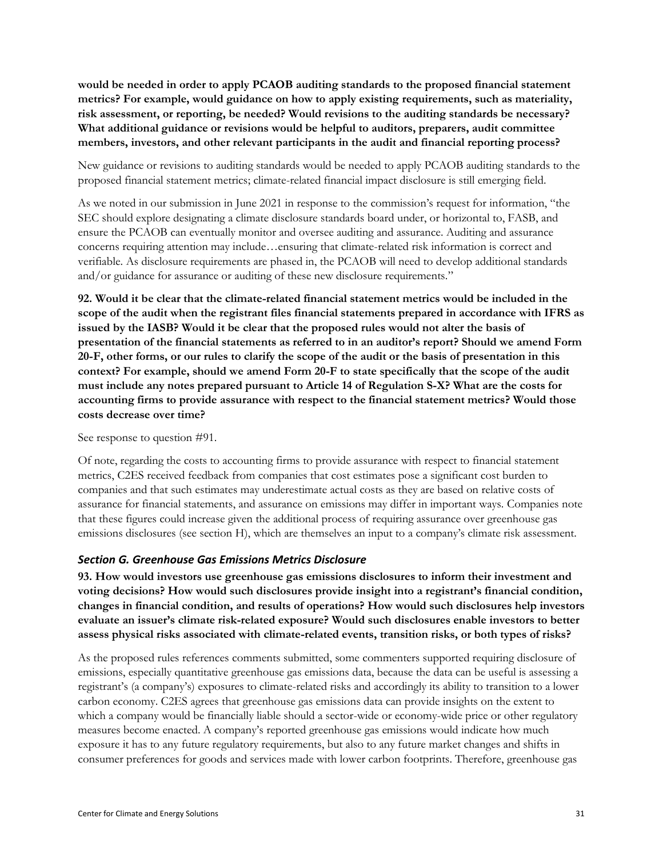**would be needed in order to apply PCAOB auditing standards to the proposed financial statement metrics? For example, would guidance on how to apply existing requirements, such as materiality, risk assessment, or reporting, be needed? Would revisions to the auditing standards be necessary? What additional guidance or revisions would be helpful to auditors, preparers, audit committee members, investors, and other relevant participants in the audit and financial reporting process?**

New guidance or revisions to auditing standards would be needed to apply PCAOB auditing standards to the proposed financial statement metrics; climate-related financial impact disclosure is still emerging field.

As we noted in our submission in June 2021 in response to the commission's request for information, "the SEC should explore designating a climate disclosure standards board under, or horizontal to, FASB, and ensure the PCAOB can eventually monitor and oversee auditing and assurance. Auditing and assurance concerns requiring attention may include…ensuring that climate-related risk information is correct and verifiable. As disclosure requirements are phased in, the PCAOB will need to develop additional standards and/or guidance for assurance or auditing of these new disclosure requirements."

**92. Would it be clear that the climate-related financial statement metrics would be included in the scope of the audit when the registrant files financial statements prepared in accordance with IFRS as issued by the IASB? Would it be clear that the proposed rules would not alter the basis of presentation of the financial statements as referred to in an auditor's report? Should we amend Form 20-F, other forms, or our rules to clarify the scope of the audit or the basis of presentation in this context? For example, should we amend Form 20-F to state specifically that the scope of the audit must include any notes prepared pursuant to Article 14 of Regulation S-X? What are the costs for accounting firms to provide assurance with respect to the financial statement metrics? Would those costs decrease over time?**

See response to question #91.

Of note, regarding the costs to accounting firms to provide assurance with respect to financial statement metrics, C2ES received feedback from companies that cost estimates pose a significant cost burden to companies and that such estimates may underestimate actual costs as they are based on relative costs of assurance for financial statements, and assurance on emissions may differ in important ways. Companies note that these figures could increase given the additional process of requiring assurance over greenhouse gas emissions disclosures (see section H), which are themselves an input to a company's climate risk assessment.

# <span id="page-30-0"></span>*Section G. Greenhouse Gas Emissions Metrics Disclosure*

**93. How would investors use greenhouse gas emissions disclosures to inform their investment and voting decisions? How would such disclosures provide insight into a registrant's financial condition, changes in financial condition, and results of operations? How would such disclosures help investors evaluate an issuer's climate risk-related exposure? Would such disclosures enable investors to better assess physical risks associated with climate-related events, transition risks, or both types of risks?** 

As the proposed rules references comments submitted, some commenters supported requiring disclosure of emissions, especially quantitative greenhouse gas emissions data, because the data can be useful is assessing a registrant's (a company's) exposures to climate-related risks and accordingly its ability to transition to a lower carbon economy. C2ES agrees that greenhouse gas emissions data can provide insights on the extent to which a company would be financially liable should a sector-wide or economy-wide price or other regulatory measures become enacted. A company's reported greenhouse gas emissions would indicate how much exposure it has to any future regulatory requirements, but also to any future market changes and shifts in consumer preferences for goods and services made with lower carbon footprints. Therefore, greenhouse gas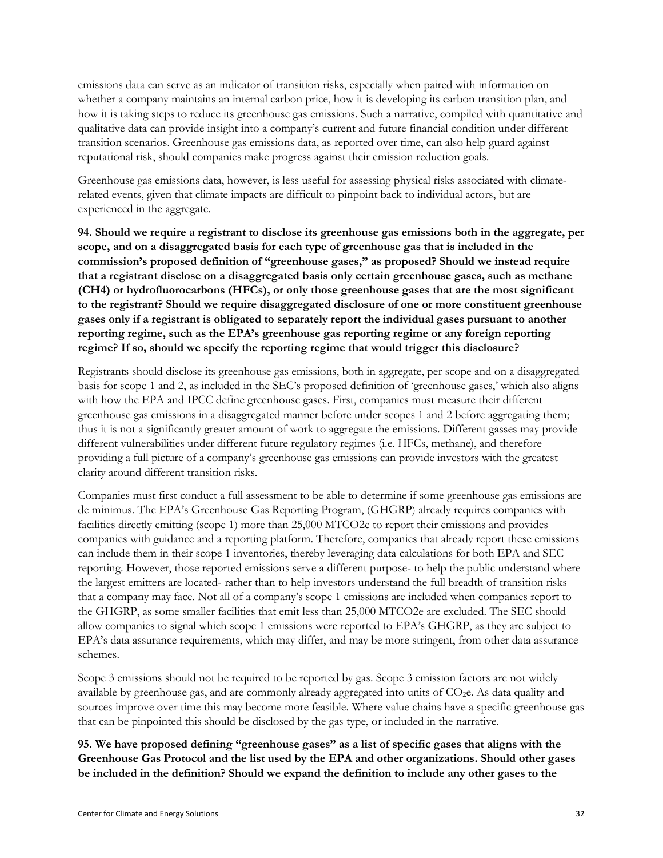emissions data can serve as an indicator of transition risks, especially when paired with information on whether a company maintains an internal carbon price, how it is developing its carbon transition plan, and how it is taking steps to reduce its greenhouse gas emissions. Such a narrative, compiled with quantitative and qualitative data can provide insight into a company's current and future financial condition under different transition scenarios. Greenhouse gas emissions data, as reported over time, can also help guard against reputational risk, should companies make progress against their emission reduction goals.

Greenhouse gas emissions data, however, is less useful for assessing physical risks associated with climaterelated events, given that climate impacts are difficult to pinpoint back to individual actors, but are experienced in the aggregate.

**94. Should we require a registrant to disclose its greenhouse gas emissions both in the aggregate, per scope, and on a disaggregated basis for each type of greenhouse gas that is included in the commission's proposed definition of "greenhouse gases," as proposed? Should we instead require that a registrant disclose on a disaggregated basis only certain greenhouse gases, such as methane (CH4) or hydrofluorocarbons (HFCs), or only those greenhouse gases that are the most significant to the registrant? Should we require disaggregated disclosure of one or more constituent greenhouse gases only if a registrant is obligated to separately report the individual gases pursuant to another reporting regime, such as the EPA's greenhouse gas reporting regime or any foreign reporting regime? If so, should we specify the reporting regime that would trigger this disclosure?** 

Registrants should disclose its greenhouse gas emissions, both in aggregate, per scope and on a disaggregated basis for scope 1 and 2, as included in the SEC's proposed definition of 'greenhouse gases,' which also aligns with how the EPA and IPCC define greenhouse gases. First, companies must measure their different greenhouse gas emissions in a disaggregated manner before under scopes 1 and 2 before aggregating them; thus it is not a significantly greater amount of work to aggregate the emissions. Different gasses may provide different vulnerabilities under different future regulatory regimes (i.e. HFCs, methane), and therefore providing a full picture of a company's greenhouse gas emissions can provide investors with the greatest clarity around different transition risks.

Companies must first conduct a full assessment to be able to determine if some greenhouse gas emissions are de minimus. The EPA's Greenhouse Gas Reporting Program, (GHGRP) already requires companies with facilities directly emitting (scope 1) more than 25,000 MTCO2e to report their emissions and provides companies with guidance and a reporting platform. Therefore, companies that already report these emissions can include them in their scope 1 inventories, thereby leveraging data calculations for both EPA and SEC reporting. However, those reported emissions serve a different purpose- to help the public understand where the largest emitters are located- rather than to help investors understand the full breadth of transition risks that a company may face. Not all of a company's scope 1 emissions are included when companies report to the GHGRP, as some smaller facilities that emit less than 25,000 MTCO2e are excluded. The SEC should allow companies to signal which scope 1 emissions were reported to EPA's GHGRP, as they are subject to EPA's data assurance requirements, which may differ, and may be more stringent, from other data assurance schemes.

Scope 3 emissions should not be required to be reported by gas. Scope 3 emission factors are not widely available by greenhouse gas, and are commonly already aggregated into units of  $CO<sub>2</sub>e$ . As data quality and sources improve over time this may become more feasible. Where value chains have a specific greenhouse gas that can be pinpointed this should be disclosed by the gas type, or included in the narrative.

**95. We have proposed defining "greenhouse gases" as a list of specific gases that aligns with the Greenhouse Gas Protocol and the list used by the EPA and other organizations. Should other gases be included in the definition? Should we expand the definition to include any other gases to the**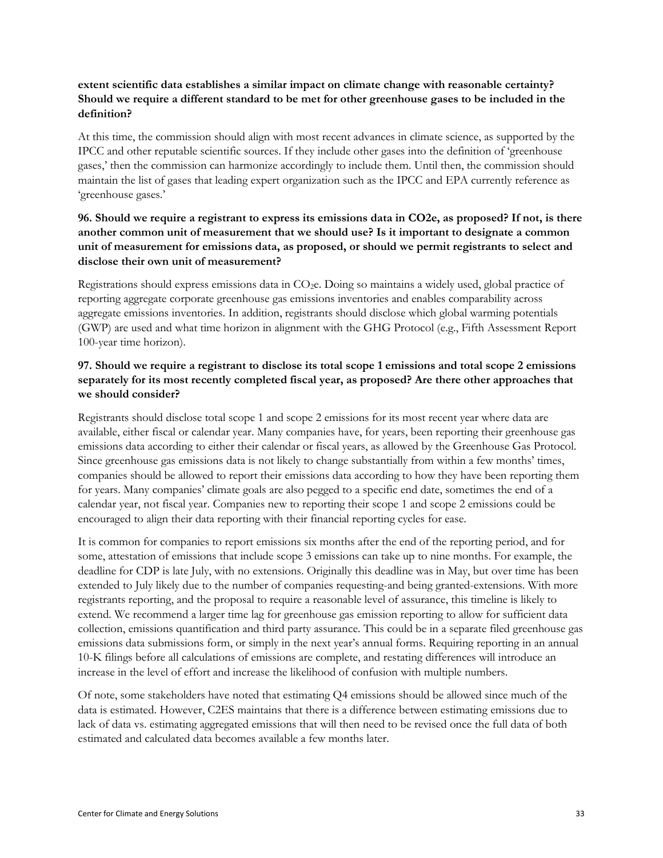#### **extent scientific data establishes a similar impact on climate change with reasonable certainty? Should we require a different standard to be met for other greenhouse gases to be included in the definition?**

At this time, the commission should align with most recent advances in climate science, as supported by the IPCC and other reputable scientific sources. If they include other gases into the definition of 'greenhouse gases,' then the commission can harmonize accordingly to include them. Until then, the commission should maintain the list of gases that leading expert organization such as the IPCC and EPA currently reference as 'greenhouse gases.'

### **96. Should we require a registrant to express its emissions data in CO2e, as proposed? If not, is there another common unit of measurement that we should use? Is it important to designate a common unit of measurement for emissions data, as proposed, or should we permit registrants to select and disclose their own unit of measurement?**

Registrations should express emissions data in CO2e. Doing so maintains a widely used, global practice of reporting aggregate corporate greenhouse gas emissions inventories and enables comparability across aggregate emissions inventories. In addition, registrants should disclose which global warming potentials (GWP) are used and what time horizon in alignment with the GHG Protocol (e.g., Fifth Assessment Report 100-year time horizon).

# **97. Should we require a registrant to disclose its total scope 1 emissions and total scope 2 emissions separately for its most recently completed fiscal year, as proposed? Are there other approaches that we should consider?**

Registrants should disclose total scope 1 and scope 2 emissions for its most recent year where data are available, either fiscal or calendar year. Many companies have, for years, been reporting their greenhouse gas emissions data according to either their calendar or fiscal years, as allowed by the Greenhouse Gas Protocol. Since greenhouse gas emissions data is not likely to change substantially from within a few months' times, companies should be allowed to report their emissions data according to how they have been reporting them for years. Many companies' climate goals are also pegged to a specific end date, sometimes the end of a calendar year, not fiscal year. Companies new to reporting their scope 1 and scope 2 emissions could be encouraged to align their data reporting with their financial reporting cycles for ease.

It is common for companies to report emissions six months after the end of the reporting period, and for some, attestation of emissions that include scope 3 emissions can take up to nine months. For example, the deadline for CDP is late July, with no extensions. Originally this deadline was in May, but over time has been extended to July likely due to the number of companies requesting-and being granted-extensions. With more registrants reporting, and the proposal to require a reasonable level of assurance, this timeline is likely to extend. We recommend a larger time lag for greenhouse gas emission reporting to allow for sufficient data collection, emissions quantification and third party assurance. This could be in a separate filed greenhouse gas emissions data submissions form, or simply in the next year's annual forms. Requiring reporting in an annual 10-K filings before all calculations of emissions are complete, and restating differences will introduce an increase in the level of effort and increase the likelihood of confusion with multiple numbers.

Of note, some stakeholders have noted that estimating Q4 emissions should be allowed since much of the data is estimated. However, C2ES maintains that there is a difference between estimating emissions due to lack of data vs. estimating aggregated emissions that will then need to be revised once the full data of both estimated and calculated data becomes available a few months later.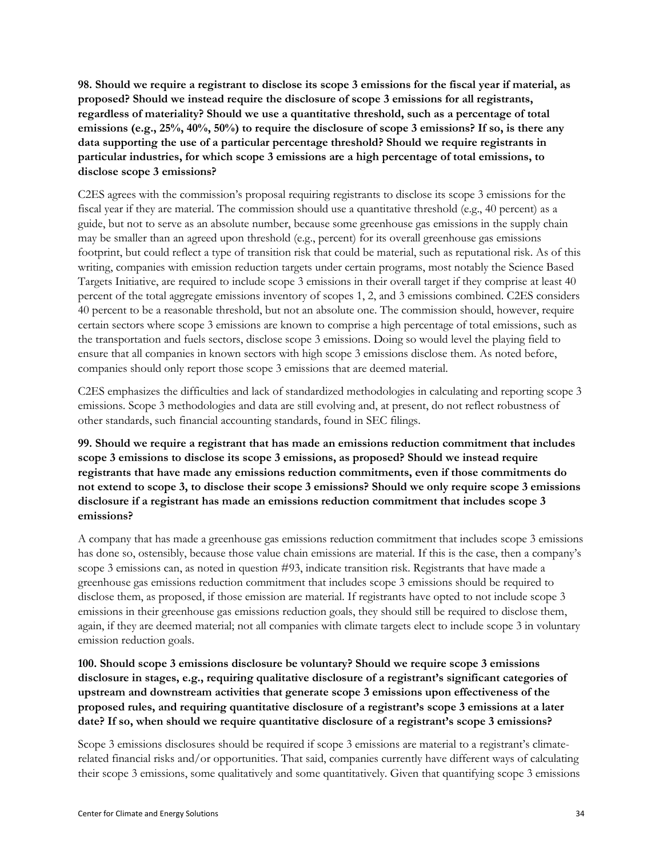**98. Should we require a registrant to disclose its scope 3 emissions for the fiscal year if material, as proposed? Should we instead require the disclosure of scope 3 emissions for all registrants, regardless of materiality? Should we use a quantitative threshold, such as a percentage of total emissions (e.g., 25%, 40%, 50%) to require the disclosure of scope 3 emissions? If so, is there any data supporting the use of a particular percentage threshold? Should we require registrants in particular industries, for which scope 3 emissions are a high percentage of total emissions, to disclose scope 3 emissions?**

C2ES agrees with the commission's proposal requiring registrants to disclose its scope 3 emissions for the fiscal year if they are material. The commission should use a quantitative threshold (e.g., 40 percent) as a guide, but not to serve as an absolute number, because some greenhouse gas emissions in the supply chain may be smaller than an agreed upon threshold (e.g., percent) for its overall greenhouse gas emissions footprint, but could reflect a type of transition risk that could be material, such as reputational risk. As of this writing, companies with emission reduction targets under certain programs, most notably the Science Based Targets Initiative, are required to include scope 3 emissions in their overall target if they comprise at least 40 percent of the total aggregate emissions inventory of scopes 1, 2, and 3 emissions combined. C2ES considers 40 percent to be a reasonable threshold, but not an absolute one. The commission should, however, require certain sectors where scope 3 emissions are known to comprise a high percentage of total emissions, such as the transportation and fuels sectors, disclose scope 3 emissions. Doing so would level the playing field to ensure that all companies in known sectors with high scope 3 emissions disclose them. As noted before, companies should only report those scope 3 emissions that are deemed material.

C2ES emphasizes the difficulties and lack of standardized methodologies in calculating and reporting scope 3 emissions. Scope 3 methodologies and data are still evolving and, at present, do not reflect robustness of other standards, such financial accounting standards, found in SEC filings.

**99. Should we require a registrant that has made an emissions reduction commitment that includes scope 3 emissions to disclose its scope 3 emissions, as proposed? Should we instead require registrants that have made any emissions reduction commitments, even if those commitments do not extend to scope 3, to disclose their scope 3 emissions? Should we only require scope 3 emissions disclosure if a registrant has made an emissions reduction commitment that includes scope 3 emissions?**

A company that has made a greenhouse gas emissions reduction commitment that includes scope 3 emissions has done so, ostensibly, because those value chain emissions are material. If this is the case, then a company's scope 3 emissions can, as noted in question #93, indicate transition risk. Registrants that have made a greenhouse gas emissions reduction commitment that includes scope 3 emissions should be required to disclose them, as proposed, if those emission are material. If registrants have opted to not include scope 3 emissions in their greenhouse gas emissions reduction goals, they should still be required to disclose them, again, if they are deemed material; not all companies with climate targets elect to include scope 3 in voluntary emission reduction goals.

**100. Should scope 3 emissions disclosure be voluntary? Should we require scope 3 emissions disclosure in stages, e.g., requiring qualitative disclosure of a registrant's significant categories of upstream and downstream activities that generate scope 3 emissions upon effectiveness of the proposed rules, and requiring quantitative disclosure of a registrant's scope 3 emissions at a later date? If so, when should we require quantitative disclosure of a registrant's scope 3 emissions?** 

Scope 3 emissions disclosures should be required if scope 3 emissions are material to a registrant's climaterelated financial risks and/or opportunities. That said, companies currently have different ways of calculating their scope 3 emissions, some qualitatively and some quantitatively. Given that quantifying scope 3 emissions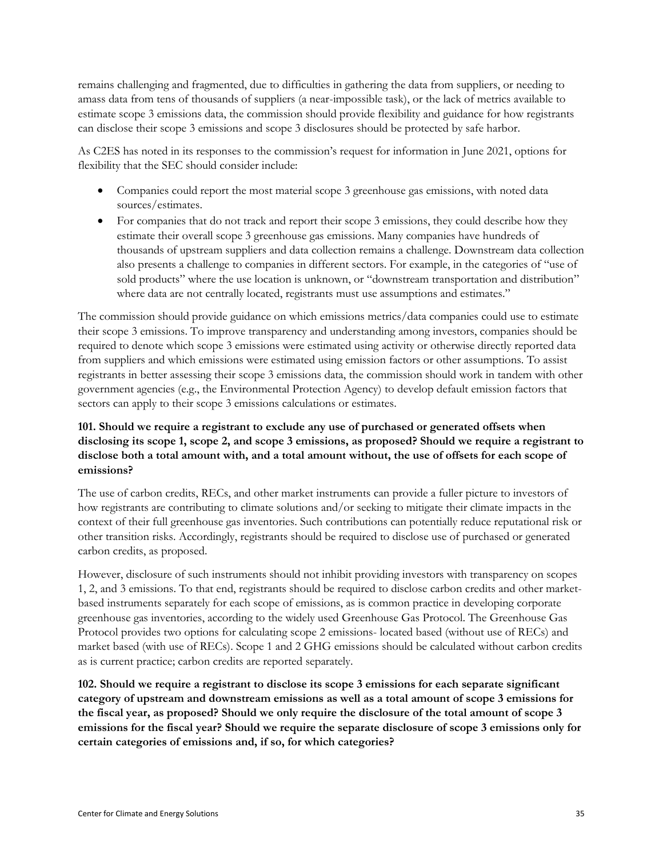remains challenging and fragmented, due to difficulties in gathering the data from suppliers, or needing to amass data from tens of thousands of suppliers (a near-impossible task), or the lack of metrics available to estimate scope 3 emissions data, the commission should provide flexibility and guidance for how registrants can disclose their scope 3 emissions and scope 3 disclosures should be protected by safe harbor.

As C2ES has noted in its responses to the commission's request for information in June 2021, options for flexibility that the SEC should consider include:

- Companies could report the most material scope 3 greenhouse gas emissions, with noted data sources/estimates.
- For companies that do not track and report their scope 3 emissions, they could describe how they estimate their overall scope 3 greenhouse gas emissions. Many companies have hundreds of thousands of upstream suppliers and data collection remains a challenge. Downstream data collection also presents a challenge to companies in different sectors. For example, in the categories of "use of sold products" where the use location is unknown, or "downstream transportation and distribution" where data are not centrally located, registrants must use assumptions and estimates."

The commission should provide guidance on which emissions metrics/data companies could use to estimate their scope 3 emissions. To improve transparency and understanding among investors, companies should be required to denote which scope 3 emissions were estimated using activity or otherwise directly reported data from suppliers and which emissions were estimated using emission factors or other assumptions. To assist registrants in better assessing their scope 3 emissions data, the commission should work in tandem with other government agencies (e.g., the Environmental Protection Agency) to develop default emission factors that sectors can apply to their scope 3 emissions calculations or estimates.

### **101. Should we require a registrant to exclude any use of purchased or generated offsets when disclosing its scope 1, scope 2, and scope 3 emissions, as proposed? Should we require a registrant to disclose both a total amount with, and a total amount without, the use of offsets for each scope of emissions?**

The use of carbon credits, RECs, and other market instruments can provide a fuller picture to investors of how registrants are contributing to climate solutions and/or seeking to mitigate their climate impacts in the context of their full greenhouse gas inventories. Such contributions can potentially reduce reputational risk or other transition risks. Accordingly, registrants should be required to disclose use of purchased or generated carbon credits, as proposed.

However, disclosure of such instruments should not inhibit providing investors with transparency on scopes 1, 2, and 3 emissions. To that end, registrants should be required to disclose carbon credits and other marketbased instruments separately for each scope of emissions, as is common practice in developing corporate greenhouse gas inventories, according to the widely used Greenhouse Gas Protocol. The Greenhouse Gas Protocol provides two options for calculating scope 2 emissions- located based (without use of RECs) and market based (with use of RECs). Scope 1 and 2 GHG emissions should be calculated without carbon credits as is current practice; carbon credits are reported separately.

**102. Should we require a registrant to disclose its scope 3 emissions for each separate significant category of upstream and downstream emissions as well as a total amount of scope 3 emissions for the fiscal year, as proposed? Should we only require the disclosure of the total amount of scope 3 emissions for the fiscal year? Should we require the separate disclosure of scope 3 emissions only for certain categories of emissions and, if so, for which categories?**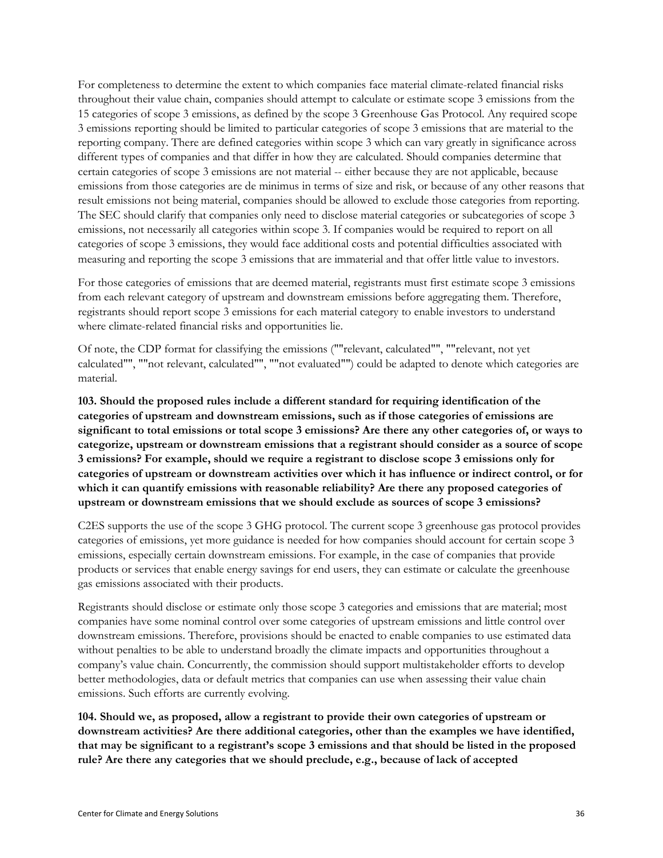For completeness to determine the extent to which companies face material climate-related financial risks throughout their value chain, companies should attempt to calculate or estimate scope 3 emissions from the 15 categories of scope 3 emissions, as defined by the scope 3 Greenhouse Gas Protocol. Any required scope 3 emissions reporting should be limited to particular categories of scope 3 emissions that are material to the reporting company. There are defined categories within scope 3 which can vary greatly in significance across different types of companies and that differ in how they are calculated. Should companies determine that certain categories of scope 3 emissions are not material -- either because they are not applicable, because emissions from those categories are de minimus in terms of size and risk, or because of any other reasons that result emissions not being material, companies should be allowed to exclude those categories from reporting. The SEC should clarify that companies only need to disclose material categories or subcategories of scope 3 emissions, not necessarily all categories within scope 3. If companies would be required to report on all categories of scope 3 emissions, they would face additional costs and potential difficulties associated with measuring and reporting the scope 3 emissions that are immaterial and that offer little value to investors.

For those categories of emissions that are deemed material, registrants must first estimate scope 3 emissions from each relevant category of upstream and downstream emissions before aggregating them. Therefore, registrants should report scope 3 emissions for each material category to enable investors to understand where climate-related financial risks and opportunities lie.

Of note, the CDP format for classifying the emissions (""relevant, calculated"", ""relevant, not yet calculated"", ""not relevant, calculated"", ""not evaluated"") could be adapted to denote which categories are material.

**103. Should the proposed rules include a different standard for requiring identification of the categories of upstream and downstream emissions, such as if those categories of emissions are significant to total emissions or total scope 3 emissions? Are there any other categories of, or ways to categorize, upstream or downstream emissions that a registrant should consider as a source of scope 3 emissions? For example, should we require a registrant to disclose scope 3 emissions only for categories of upstream or downstream activities over which it has influence or indirect control, or for which it can quantify emissions with reasonable reliability? Are there any proposed categories of upstream or downstream emissions that we should exclude as sources of scope 3 emissions?**

C2ES supports the use of the scope 3 GHG protocol. The current scope 3 greenhouse gas protocol provides categories of emissions, yet more guidance is needed for how companies should account for certain scope 3 emissions, especially certain downstream emissions. For example, in the case of companies that provide products or services that enable energy savings for end users, they can estimate or calculate the greenhouse gas emissions associated with their products.

Registrants should disclose or estimate only those scope 3 categories and emissions that are material; most companies have some nominal control over some categories of upstream emissions and little control over downstream emissions. Therefore, provisions should be enacted to enable companies to use estimated data without penalties to be able to understand broadly the climate impacts and opportunities throughout a company's value chain. Concurrently, the commission should support multistakeholder efforts to develop better methodologies, data or default metrics that companies can use when assessing their value chain emissions. Such efforts are currently evolving.

**104. Should we, as proposed, allow a registrant to provide their own categories of upstream or downstream activities? Are there additional categories, other than the examples we have identified, that may be significant to a registrant's scope 3 emissions and that should be listed in the proposed rule? Are there any categories that we should preclude, e.g., because of lack of accepted**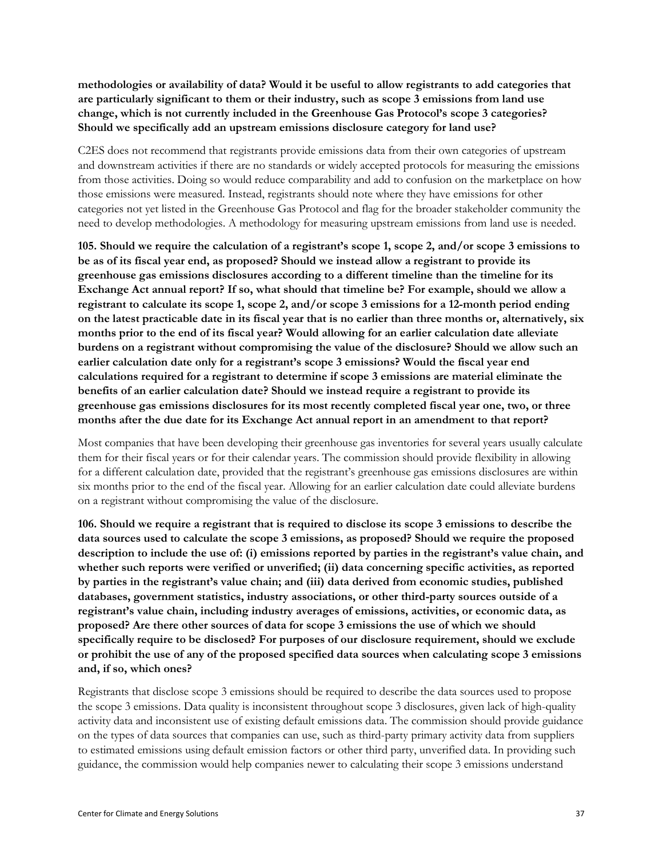**methodologies or availability of data? Would it be useful to allow registrants to add categories that are particularly significant to them or their industry, such as scope 3 emissions from land use change, which is not currently included in the Greenhouse Gas Protocol's scope 3 categories? Should we specifically add an upstream emissions disclosure category for land use?** 

C2ES does not recommend that registrants provide emissions data from their own categories of upstream and downstream activities if there are no standards or widely accepted protocols for measuring the emissions from those activities. Doing so would reduce comparability and add to confusion on the marketplace on how those emissions were measured. Instead, registrants should note where they have emissions for other categories not yet listed in the Greenhouse Gas Protocol and flag for the broader stakeholder community the need to develop methodologies. A methodology for measuring upstream emissions from land use is needed.

**105. Should we require the calculation of a registrant's scope 1, scope 2, and/or scope 3 emissions to be as of its fiscal year end, as proposed? Should we instead allow a registrant to provide its greenhouse gas emissions disclosures according to a different timeline than the timeline for its Exchange Act annual report? If so, what should that timeline be? For example, should we allow a registrant to calculate its scope 1, scope 2, and/or scope 3 emissions for a 12-month period ending on the latest practicable date in its fiscal year that is no earlier than three months or, alternatively, six months prior to the end of its fiscal year? Would allowing for an earlier calculation date alleviate burdens on a registrant without compromising the value of the disclosure? Should we allow such an earlier calculation date only for a registrant's scope 3 emissions? Would the fiscal year end calculations required for a registrant to determine if scope 3 emissions are material eliminate the benefits of an earlier calculation date? Should we instead require a registrant to provide its greenhouse gas emissions disclosures for its most recently completed fiscal year one, two, or three months after the due date for its Exchange Act annual report in an amendment to that report?** 

Most companies that have been developing their greenhouse gas inventories for several years usually calculate them for their fiscal years or for their calendar years. The commission should provide flexibility in allowing for a different calculation date, provided that the registrant's greenhouse gas emissions disclosures are within six months prior to the end of the fiscal year. Allowing for an earlier calculation date could alleviate burdens on a registrant without compromising the value of the disclosure.

**106. Should we require a registrant that is required to disclose its scope 3 emissions to describe the data sources used to calculate the scope 3 emissions, as proposed? Should we require the proposed description to include the use of: (i) emissions reported by parties in the registrant's value chain, and whether such reports were verified or unverified; (ii) data concerning specific activities, as reported by parties in the registrant's value chain; and (iii) data derived from economic studies, published databases, government statistics, industry associations, or other third-party sources outside of a registrant's value chain, including industry averages of emissions, activities, or economic data, as proposed? Are there other sources of data for scope 3 emissions the use of which we should specifically require to be disclosed? For purposes of our disclosure requirement, should we exclude or prohibit the use of any of the proposed specified data sources when calculating scope 3 emissions and, if so, which ones?** 

Registrants that disclose scope 3 emissions should be required to describe the data sources used to propose the scope 3 emissions. Data quality is inconsistent throughout scope 3 disclosures, given lack of high-quality activity data and inconsistent use of existing default emissions data. The commission should provide guidance on the types of data sources that companies can use, such as third-party primary activity data from suppliers to estimated emissions using default emission factors or other third party, unverified data. In providing such guidance, the commission would help companies newer to calculating their scope 3 emissions understand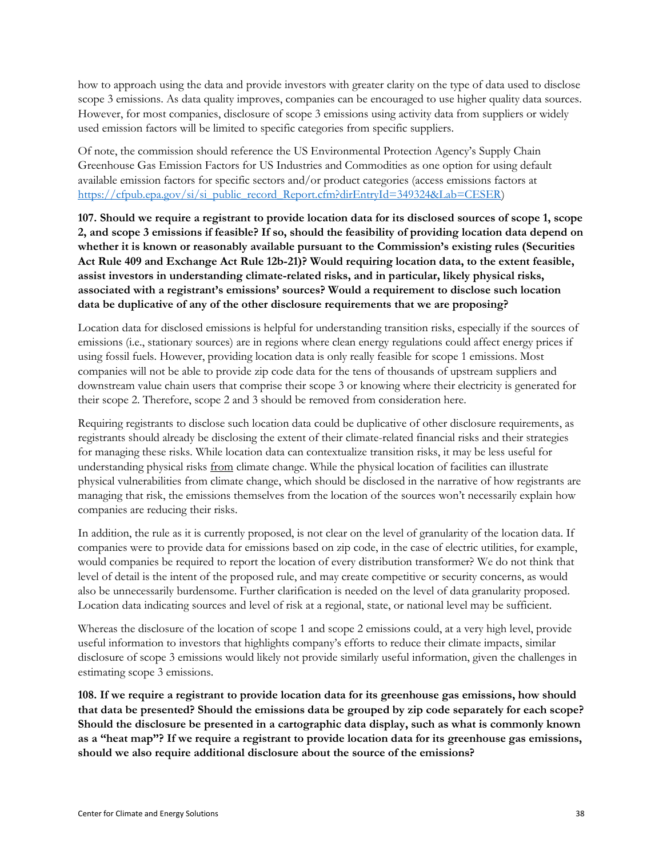how to approach using the data and provide investors with greater clarity on the type of data used to disclose scope 3 emissions. As data quality improves, companies can be encouraged to use higher quality data sources. However, for most companies, disclosure of scope 3 emissions using activity data from suppliers or widely used emission factors will be limited to specific categories from specific suppliers.

Of note, the commission should reference the US Environmental Protection Agency's Supply Chain Greenhouse Gas Emission Factors for US Industries and Commodities as one option for using default available emission factors for specific sectors and/or product categories (access emissions factors at [https://cfpub.epa.gov/si/si\\_public\\_record\\_Report.cfm?dirEntryId=349324&Lab=CESER\)](https://cfpub.epa.gov/si/si_public_record_Report.cfm?dirEntryId=349324&Lab=CESER)

**107. Should we require a registrant to provide location data for its disclosed sources of scope 1, scope 2, and scope 3 emissions if feasible? If so, should the feasibility of providing location data depend on whether it is known or reasonably available pursuant to the Commission's existing rules (Securities Act Rule 409 and Exchange Act Rule 12b-21)? Would requiring location data, to the extent feasible, assist investors in understanding climate-related risks, and in particular, likely physical risks, associated with a registrant's emissions' sources? Would a requirement to disclose such location data be duplicative of any of the other disclosure requirements that we are proposing?**

Location data for disclosed emissions is helpful for understanding transition risks, especially if the sources of emissions (i.e., stationary sources) are in regions where clean energy regulations could affect energy prices if using fossil fuels. However, providing location data is only really feasible for scope 1 emissions. Most companies will not be able to provide zip code data for the tens of thousands of upstream suppliers and downstream value chain users that comprise their scope 3 or knowing where their electricity is generated for their scope 2. Therefore, scope 2 and 3 should be removed from consideration here.

Requiring registrants to disclose such location data could be duplicative of other disclosure requirements, as registrants should already be disclosing the extent of their climate-related financial risks and their strategies for managing these risks. While location data can contextualize transition risks, it may be less useful for understanding physical risks from climate change. While the physical location of facilities can illustrate physical vulnerabilities from climate change, which should be disclosed in the narrative of how registrants are managing that risk, the emissions themselves from the location of the sources won't necessarily explain how companies are reducing their risks.

In addition, the rule as it is currently proposed, is not clear on the level of granularity of the location data. If companies were to provide data for emissions based on zip code, in the case of electric utilities, for example, would companies be required to report the location of every distribution transformer? We do not think that level of detail is the intent of the proposed rule, and may create competitive or security concerns, as would also be unnecessarily burdensome. Further clarification is needed on the level of data granularity proposed. Location data indicating sources and level of risk at a regional, state, or national level may be sufficient.

Whereas the disclosure of the location of scope 1 and scope 2 emissions could, at a very high level, provide useful information to investors that highlights company's efforts to reduce their climate impacts, similar disclosure of scope 3 emissions would likely not provide similarly useful information, given the challenges in estimating scope 3 emissions.

**108. If we require a registrant to provide location data for its greenhouse gas emissions, how should that data be presented? Should the emissions data be grouped by zip code separately for each scope? Should the disclosure be presented in a cartographic data display, such as what is commonly known as a "heat map"? If we require a registrant to provide location data for its greenhouse gas emissions, should we also require additional disclosure about the source of the emissions?**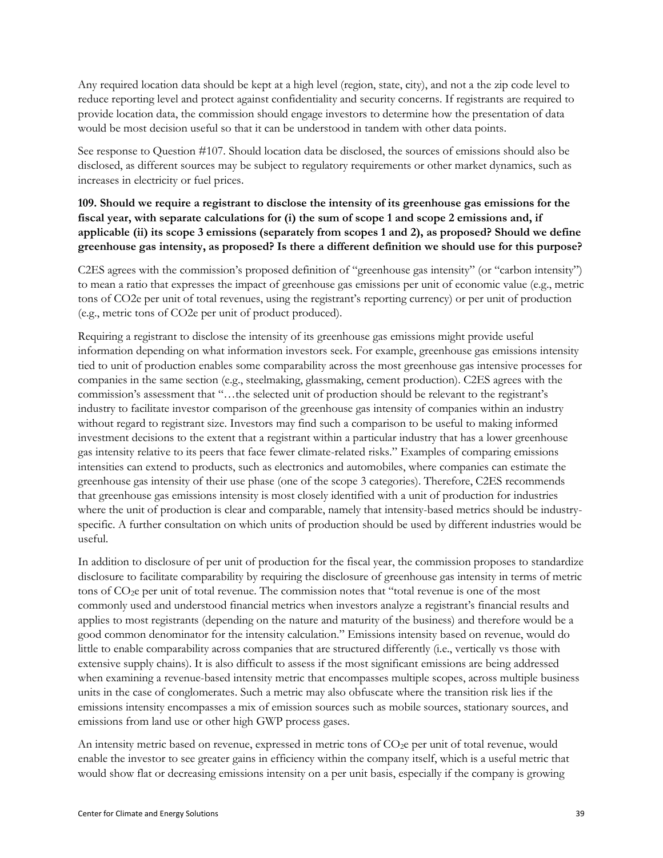Any required location data should be kept at a high level (region, state, city), and not a the zip code level to reduce reporting level and protect against confidentiality and security concerns. If registrants are required to provide location data, the commission should engage investors to determine how the presentation of data would be most decision useful so that it can be understood in tandem with other data points.

See response to Question #107. Should location data be disclosed, the sources of emissions should also be disclosed, as different sources may be subject to regulatory requirements or other market dynamics, such as increases in electricity or fuel prices.

# **109. Should we require a registrant to disclose the intensity of its greenhouse gas emissions for the fiscal year, with separate calculations for (i) the sum of scope 1 and scope 2 emissions and, if applicable (ii) its scope 3 emissions (separately from scopes 1 and 2), as proposed? Should we define greenhouse gas intensity, as proposed? Is there a different definition we should use for this purpose?**

C2ES agrees with the commission's proposed definition of "greenhouse gas intensity" (or "carbon intensity") to mean a ratio that expresses the impact of greenhouse gas emissions per unit of economic value (e.g., metric tons of CO2e per unit of total revenues, using the registrant's reporting currency) or per unit of production (e.g., metric tons of CO2e per unit of product produced).

Requiring a registrant to disclose the intensity of its greenhouse gas emissions might provide useful information depending on what information investors seek. For example, greenhouse gas emissions intensity tied to unit of production enables some comparability across the most greenhouse gas intensive processes for companies in the same section (e.g., steelmaking, glassmaking, cement production). C2ES agrees with the commission's assessment that "…the selected unit of production should be relevant to the registrant's industry to facilitate investor comparison of the greenhouse gas intensity of companies within an industry without regard to registrant size. Investors may find such a comparison to be useful to making informed investment decisions to the extent that a registrant within a particular industry that has a lower greenhouse gas intensity relative to its peers that face fewer climate-related risks." Examples of comparing emissions intensities can extend to products, such as electronics and automobiles, where companies can estimate the greenhouse gas intensity of their use phase (one of the scope 3 categories). Therefore, C2ES recommends that greenhouse gas emissions intensity is most closely identified with a unit of production for industries where the unit of production is clear and comparable, namely that intensity-based metrics should be industryspecific. A further consultation on which units of production should be used by different industries would be useful.

In addition to disclosure of per unit of production for the fiscal year, the commission proposes to standardize disclosure to facilitate comparability by requiring the disclosure of greenhouse gas intensity in terms of metric tons of CO2e per unit of total revenue. The commission notes that "total revenue is one of the most commonly used and understood financial metrics when investors analyze a registrant's financial results and applies to most registrants (depending on the nature and maturity of the business) and therefore would be a good common denominator for the intensity calculation." Emissions intensity based on revenue, would do little to enable comparability across companies that are structured differently (i.e., vertically vs those with extensive supply chains). It is also difficult to assess if the most significant emissions are being addressed when examining a revenue-based intensity metric that encompasses multiple scopes, across multiple business units in the case of conglomerates. Such a metric may also obfuscate where the transition risk lies if the emissions intensity encompasses a mix of emission sources such as mobile sources, stationary sources, and emissions from land use or other high GWP process gases.

An intensity metric based on revenue, expressed in metric tons of CO<sub>2</sub>e per unit of total revenue, would enable the investor to see greater gains in efficiency within the company itself, which is a useful metric that would show flat or decreasing emissions intensity on a per unit basis, especially if the company is growing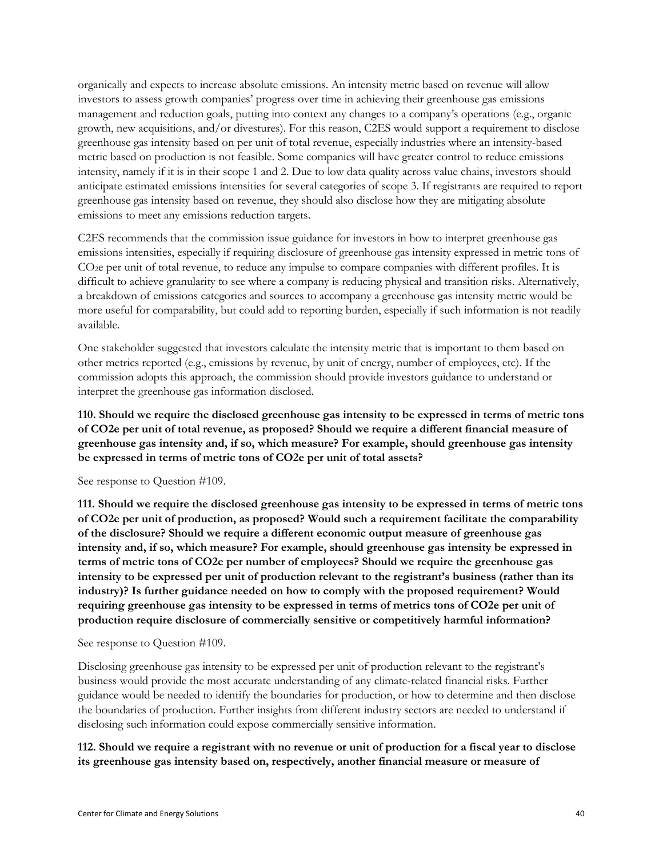organically and expects to increase absolute emissions. An intensity metric based on revenue will allow investors to assess growth companies' progress over time in achieving their greenhouse gas emissions management and reduction goals, putting into context any changes to a company's operations (e.g., organic growth, new acquisitions, and/or divestures). For this reason, C2ES would support a requirement to disclose greenhouse gas intensity based on per unit of total revenue, especially industries where an intensity-based metric based on production is not feasible. Some companies will have greater control to reduce emissions intensity, namely if it is in their scope 1 and 2. Due to low data quality across value chains, investors should anticipate estimated emissions intensities for several categories of scope 3. If registrants are required to report greenhouse gas intensity based on revenue, they should also disclose how they are mitigating absolute emissions to meet any emissions reduction targets.

C2ES recommends that the commission issue guidance for investors in how to interpret greenhouse gas emissions intensities, especially if requiring disclosure of greenhouse gas intensity expressed in metric tons of CO<sub>2</sub>e per unit of total revenue, to reduce any impulse to compare companies with different profiles. It is difficult to achieve granularity to see where a company is reducing physical and transition risks. Alternatively, a breakdown of emissions categories and sources to accompany a greenhouse gas intensity metric would be more useful for comparability, but could add to reporting burden, especially if such information is not readily available.

One stakeholder suggested that investors calculate the intensity metric that is important to them based on other metrics reported (e.g., emissions by revenue, by unit of energy, number of employees, etc). If the commission adopts this approach, the commission should provide investors guidance to understand or interpret the greenhouse gas information disclosed.

**110. Should we require the disclosed greenhouse gas intensity to be expressed in terms of metric tons of CO2e per unit of total revenue, as proposed? Should we require a different financial measure of greenhouse gas intensity and, if so, which measure? For example, should greenhouse gas intensity be expressed in terms of metric tons of CO2e per unit of total assets?** 

See response to Question #109.

**111. Should we require the disclosed greenhouse gas intensity to be expressed in terms of metric tons of CO2e per unit of production, as proposed? Would such a requirement facilitate the comparability of the disclosure? Should we require a different economic output measure of greenhouse gas intensity and, if so, which measure? For example, should greenhouse gas intensity be expressed in terms of metric tons of CO2e per number of employees? Should we require the greenhouse gas intensity to be expressed per unit of production relevant to the registrant's business (rather than its industry)? Is further guidance needed on how to comply with the proposed requirement? Would requiring greenhouse gas intensity to be expressed in terms of metrics tons of CO2e per unit of production require disclosure of commercially sensitive or competitively harmful information?** 

See response to Question #109.

Disclosing greenhouse gas intensity to be expressed per unit of production relevant to the registrant's business would provide the most accurate understanding of any climate-related financial risks. Further guidance would be needed to identify the boundaries for production, or how to determine and then disclose the boundaries of production. Further insights from different industry sectors are needed to understand if disclosing such information could expose commercially sensitive information.

**112. Should we require a registrant with no revenue or unit of production for a fiscal year to disclose its greenhouse gas intensity based on, respectively, another financial measure or measure of**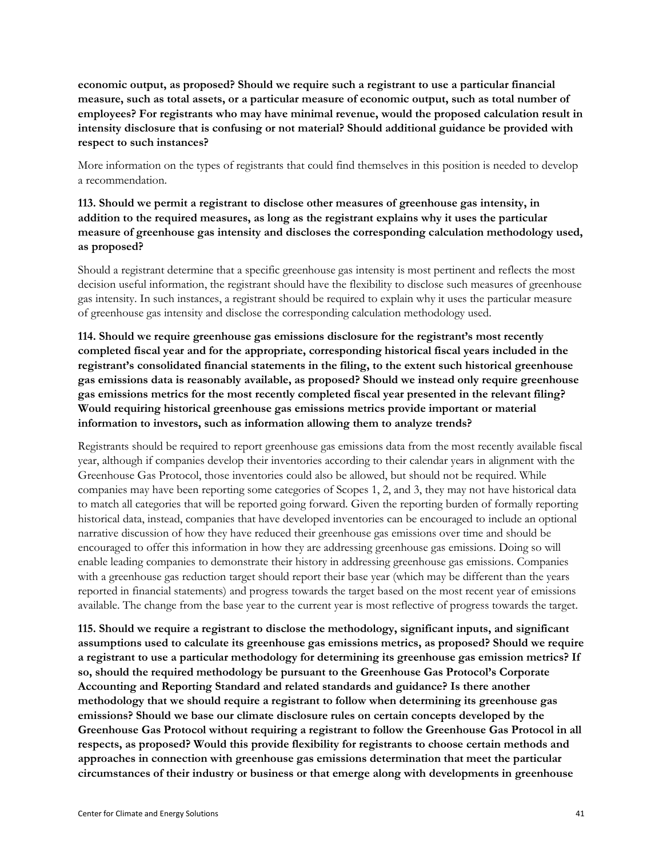**economic output, as proposed? Should we require such a registrant to use a particular financial measure, such as total assets, or a particular measure of economic output, such as total number of employees? For registrants who may have minimal revenue, would the proposed calculation result in intensity disclosure that is confusing or not material? Should additional guidance be provided with respect to such instances?**

More information on the types of registrants that could find themselves in this position is needed to develop a recommendation.

**113. Should we permit a registrant to disclose other measures of greenhouse gas intensity, in addition to the required measures, as long as the registrant explains why it uses the particular measure of greenhouse gas intensity and discloses the corresponding calculation methodology used, as proposed?**

Should a registrant determine that a specific greenhouse gas intensity is most pertinent and reflects the most decision useful information, the registrant should have the flexibility to disclose such measures of greenhouse gas intensity. In such instances, a registrant should be required to explain why it uses the particular measure of greenhouse gas intensity and disclose the corresponding calculation methodology used.

**114. Should we require greenhouse gas emissions disclosure for the registrant's most recently completed fiscal year and for the appropriate, corresponding historical fiscal years included in the registrant's consolidated financial statements in the filing, to the extent such historical greenhouse gas emissions data is reasonably available, as proposed? Should we instead only require greenhouse gas emissions metrics for the most recently completed fiscal year presented in the relevant filing? Would requiring historical greenhouse gas emissions metrics provide important or material information to investors, such as information allowing them to analyze trends?** 

Registrants should be required to report greenhouse gas emissions data from the most recently available fiscal year, although if companies develop their inventories according to their calendar years in alignment with the Greenhouse Gas Protocol, those inventories could also be allowed, but should not be required. While companies may have been reporting some categories of Scopes 1, 2, and 3, they may not have historical data to match all categories that will be reported going forward. Given the reporting burden of formally reporting historical data, instead, companies that have developed inventories can be encouraged to include an optional narrative discussion of how they have reduced their greenhouse gas emissions over time and should be encouraged to offer this information in how they are addressing greenhouse gas emissions. Doing so will enable leading companies to demonstrate their history in addressing greenhouse gas emissions. Companies with a greenhouse gas reduction target should report their base year (which may be different than the years reported in financial statements) and progress towards the target based on the most recent year of emissions available. The change from the base year to the current year is most reflective of progress towards the target.

**115. Should we require a registrant to disclose the methodology, significant inputs, and significant assumptions used to calculate its greenhouse gas emissions metrics, as proposed? Should we require a registrant to use a particular methodology for determining its greenhouse gas emission metrics? If so, should the required methodology be pursuant to the Greenhouse Gas Protocol's Corporate Accounting and Reporting Standard and related standards and guidance? Is there another methodology that we should require a registrant to follow when determining its greenhouse gas emissions? Should we base our climate disclosure rules on certain concepts developed by the Greenhouse Gas Protocol without requiring a registrant to follow the Greenhouse Gas Protocol in all respects, as proposed? Would this provide flexibility for registrants to choose certain methods and approaches in connection with greenhouse gas emissions determination that meet the particular circumstances of their industry or business or that emerge along with developments in greenhouse**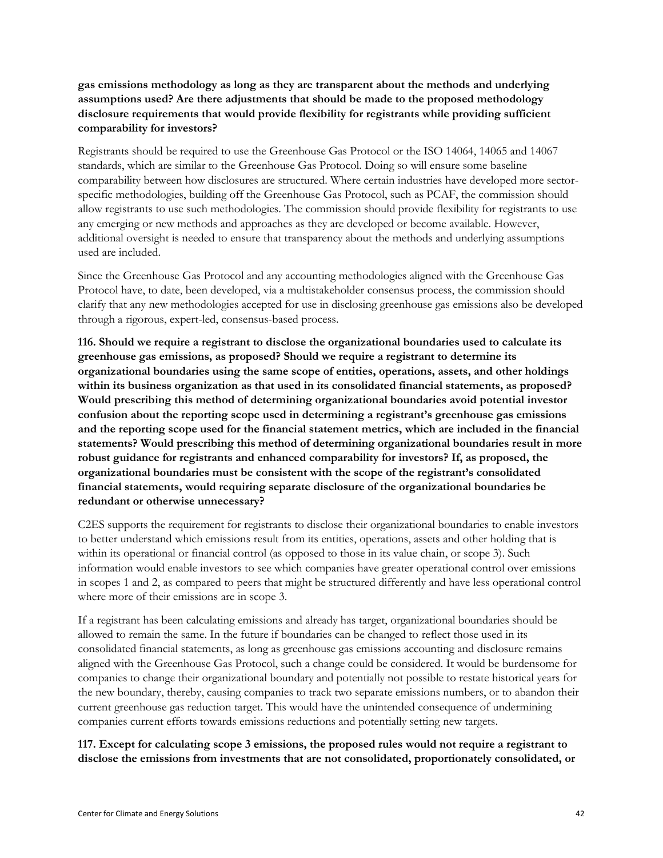### **gas emissions methodology as long as they are transparent about the methods and underlying assumptions used? Are there adjustments that should be made to the proposed methodology disclosure requirements that would provide flexibility for registrants while providing sufficient comparability for investors?**

Registrants should be required to use the Greenhouse Gas Protocol or the ISO 14064, 14065 and 14067 standards, which are similar to the Greenhouse Gas Protocol. Doing so will ensure some baseline comparability between how disclosures are structured. Where certain industries have developed more sectorspecific methodologies, building off the Greenhouse Gas Protocol, such as PCAF, the commission should allow registrants to use such methodologies. The commission should provide flexibility for registrants to use any emerging or new methods and approaches as they are developed or become available. However, additional oversight is needed to ensure that transparency about the methods and underlying assumptions used are included.

Since the Greenhouse Gas Protocol and any accounting methodologies aligned with the Greenhouse Gas Protocol have, to date, been developed, via a multistakeholder consensus process, the commission should clarify that any new methodologies accepted for use in disclosing greenhouse gas emissions also be developed through a rigorous, expert-led, consensus-based process.

**116. Should we require a registrant to disclose the organizational boundaries used to calculate its greenhouse gas emissions, as proposed? Should we require a registrant to determine its organizational boundaries using the same scope of entities, operations, assets, and other holdings within its business organization as that used in its consolidated financial statements, as proposed? Would prescribing this method of determining organizational boundaries avoid potential investor confusion about the reporting scope used in determining a registrant's greenhouse gas emissions and the reporting scope used for the financial statement metrics, which are included in the financial statements? Would prescribing this method of determining organizational boundaries result in more robust guidance for registrants and enhanced comparability for investors? If, as proposed, the organizational boundaries must be consistent with the scope of the registrant's consolidated financial statements, would requiring separate disclosure of the organizational boundaries be redundant or otherwise unnecessary?**

C2ES supports the requirement for registrants to disclose their organizational boundaries to enable investors to better understand which emissions result from its entities, operations, assets and other holding that is within its operational or financial control (as opposed to those in its value chain, or scope 3). Such information would enable investors to see which companies have greater operational control over emissions in scopes 1 and 2, as compared to peers that might be structured differently and have less operational control where more of their emissions are in scope 3.

If a registrant has been calculating emissions and already has target, organizational boundaries should be allowed to remain the same. In the future if boundaries can be changed to reflect those used in its consolidated financial statements, as long as greenhouse gas emissions accounting and disclosure remains aligned with the Greenhouse Gas Protocol, such a change could be considered. It would be burdensome for companies to change their organizational boundary and potentially not possible to restate historical years for the new boundary, thereby, causing companies to track two separate emissions numbers, or to abandon their current greenhouse gas reduction target. This would have the unintended consequence of undermining companies current efforts towards emissions reductions and potentially setting new targets.

**117. Except for calculating scope 3 emissions, the proposed rules would not require a registrant to disclose the emissions from investments that are not consolidated, proportionately consolidated, or**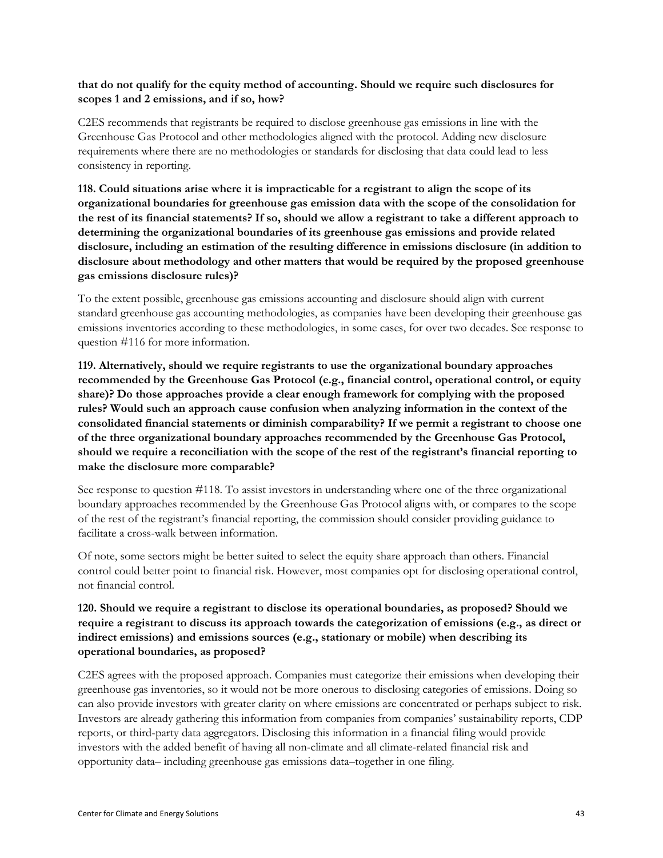#### **that do not qualify for the equity method of accounting. Should we require such disclosures for scopes 1 and 2 emissions, and if so, how?**

C2ES recommends that registrants be required to disclose greenhouse gas emissions in line with the Greenhouse Gas Protocol and other methodologies aligned with the protocol. Adding new disclosure requirements where there are no methodologies or standards for disclosing that data could lead to less consistency in reporting.

**118. Could situations arise where it is impracticable for a registrant to align the scope of its organizational boundaries for greenhouse gas emission data with the scope of the consolidation for the rest of its financial statements? If so, should we allow a registrant to take a different approach to determining the organizational boundaries of its greenhouse gas emissions and provide related disclosure, including an estimation of the resulting difference in emissions disclosure (in addition to disclosure about methodology and other matters that would be required by the proposed greenhouse gas emissions disclosure rules)?**

To the extent possible, greenhouse gas emissions accounting and disclosure should align with current standard greenhouse gas accounting methodologies, as companies have been developing their greenhouse gas emissions inventories according to these methodologies, in some cases, for over two decades. See response to question #116 for more information.

**119. Alternatively, should we require registrants to use the organizational boundary approaches recommended by the Greenhouse Gas Protocol (e.g., financial control, operational control, or equity share)? Do those approaches provide a clear enough framework for complying with the proposed rules? Would such an approach cause confusion when analyzing information in the context of the consolidated financial statements or diminish comparability? If we permit a registrant to choose one of the three organizational boundary approaches recommended by the Greenhouse Gas Protocol, should we require a reconciliation with the scope of the rest of the registrant's financial reporting to make the disclosure more comparable?** 

See response to question #118. To assist investors in understanding where one of the three organizational boundary approaches recommended by the Greenhouse Gas Protocol aligns with, or compares to the scope of the rest of the registrant's financial reporting, the commission should consider providing guidance to facilitate a cross-walk between information.

Of note, some sectors might be better suited to select the equity share approach than others. Financial control could better point to financial risk. However, most companies opt for disclosing operational control, not financial control.

# **120. Should we require a registrant to disclose its operational boundaries, as proposed? Should we require a registrant to discuss its approach towards the categorization of emissions (e.g., as direct or indirect emissions) and emissions sources (e.g., stationary or mobile) when describing its operational boundaries, as proposed?**

C2ES agrees with the proposed approach. Companies must categorize their emissions when developing their greenhouse gas inventories, so it would not be more onerous to disclosing categories of emissions. Doing so can also provide investors with greater clarity on where emissions are concentrated or perhaps subject to risk. Investors are already gathering this information from companies from companies' sustainability reports, CDP reports, or third-party data aggregators. Disclosing this information in a financial filing would provide investors with the added benefit of having all non-climate and all climate-related financial risk and opportunity data– including greenhouse gas emissions data–together in one filing.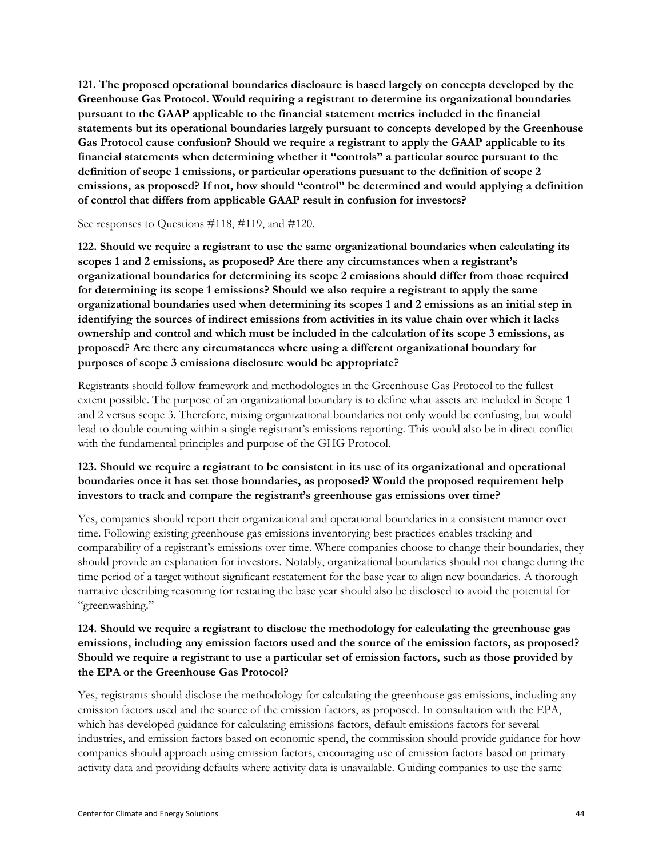**121. The proposed operational boundaries disclosure is based largely on concepts developed by the Greenhouse Gas Protocol. Would requiring a registrant to determine its organizational boundaries pursuant to the GAAP applicable to the financial statement metrics included in the financial statements but its operational boundaries largely pursuant to concepts developed by the Greenhouse Gas Protocol cause confusion? Should we require a registrant to apply the GAAP applicable to its financial statements when determining whether it "controls" a particular source pursuant to the definition of scope 1 emissions, or particular operations pursuant to the definition of scope 2 emissions, as proposed? If not, how should "control" be determined and would applying a definition of control that differs from applicable GAAP result in confusion for investors?** 

#### See responses to Questions #118, #119, and #120.

**122. Should we require a registrant to use the same organizational boundaries when calculating its scopes 1 and 2 emissions, as proposed? Are there any circumstances when a registrant's organizational boundaries for determining its scope 2 emissions should differ from those required for determining its scope 1 emissions? Should we also require a registrant to apply the same organizational boundaries used when determining its scopes 1 and 2 emissions as an initial step in identifying the sources of indirect emissions from activities in its value chain over which it lacks ownership and control and which must be included in the calculation of its scope 3 emissions, as proposed? Are there any circumstances where using a different organizational boundary for purposes of scope 3 emissions disclosure would be appropriate?** 

Registrants should follow framework and methodologies in the Greenhouse Gas Protocol to the fullest extent possible. The purpose of an organizational boundary is to define what assets are included in Scope 1 and 2 versus scope 3. Therefore, mixing organizational boundaries not only would be confusing, but would lead to double counting within a single registrant's emissions reporting. This would also be in direct conflict with the fundamental principles and purpose of the GHG Protocol.

### **123. Should we require a registrant to be consistent in its use of its organizational and operational boundaries once it has set those boundaries, as proposed? Would the proposed requirement help investors to track and compare the registrant's greenhouse gas emissions over time?**

Yes, companies should report their organizational and operational boundaries in a consistent manner over time. Following existing greenhouse gas emissions inventorying best practices enables tracking and comparability of a registrant's emissions over time. Where companies choose to change their boundaries, they should provide an explanation for investors. Notably, organizational boundaries should not change during the time period of a target without significant restatement for the base year to align new boundaries. A thorough narrative describing reasoning for restating the base year should also be disclosed to avoid the potential for "greenwashing."

### **124. Should we require a registrant to disclose the methodology for calculating the greenhouse gas emissions, including any emission factors used and the source of the emission factors, as proposed? Should we require a registrant to use a particular set of emission factors, such as those provided by the EPA or the Greenhouse Gas Protocol?**

Yes, registrants should disclose the methodology for calculating the greenhouse gas emissions, including any emission factors used and the source of the emission factors, as proposed. In consultation with the EPA, which has developed guidance for calculating emissions factors, default emissions factors for several industries, and emission factors based on economic spend, the commission should provide guidance for how companies should approach using emission factors, encouraging use of emission factors based on primary activity data and providing defaults where activity data is unavailable. Guiding companies to use the same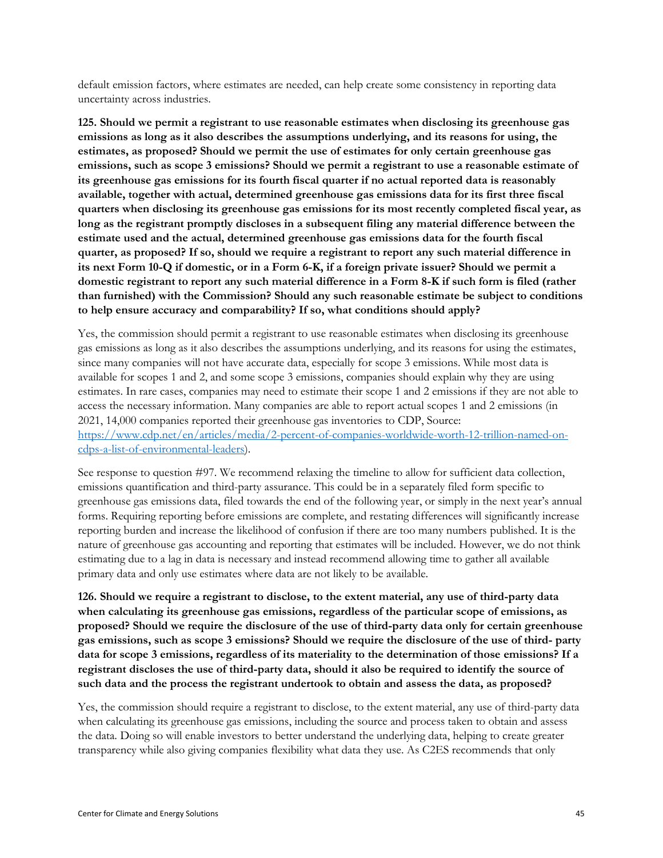default emission factors, where estimates are needed, can help create some consistency in reporting data uncertainty across industries.

**125. Should we permit a registrant to use reasonable estimates when disclosing its greenhouse gas emissions as long as it also describes the assumptions underlying, and its reasons for using, the estimates, as proposed? Should we permit the use of estimates for only certain greenhouse gas emissions, such as scope 3 emissions? Should we permit a registrant to use a reasonable estimate of its greenhouse gas emissions for its fourth fiscal quarter if no actual reported data is reasonably available, together with actual, determined greenhouse gas emissions data for its first three fiscal quarters when disclosing its greenhouse gas emissions for its most recently completed fiscal year, as long as the registrant promptly discloses in a subsequent filing any material difference between the estimate used and the actual, determined greenhouse gas emissions data for the fourth fiscal quarter, as proposed? If so, should we require a registrant to report any such material difference in its next Form 10-Q if domestic, or in a Form 6-K, if a foreign private issuer? Should we permit a domestic registrant to report any such material difference in a Form 8-K if such form is filed (rather than furnished) with the Commission? Should any such reasonable estimate be subject to conditions to help ensure accuracy and comparability? If so, what conditions should apply?**

Yes, the commission should permit a registrant to use reasonable estimates when disclosing its greenhouse gas emissions as long as it also describes the assumptions underlying, and its reasons for using the estimates, since many companies will not have accurate data, especially for scope 3 emissions. While most data is available for scopes 1 and 2, and some scope 3 emissions, companies should explain why they are using estimates. In rare cases, companies may need to estimate their scope 1 and 2 emissions if they are not able to access the necessary information. Many companies are able to report actual scopes 1 and 2 emissions (in 2021, 14,000 companies reported their greenhouse gas inventories to CDP, Source: [https://www.cdp.net/en/articles/media/2-percent-of-companies-worldwide-worth-12-trillion-named-on](https://www.cdp.net/en/articles/media/2-percent-of-companies-worldwide-worth-12-trillion-named-on-cdps-a-list-of-environmental-leaders)[cdps-a-list-of-environmental-leaders\)](https://www.cdp.net/en/articles/media/2-percent-of-companies-worldwide-worth-12-trillion-named-on-cdps-a-list-of-environmental-leaders).

See response to question #97. We recommend relaxing the timeline to allow for sufficient data collection, emissions quantification and third-party assurance. This could be in a separately filed form specific to greenhouse gas emissions data, filed towards the end of the following year, or simply in the next year's annual forms. Requiring reporting before emissions are complete, and restating differences will significantly increase reporting burden and increase the likelihood of confusion if there are too many numbers published. It is the nature of greenhouse gas accounting and reporting that estimates will be included. However, we do not think estimating due to a lag in data is necessary and instead recommend allowing time to gather all available primary data and only use estimates where data are not likely to be available.

**126. Should we require a registrant to disclose, to the extent material, any use of third-party data when calculating its greenhouse gas emissions, regardless of the particular scope of emissions, as proposed? Should we require the disclosure of the use of third-party data only for certain greenhouse gas emissions, such as scope 3 emissions? Should we require the disclosure of the use of third- party data for scope 3 emissions, regardless of its materiality to the determination of those emissions? If a registrant discloses the use of third-party data, should it also be required to identify the source of such data and the process the registrant undertook to obtain and assess the data, as proposed?** 

Yes, the commission should require a registrant to disclose, to the extent material, any use of third-party data when calculating its greenhouse gas emissions, including the source and process taken to obtain and assess the data. Doing so will enable investors to better understand the underlying data, helping to create greater transparency while also giving companies flexibility what data they use. As C2ES recommends that only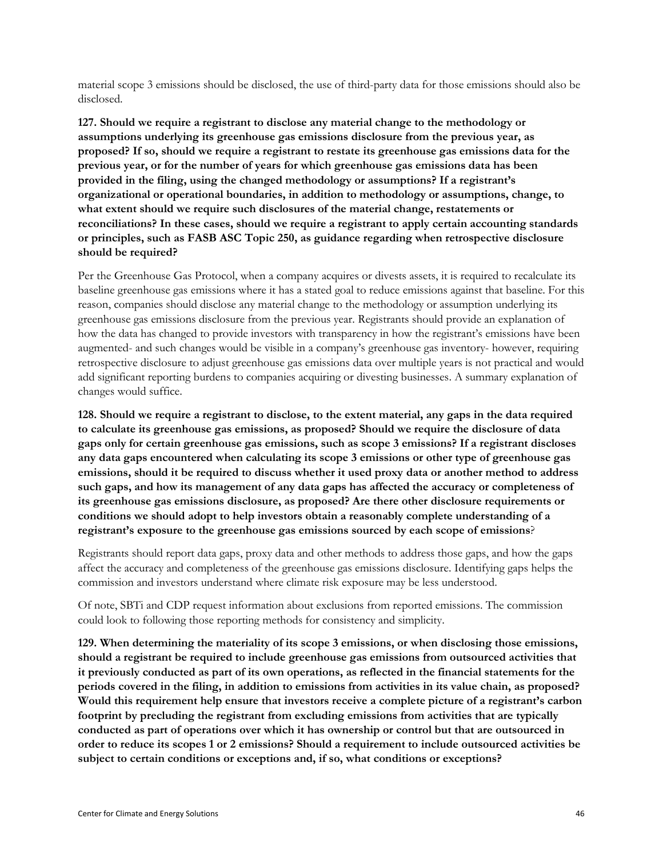material scope 3 emissions should be disclosed, the use of third-party data for those emissions should also be disclosed.

**127. Should we require a registrant to disclose any material change to the methodology or assumptions underlying its greenhouse gas emissions disclosure from the previous year, as proposed? If so, should we require a registrant to restate its greenhouse gas emissions data for the previous year, or for the number of years for which greenhouse gas emissions data has been provided in the filing, using the changed methodology or assumptions? If a registrant's organizational or operational boundaries, in addition to methodology or assumptions, change, to what extent should we require such disclosures of the material change, restatements or reconciliations? In these cases, should we require a registrant to apply certain accounting standards or principles, such as FASB ASC Topic 250, as guidance regarding when retrospective disclosure should be required?** 

Per the Greenhouse Gas Protocol, when a company acquires or divests assets, it is required to recalculate its baseline greenhouse gas emissions where it has a stated goal to reduce emissions against that baseline. For this reason, companies should disclose any material change to the methodology or assumption underlying its greenhouse gas emissions disclosure from the previous year. Registrants should provide an explanation of how the data has changed to provide investors with transparency in how the registrant's emissions have been augmented- and such changes would be visible in a company's greenhouse gas inventory- however, requiring retrospective disclosure to adjust greenhouse gas emissions data over multiple years is not practical and would add significant reporting burdens to companies acquiring or divesting businesses. A summary explanation of changes would suffice.

**128. Should we require a registrant to disclose, to the extent material, any gaps in the data required to calculate its greenhouse gas emissions, as proposed? Should we require the disclosure of data gaps only for certain greenhouse gas emissions, such as scope 3 emissions? If a registrant discloses any data gaps encountered when calculating its scope 3 emissions or other type of greenhouse gas emissions, should it be required to discuss whether it used proxy data or another method to address such gaps, and how its management of any data gaps has affected the accuracy or completeness of its greenhouse gas emissions disclosure, as proposed? Are there other disclosure requirements or conditions we should adopt to help investors obtain a reasonably complete understanding of a registrant's exposure to the greenhouse gas emissions sourced by each scope of emissions**?

Registrants should report data gaps, proxy data and other methods to address those gaps, and how the gaps affect the accuracy and completeness of the greenhouse gas emissions disclosure. Identifying gaps helps the commission and investors understand where climate risk exposure may be less understood.

Of note, SBTi and CDP request information about exclusions from reported emissions. The commission could look to following those reporting methods for consistency and simplicity.

**129. When determining the materiality of its scope 3 emissions, or when disclosing those emissions, should a registrant be required to include greenhouse gas emissions from outsourced activities that it previously conducted as part of its own operations, as reflected in the financial statements for the periods covered in the filing, in addition to emissions from activities in its value chain, as proposed? Would this requirement help ensure that investors receive a complete picture of a registrant's carbon footprint by precluding the registrant from excluding emissions from activities that are typically conducted as part of operations over which it has ownership or control but that are outsourced in order to reduce its scopes 1 or 2 emissions? Should a requirement to include outsourced activities be subject to certain conditions or exceptions and, if so, what conditions or exceptions?**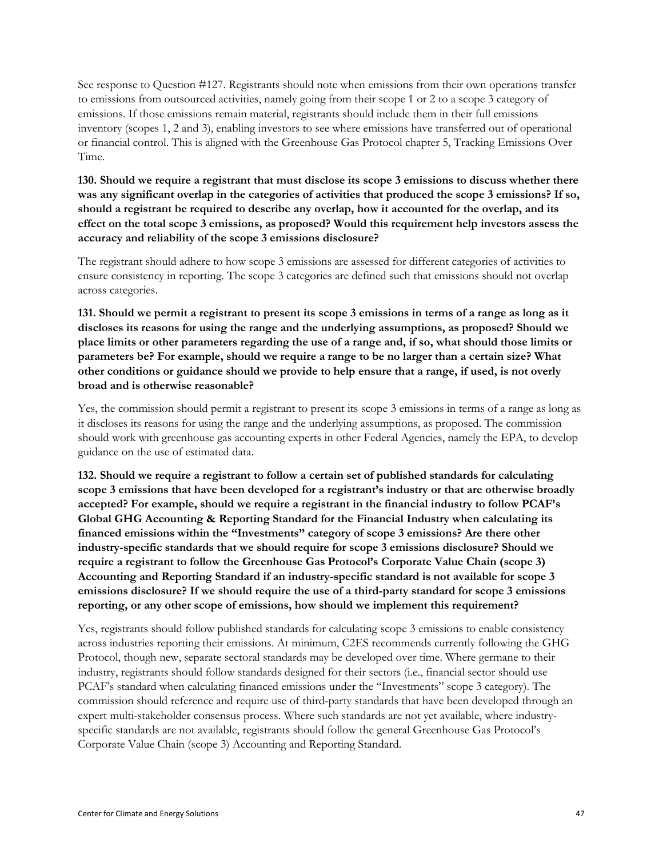See response to Question #127. Registrants should note when emissions from their own operations transfer to emissions from outsourced activities, namely going from their scope 1 or 2 to a scope 3 category of emissions. If those emissions remain material, registrants should include them in their full emissions inventory (scopes 1, 2 and 3), enabling investors to see where emissions have transferred out of operational or financial control. This is aligned with the Greenhouse Gas Protocol chapter 5, Tracking Emissions Over Time.

**130. Should we require a registrant that must disclose its scope 3 emissions to discuss whether there was any significant overlap in the categories of activities that produced the scope 3 emissions? If so, should a registrant be required to describe any overlap, how it accounted for the overlap, and its effect on the total scope 3 emissions, as proposed? Would this requirement help investors assess the accuracy and reliability of the scope 3 emissions disclosure?** 

The registrant should adhere to how scope 3 emissions are assessed for different categories of activities to ensure consistency in reporting. The scope 3 categories are defined such that emissions should not overlap across categories.

**131. Should we permit a registrant to present its scope 3 emissions in terms of a range as long as it discloses its reasons for using the range and the underlying assumptions, as proposed? Should we place limits or other parameters regarding the use of a range and, if so, what should those limits or parameters be? For example, should we require a range to be no larger than a certain size? What other conditions or guidance should we provide to help ensure that a range, if used, is not overly broad and is otherwise reasonable?** 

Yes, the commission should permit a registrant to present its scope 3 emissions in terms of a range as long as it discloses its reasons for using the range and the underlying assumptions, as proposed. The commission should work with greenhouse gas accounting experts in other Federal Agencies, namely the EPA, to develop guidance on the use of estimated data.

**132. Should we require a registrant to follow a certain set of published standards for calculating scope 3 emissions that have been developed for a registrant's industry or that are otherwise broadly accepted? For example, should we require a registrant in the financial industry to follow PCAF's Global GHG Accounting & Reporting Standard for the Financial Industry when calculating its financed emissions within the "Investments" category of scope 3 emissions? Are there other industry-specific standards that we should require for scope 3 emissions disclosure? Should we require a registrant to follow the Greenhouse Gas Protocol's Corporate Value Chain (scope 3) Accounting and Reporting Standard if an industry-specific standard is not available for scope 3 emissions disclosure? If we should require the use of a third-party standard for scope 3 emissions reporting, or any other scope of emissions, how should we implement this requirement?**

Yes, registrants should follow published standards for calculating scope 3 emissions to enable consistency across industries reporting their emissions. At minimum, C2ES recommends currently following the GHG Protocol, though new, separate sectoral standards may be developed over time. Where germane to their industry, registrants should follow standards designed for their sectors (i.e., financial sector should use PCAF's standard when calculating financed emissions under the "Investments" scope 3 category). The commission should reference and require use of third-party standards that have been developed through an expert multi-stakeholder consensus process. Where such standards are not yet available, where industryspecific standards are not available, registrants should follow the general Greenhouse Gas Protocol's Corporate Value Chain (scope 3) Accounting and Reporting Standard.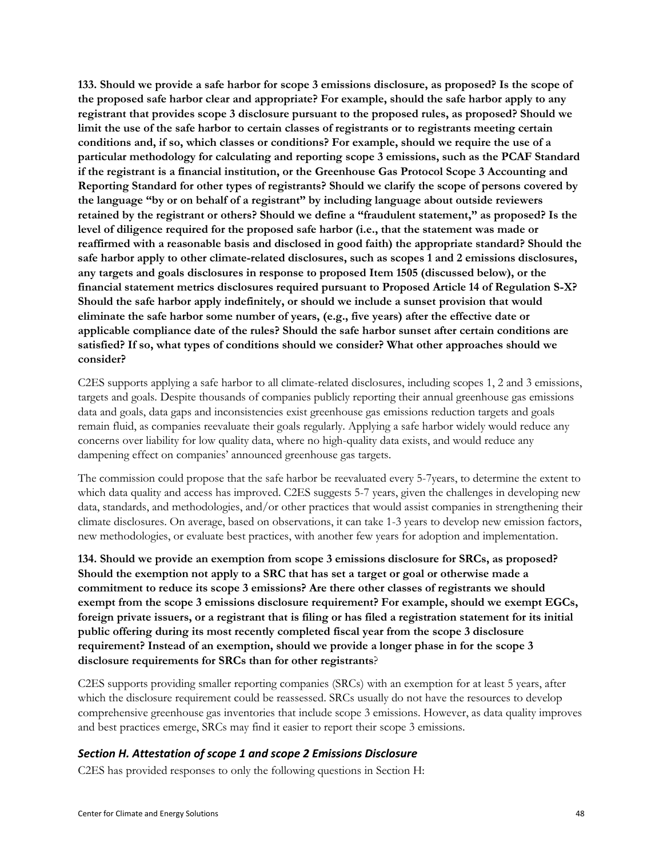**133. Should we provide a safe harbor for scope 3 emissions disclosure, as proposed? Is the scope of the proposed safe harbor clear and appropriate? For example, should the safe harbor apply to any registrant that provides scope 3 disclosure pursuant to the proposed rules, as proposed? Should we limit the use of the safe harbor to certain classes of registrants or to registrants meeting certain conditions and, if so, which classes or conditions? For example, should we require the use of a particular methodology for calculating and reporting scope 3 emissions, such as the PCAF Standard if the registrant is a financial institution, or the Greenhouse Gas Protocol Scope 3 Accounting and Reporting Standard for other types of registrants? Should we clarify the scope of persons covered by the language "by or on behalf of a registrant" by including language about outside reviewers retained by the registrant or others? Should we define a "fraudulent statement," as proposed? Is the level of diligence required for the proposed safe harbor (i.e., that the statement was made or reaffirmed with a reasonable basis and disclosed in good faith) the appropriate standard? Should the safe harbor apply to other climate-related disclosures, such as scopes 1 and 2 emissions disclosures, any targets and goals disclosures in response to proposed Item 1505 (discussed below), or the financial statement metrics disclosures required pursuant to Proposed Article 14 of Regulation S-X? Should the safe harbor apply indefinitely, or should we include a sunset provision that would eliminate the safe harbor some number of years, (e.g., five years) after the effective date or applicable compliance date of the rules? Should the safe harbor sunset after certain conditions are satisfied? If so, what types of conditions should we consider? What other approaches should we consider?**

C2ES supports applying a safe harbor to all climate-related disclosures, including scopes 1, 2 and 3 emissions, targets and goals. Despite thousands of companies publicly reporting their annual greenhouse gas emissions data and goals, data gaps and inconsistencies exist greenhouse gas emissions reduction targets and goals remain fluid, as companies reevaluate their goals regularly. Applying a safe harbor widely would reduce any concerns over liability for low quality data, where no high-quality data exists, and would reduce any dampening effect on companies' announced greenhouse gas targets.

The commission could propose that the safe harbor be reevaluated every 5-7years, to determine the extent to which data quality and access has improved. C2ES suggests 5-7 years, given the challenges in developing new data, standards, and methodologies, and/or other practices that would assist companies in strengthening their climate disclosures. On average, based on observations, it can take 1-3 years to develop new emission factors, new methodologies, or evaluate best practices, with another few years for adoption and implementation.

**134. Should we provide an exemption from scope 3 emissions disclosure for SRCs, as proposed? Should the exemption not apply to a SRC that has set a target or goal or otherwise made a commitment to reduce its scope 3 emissions? Are there other classes of registrants we should exempt from the scope 3 emissions disclosure requirement? For example, should we exempt EGCs, foreign private issuers, or a registrant that is filing or has filed a registration statement for its initial public offering during its most recently completed fiscal year from the scope 3 disclosure requirement? Instead of an exemption, should we provide a longer phase in for the scope 3 disclosure requirements for SRCs than for other registrants**?

C2ES supports providing smaller reporting companies (SRCs) with an exemption for at least 5 years, after which the disclosure requirement could be reassessed. SRCs usually do not have the resources to develop comprehensive greenhouse gas inventories that include scope 3 emissions. However, as data quality improves and best practices emerge, SRCs may find it easier to report their scope 3 emissions.

#### <span id="page-47-0"></span>*Section H. Attestation of scope 1 and scope 2 Emissions Disclosure*

C2ES has provided responses to only the following questions in Section H: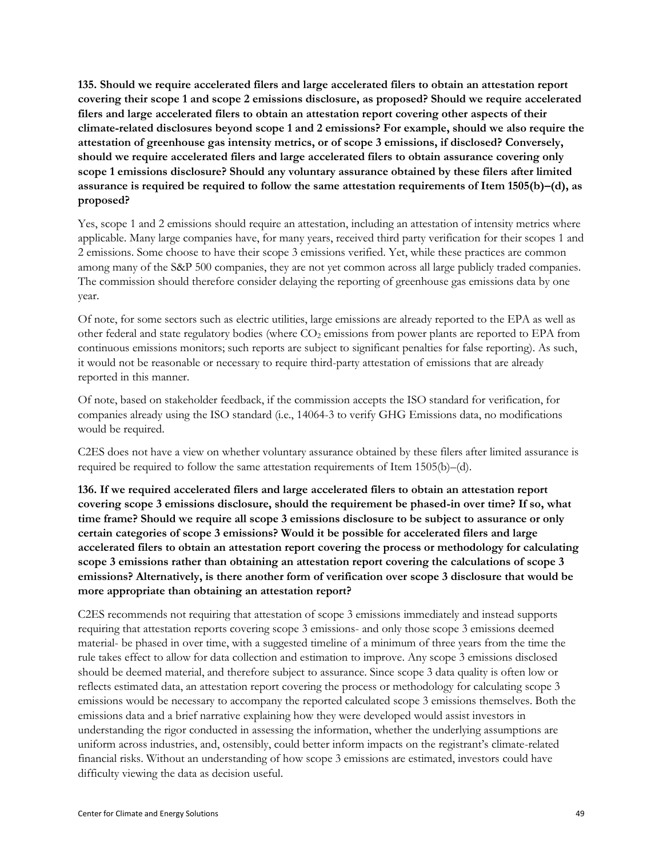**135. Should we require accelerated filers and large accelerated filers to obtain an attestation report covering their scope 1 and scope 2 emissions disclosure, as proposed? Should we require accelerated filers and large accelerated filers to obtain an attestation report covering other aspects of their climate-related disclosures beyond scope 1 and 2 emissions? For example, should we also require the attestation of greenhouse gas intensity metrics, or of scope 3 emissions, if disclosed? Conversely, should we require accelerated filers and large accelerated filers to obtain assurance covering only scope 1 emissions disclosure? Should any voluntary assurance obtained by these filers after limited assurance is required be required to follow the same attestation requirements of Item 1505(b)–(d), as proposed?** 

Yes, scope 1 and 2 emissions should require an attestation, including an attestation of intensity metrics where applicable. Many large companies have, for many years, received third party verification for their scopes 1 and 2 emissions. Some choose to have their scope 3 emissions verified. Yet, while these practices are common among many of the S&P 500 companies, they are not yet common across all large publicly traded companies. The commission should therefore consider delaying the reporting of greenhouse gas emissions data by one year.

Of note, for some sectors such as electric utilities, large emissions are already reported to the EPA as well as other federal and state regulatory bodies (where CO<sub>2</sub> emissions from power plants are reported to EPA from continuous emissions monitors; such reports are subject to significant penalties for false reporting). As such, it would not be reasonable or necessary to require third-party attestation of emissions that are already reported in this manner.

Of note, based on stakeholder feedback, if the commission accepts the ISO standard for verification, for companies already using the ISO standard (i.e., 14064-3 to verify GHG Emissions data, no modifications would be required.

C2ES does not have a view on whether voluntary assurance obtained by these filers after limited assurance is required be required to follow the same attestation requirements of Item 1505(b)–(d).

**136. If we required accelerated filers and large accelerated filers to obtain an attestation report covering scope 3 emissions disclosure, should the requirement be phased-in over time? If so, what time frame? Should we require all scope 3 emissions disclosure to be subject to assurance or only certain categories of scope 3 emissions? Would it be possible for accelerated filers and large accelerated filers to obtain an attestation report covering the process or methodology for calculating scope 3 emissions rather than obtaining an attestation report covering the calculations of scope 3 emissions? Alternatively, is there another form of verification over scope 3 disclosure that would be more appropriate than obtaining an attestation report?** 

C2ES recommends not requiring that attestation of scope 3 emissions immediately and instead supports requiring that attestation reports covering scope 3 emissions- and only those scope 3 emissions deemed material- be phased in over time, with a suggested timeline of a minimum of three years from the time the rule takes effect to allow for data collection and estimation to improve. Any scope 3 emissions disclosed should be deemed material, and therefore subject to assurance. Since scope 3 data quality is often low or reflects estimated data, an attestation report covering the process or methodology for calculating scope 3 emissions would be necessary to accompany the reported calculated scope 3 emissions themselves. Both the emissions data and a brief narrative explaining how they were developed would assist investors in understanding the rigor conducted in assessing the information, whether the underlying assumptions are uniform across industries, and, ostensibly, could better inform impacts on the registrant's climate-related financial risks. Without an understanding of how scope 3 emissions are estimated, investors could have difficulty viewing the data as decision useful.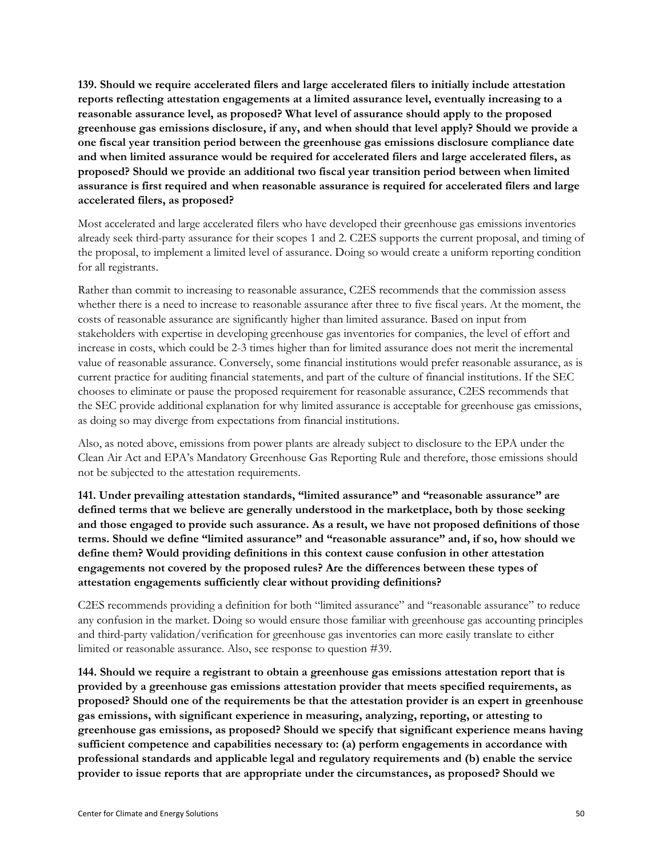**139. Should we require accelerated filers and large accelerated filers to initially include attestation reports reflecting attestation engagements at a limited assurance level, eventually increasing to a reasonable assurance level, as proposed? What level of assurance should apply to the proposed greenhouse gas emissions disclosure, if any, and when should that level apply? Should we provide a one fiscal year transition period between the greenhouse gas emissions disclosure compliance date and when limited assurance would be required for accelerated filers and large accelerated filers, as proposed? Should we provide an additional two fiscal year transition period between when limited assurance is first required and when reasonable assurance is required for accelerated filers and large accelerated filers, as proposed?**

Most accelerated and large accelerated filers who have developed their greenhouse gas emissions inventories already seek third-party assurance for their scopes 1 and 2. C2ES supports the current proposal, and timing of the proposal, to implement a limited level of assurance. Doing so would create a uniform reporting condition for all registrants.

Rather than commit to increasing to reasonable assurance, C2ES recommends that the commission assess whether there is a need to increase to reasonable assurance after three to five fiscal years. At the moment, the costs of reasonable assurance are significantly higher than limited assurance. Based on input from stakeholders with expertise in developing greenhouse gas inventories for companies, the level of effort and increase in costs, which could be 2-3 times higher than for limited assurance does not merit the incremental value of reasonable assurance. Conversely, some financial institutions would prefer reasonable assurance, as is current practice for auditing financial statements, and part of the culture of financial institutions. If the SEC chooses to eliminate or pause the proposed requirement for reasonable assurance, C2ES recommends that the SEC provide additional explanation for why limited assurance is acceptable for greenhouse gas emissions, as doing so may diverge from expectations from financial institutions.

Also, as noted above, emissions from power plants are already subject to disclosure to the EPA under the Clean Air Act and EPA's Mandatory Greenhouse Gas Reporting Rule and therefore, those emissions should not be subjected to the attestation requirements.

**141. Under prevailing attestation standards, "limited assurance" and "reasonable assurance" are defined terms that we believe are generally understood in the marketplace, both by those seeking and those engaged to provide such assurance. As a result, we have not proposed definitions of those terms. Should we define "limited assurance" and "reasonable assurance" and, if so, how should we define them? Would providing definitions in this context cause confusion in other attestation engagements not covered by the proposed rules? Are the differences between these types of attestation engagements sufficiently clear without providing definitions?**

C2ES recommends providing a definition for both "limited assurance" and "reasonable assurance" to reduce any confusion in the market. Doing so would ensure those familiar with greenhouse gas accounting principles and third-party validation/verification for greenhouse gas inventories can more easily translate to either limited or reasonable assurance. Also, see response to question #39.

**144. Should we require a registrant to obtain a greenhouse gas emissions attestation report that is provided by a greenhouse gas emissions attestation provider that meets specified requirements, as proposed? Should one of the requirements be that the attestation provider is an expert in greenhouse gas emissions, with significant experience in measuring, analyzing, reporting, or attesting to greenhouse gas emissions, as proposed? Should we specify that significant experience means having sufficient competence and capabilities necessary to: (a) perform engagements in accordance with professional standards and applicable legal and regulatory requirements and (b) enable the service provider to issue reports that are appropriate under the circumstances, as proposed? Should we**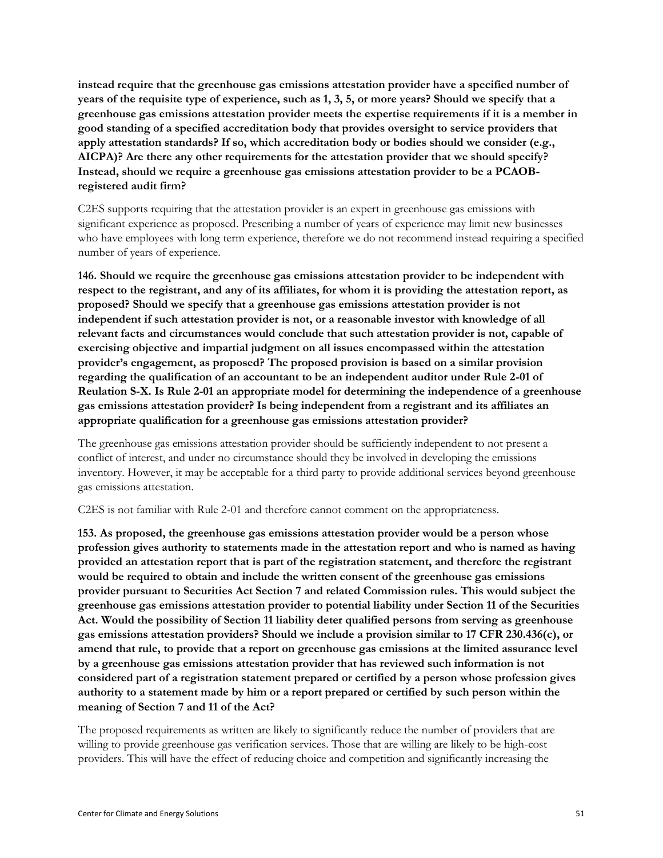**instead require that the greenhouse gas emissions attestation provider have a specified number of years of the requisite type of experience, such as 1, 3, 5, or more years? Should we specify that a greenhouse gas emissions attestation provider meets the expertise requirements if it is a member in good standing of a specified accreditation body that provides oversight to service providers that apply attestation standards? If so, which accreditation body or bodies should we consider (e.g., AICPA)? Are there any other requirements for the attestation provider that we should specify? Instead, should we require a greenhouse gas emissions attestation provider to be a PCAOBregistered audit firm?** 

C2ES supports requiring that the attestation provider is an expert in greenhouse gas emissions with significant experience as proposed. Prescribing a number of years of experience may limit new businesses who have employees with long term experience, therefore we do not recommend instead requiring a specified number of years of experience.

**146. Should we require the greenhouse gas emissions attestation provider to be independent with respect to the registrant, and any of its affiliates, for whom it is providing the attestation report, as proposed? Should we specify that a greenhouse gas emissions attestation provider is not independent if such attestation provider is not, or a reasonable investor with knowledge of all relevant facts and circumstances would conclude that such attestation provider is not, capable of exercising objective and impartial judgment on all issues encompassed within the attestation provider's engagement, as proposed? The proposed provision is based on a similar provision regarding the qualification of an accountant to be an independent auditor under Rule 2-01 of Reulation S-X. Is Rule 2-01 an appropriate model for determining the independence of a greenhouse gas emissions attestation provider? Is being independent from a registrant and its affiliates an appropriate qualification for a greenhouse gas emissions attestation provider?**

The greenhouse gas emissions attestation provider should be sufficiently independent to not present a conflict of interest, and under no circumstance should they be involved in developing the emissions inventory. However, it may be acceptable for a third party to provide additional services beyond greenhouse gas emissions attestation.

C2ES is not familiar with Rule 2-01 and therefore cannot comment on the appropriateness.

**153. As proposed, the greenhouse gas emissions attestation provider would be a person whose profession gives authority to statements made in the attestation report and who is named as having provided an attestation report that is part of the registration statement, and therefore the registrant would be required to obtain and include the written consent of the greenhouse gas emissions provider pursuant to Securities Act Section 7 and related Commission rules. This would subject the greenhouse gas emissions attestation provider to potential liability under Section 11 of the Securities Act. Would the possibility of Section 11 liability deter qualified persons from serving as greenhouse gas emissions attestation providers? Should we include a provision similar to 17 CFR 230.436(c), or amend that rule, to provide that a report on greenhouse gas emissions at the limited assurance level by a greenhouse gas emissions attestation provider that has reviewed such information is not considered part of a registration statement prepared or certified by a person whose profession gives authority to a statement made by him or a report prepared or certified by such person within the meaning of Section 7 and 11 of the Act?** 

The proposed requirements as written are likely to significantly reduce the number of providers that are willing to provide greenhouse gas verification services. Those that are willing are likely to be high-cost providers. This will have the effect of reducing choice and competition and significantly increasing the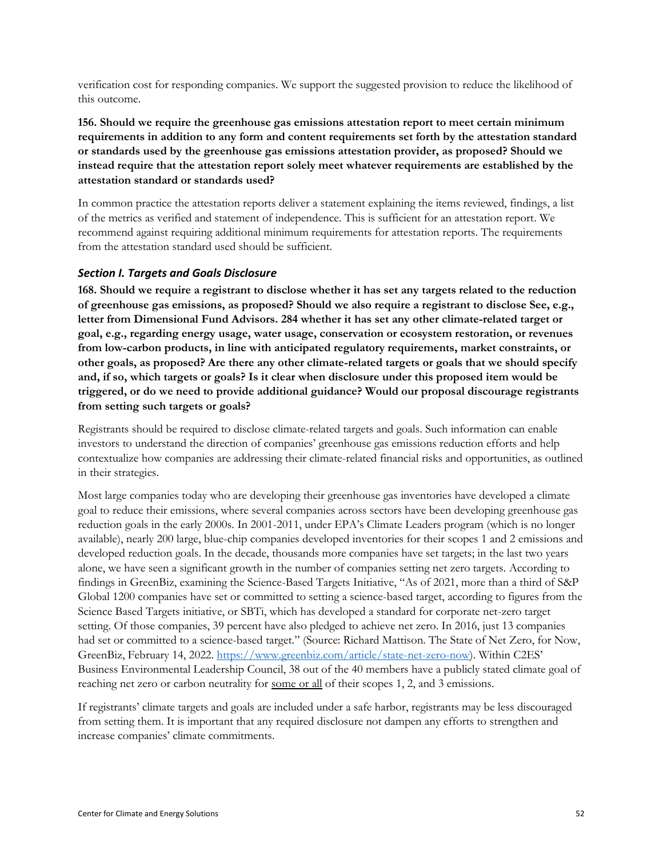verification cost for responding companies. We support the suggested provision to reduce the likelihood of this outcome.

**156. Should we require the greenhouse gas emissions attestation report to meet certain minimum requirements in addition to any form and content requirements set forth by the attestation standard or standards used by the greenhouse gas emissions attestation provider, as proposed? Should we instead require that the attestation report solely meet whatever requirements are established by the attestation standard or standards used?**

In common practice the attestation reports deliver a statement explaining the items reviewed, findings, a list of the metrics as verified and statement of independence. This is sufficient for an attestation report. We recommend against requiring additional minimum requirements for attestation reports. The requirements from the attestation standard used should be sufficient.

#### <span id="page-51-0"></span>*Section I. Targets and Goals Disclosure*

**168. Should we require a registrant to disclose whether it has set any targets related to the reduction of greenhouse gas emissions, as proposed? Should we also require a registrant to disclose See, e.g., letter from Dimensional Fund Advisors. 284 whether it has set any other climate-related target or goal, e.g., regarding energy usage, water usage, conservation or ecosystem restoration, or revenues from low-carbon products, in line with anticipated regulatory requirements, market constraints, or other goals, as proposed? Are there any other climate-related targets or goals that we should specify and, if so, which targets or goals? Is it clear when disclosure under this proposed item would be triggered, or do we need to provide additional guidance? Would our proposal discourage registrants from setting such targets or goals?** 

Registrants should be required to disclose climate-related targets and goals. Such information can enable investors to understand the direction of companies' greenhouse gas emissions reduction efforts and help contextualize how companies are addressing their climate-related financial risks and opportunities, as outlined in their strategies.

Most large companies today who are developing their greenhouse gas inventories have developed a climate goal to reduce their emissions, where several companies across sectors have been developing greenhouse gas reduction goals in the early 2000s. In 2001-2011, under EPA's Climate Leaders program (which is no longer available), nearly 200 large, blue-chip companies developed inventories for their scopes 1 and 2 emissions and developed reduction goals. In the decade, thousands more companies have set targets; in the last two years alone, we have seen a significant growth in the number of companies setting net zero targets. According to findings in GreenBiz, examining the Science-Based Targets Initiative, "As of 2021, more than a third of S&P Global 1200 companies have set or committed to setting a science-based target, according to figures from the Science Based Targets initiative, or SBTi, which has developed a standard for corporate net-zero target setting. Of those companies, 39 percent have also pledged to achieve net zero. In 2016, just 13 companies had set or committed to a science-based target." (Source: Richard Mattison. The State of Net Zero, for Now, GreenBiz, February 14, 2022. [https://www.greenbiz.com/article/state-net-zero-now\)](https://www.greenbiz.com/article/state-net-zero-now). Within C2ES' Business Environmental Leadership Council, 38 out of the 40 members have a publicly stated climate goal of reaching net zero or carbon neutrality for <u>some or all</u> of their scopes 1, 2, and 3 emissions.

If registrants' climate targets and goals are included under a safe harbor, registrants may be less discouraged from setting them. It is important that any required disclosure not dampen any efforts to strengthen and increase companies' climate commitments.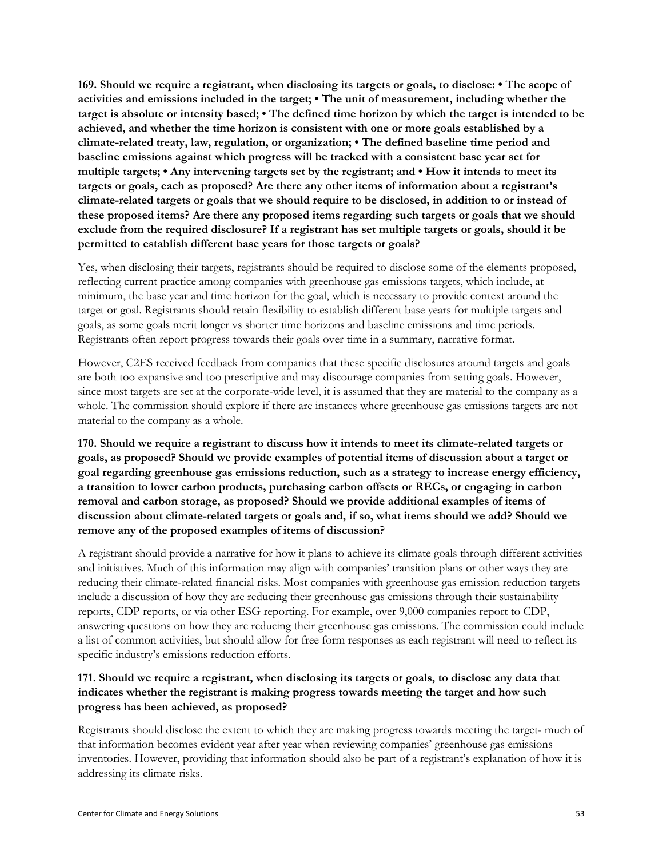**169. Should we require a registrant, when disclosing its targets or goals, to disclose: • The scope of activities and emissions included in the target; • The unit of measurement, including whether the target is absolute or intensity based; • The defined time horizon by which the target is intended to be achieved, and whether the time horizon is consistent with one or more goals established by a climate-related treaty, law, regulation, or organization; • The defined baseline time period and baseline emissions against which progress will be tracked with a consistent base year set for multiple targets; • Any intervening targets set by the registrant; and • How it intends to meet its targets or goals, each as proposed? Are there any other items of information about a registrant's climate-related targets or goals that we should require to be disclosed, in addition to or instead of these proposed items? Are there any proposed items regarding such targets or goals that we should exclude from the required disclosure? If a registrant has set multiple targets or goals, should it be permitted to establish different base years for those targets or goals?**

Yes, when disclosing their targets, registrants should be required to disclose some of the elements proposed, reflecting current practice among companies with greenhouse gas emissions targets, which include, at minimum, the base year and time horizon for the goal, which is necessary to provide context around the target or goal. Registrants should retain flexibility to establish different base years for multiple targets and goals, as some goals merit longer vs shorter time horizons and baseline emissions and time periods. Registrants often report progress towards their goals over time in a summary, narrative format.

However, C2ES received feedback from companies that these specific disclosures around targets and goals are both too expansive and too prescriptive and may discourage companies from setting goals. However, since most targets are set at the corporate-wide level, it is assumed that they are material to the company as a whole. The commission should explore if there are instances where greenhouse gas emissions targets are not material to the company as a whole.

**170. Should we require a registrant to discuss how it intends to meet its climate-related targets or goals, as proposed? Should we provide examples of potential items of discussion about a target or goal regarding greenhouse gas emissions reduction, such as a strategy to increase energy efficiency, a transition to lower carbon products, purchasing carbon offsets or RECs, or engaging in carbon removal and carbon storage, as proposed? Should we provide additional examples of items of discussion about climate-related targets or goals and, if so, what items should we add? Should we remove any of the proposed examples of items of discussion?** 

A registrant should provide a narrative for how it plans to achieve its climate goals through different activities and initiatives. Much of this information may align with companies' transition plans or other ways they are reducing their climate-related financial risks. Most companies with greenhouse gas emission reduction targets include a discussion of how they are reducing their greenhouse gas emissions through their sustainability reports, CDP reports, or via other ESG reporting. For example, over 9,000 companies report to CDP, answering questions on how they are reducing their greenhouse gas emissions. The commission could include a list of common activities, but should allow for free form responses as each registrant will need to reflect its specific industry's emissions reduction efforts.

#### **171. Should we require a registrant, when disclosing its targets or goals, to disclose any data that indicates whether the registrant is making progress towards meeting the target and how such progress has been achieved, as proposed?**

Registrants should disclose the extent to which they are making progress towards meeting the target- much of that information becomes evident year after year when reviewing companies' greenhouse gas emissions inventories. However, providing that information should also be part of a registrant's explanation of how it is addressing its climate risks.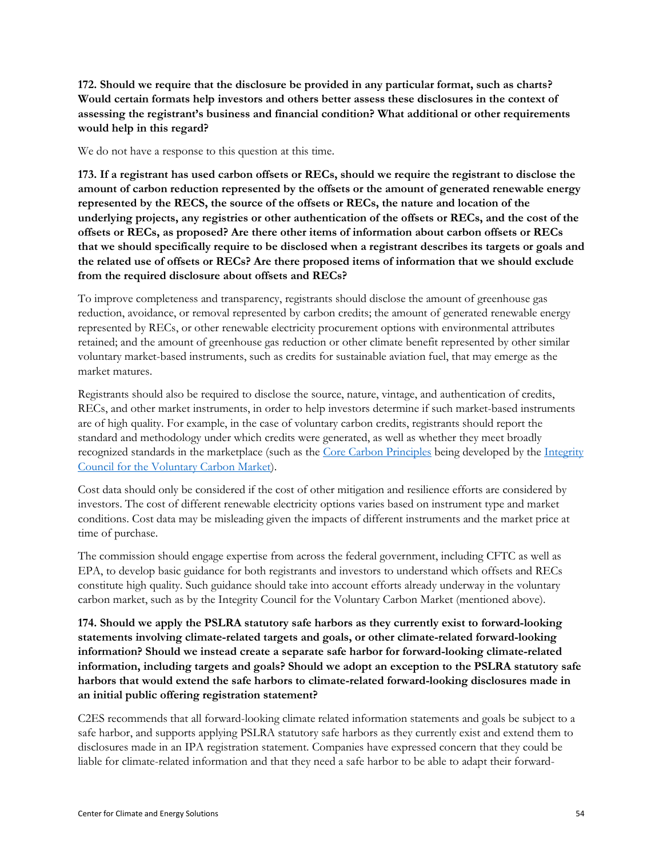**172. Should we require that the disclosure be provided in any particular format, such as charts? Would certain formats help investors and others better assess these disclosures in the context of assessing the registrant's business and financial condition? What additional or other requirements would help in this regard?** 

We do not have a response to this question at this time.

**173. If a registrant has used carbon offsets or RECs, should we require the registrant to disclose the amount of carbon reduction represented by the offsets or the amount of generated renewable energy represented by the RECS, the source of the offsets or RECs, the nature and location of the underlying projects, any registries or other authentication of the offsets or RECs, and the cost of the offsets or RECs, as proposed? Are there other items of information about carbon offsets or RECs that we should specifically require to be disclosed when a registrant describes its targets or goals and the related use of offsets or RECs? Are there proposed items of information that we should exclude from the required disclosure about offsets and RECs?** 

To improve completeness and transparency, registrants should disclose the amount of greenhouse gas reduction, avoidance, or removal represented by carbon credits; the amount of generated renewable energy represented by RECs, or other renewable electricity procurement options with environmental attributes retained; and the amount of greenhouse gas reduction or other climate benefit represented by other similar voluntary market-based instruments, such as credits for sustainable aviation fuel, that may emerge as the market matures.

Registrants should also be required to disclose the source, nature, vintage, and authentication of credits, RECs, and other market instruments, in order to help investors determine if such market-based instruments are of high quality. For example, in the case of voluntary carbon credits, registrants should report the standard and methodology under which credits were generated, as well as whether they meet broadly recognized standards in the marketplace (such as the [Core Carbon Principles](https://icvcm.org/the-core-carbon-principles/) being developed by the Integrity [Council for the Voluntary Carbon Market\)](http://icvcm.org/).

Cost data should only be considered if the cost of other mitigation and resilience efforts are considered by investors. The cost of different renewable electricity options varies based on instrument type and market conditions. Cost data may be misleading given the impacts of different instruments and the market price at time of purchase.

The commission should engage expertise from across the federal government, including CFTC as well as EPA, to develop basic guidance for both registrants and investors to understand which offsets and RECs constitute high quality. Such guidance should take into account efforts already underway in the voluntary carbon market, such as by the Integrity Council for the Voluntary Carbon Market (mentioned above).

**174. Should we apply the PSLRA statutory safe harbors as they currently exist to forward-looking statements involving climate-related targets and goals, or other climate-related forward-looking information? Should we instead create a separate safe harbor for forward-looking climate-related information, including targets and goals? Should we adopt an exception to the PSLRA statutory safe harbors that would extend the safe harbors to climate-related forward-looking disclosures made in an initial public offering registration statement?**

C2ES recommends that all forward-looking climate related information statements and goals be subject to a safe harbor, and supports applying PSLRA statutory safe harbors as they currently exist and extend them to disclosures made in an IPA registration statement. Companies have expressed concern that they could be liable for climate-related information and that they need a safe harbor to be able to adapt their forward